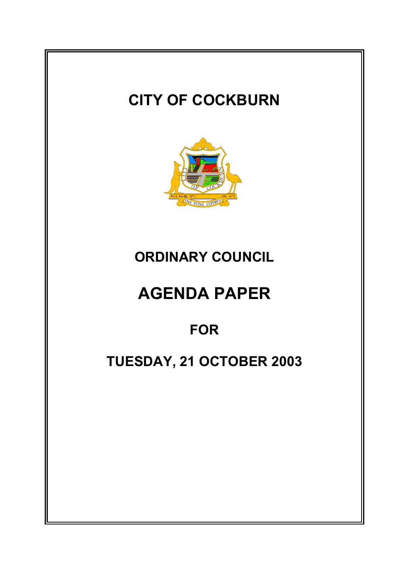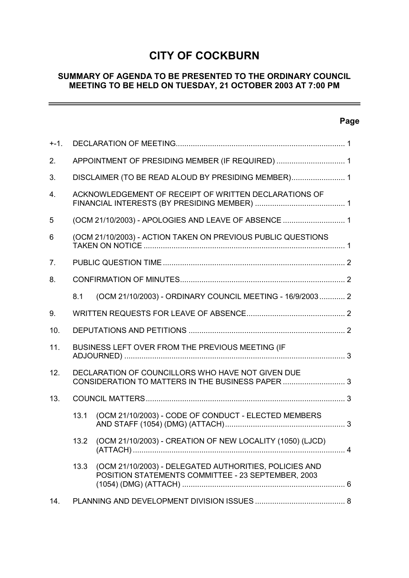# **CITY OF COCKBURN**

# **SUMMARY OF AGENDA TO BE PRESENTED TO THE ORDINARY COUNCIL MEETING TO BE HELD ON TUESDAY, 21 OCTOBER 2003 AT 7:00 PM**

# **Page**

 $\overline{\phantom{0}}$ 

| $+ -1.$        |                                                                                                        |                                                                                                              |  |
|----------------|--------------------------------------------------------------------------------------------------------|--------------------------------------------------------------------------------------------------------------|--|
| 2.             | APPOINTMENT OF PRESIDING MEMBER (IF REQUIRED)  1                                                       |                                                                                                              |  |
| 3.             | DISCLAIMER (TO BE READ ALOUD BY PRESIDING MEMBER) 1                                                    |                                                                                                              |  |
| 4.             | ACKNOWLEDGEMENT OF RECEIPT OF WRITTEN DECLARATIONS OF                                                  |                                                                                                              |  |
| 5              | (OCM 21/10/2003) - APOLOGIES AND LEAVE OF ABSENCE  1                                                   |                                                                                                              |  |
| 6              | (OCM 21/10/2003) - ACTION TAKEN ON PREVIOUS PUBLIC QUESTIONS                                           |                                                                                                              |  |
| 7 <sub>1</sub> |                                                                                                        |                                                                                                              |  |
| 8.             |                                                                                                        |                                                                                                              |  |
|                | 8.1                                                                                                    | (OCM 21/10/2003) - ORDINARY COUNCIL MEETING - 16/9/2003 2                                                    |  |
| 9.             |                                                                                                        |                                                                                                              |  |
| 10.            |                                                                                                        |                                                                                                              |  |
| 11.            |                                                                                                        | BUSINESS LEFT OVER FROM THE PREVIOUS MEETING (IF                                                             |  |
| 12.            | DECLARATION OF COUNCILLORS WHO HAVE NOT GIVEN DUE<br>CONSIDERATION TO MATTERS IN THE BUSINESS PAPER  3 |                                                                                                              |  |
| 13.            |                                                                                                        |                                                                                                              |  |
|                | 13.1                                                                                                   | (OCM 21/10/2003) - CODE OF CONDUCT - ELECTED MEMBERS                                                         |  |
|                | 13.2                                                                                                   | (OCM 21/10/2003) - CREATION OF NEW LOCALITY (1050) (LJCD)                                                    |  |
|                | 13.3                                                                                                   | (OCM 21/10/2003) - DELEGATED AUTHORITIES, POLICIES AND<br>POSITION STATEMENTS COMMITTEE - 23 SEPTEMBER, 2003 |  |
|                |                                                                                                        |                                                                                                              |  |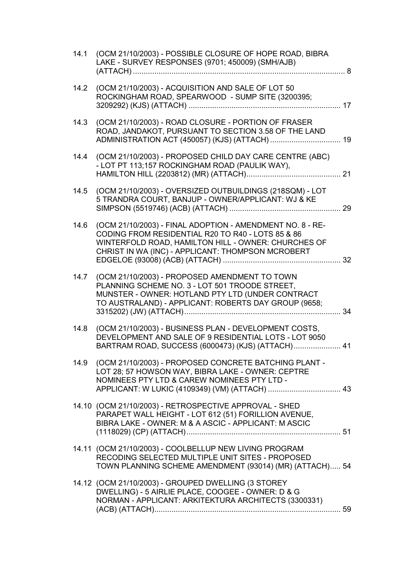| 14.1 | (OCM 21/10/2003) - POSSIBLE CLOSURE OF HOPE ROAD, BIBRA<br>LAKE - SURVEY RESPONSES (9701; 450009) (SMH/AJB)                                                                                                                | . 8 |
|------|----------------------------------------------------------------------------------------------------------------------------------------------------------------------------------------------------------------------------|-----|
| 14.2 | (OCM 21/10/2003) - ACQUISITION AND SALE OF LOT 50<br>ROCKINGHAM ROAD, SPEARWOOD - SUMP SITE (3200395;                                                                                                                      |     |
| 14.3 | (OCM 21/10/2003) - ROAD CLOSURE - PORTION OF FRASER<br>ROAD, JANDAKOT, PURSUANT TO SECTION 3.58 OF THE LAND                                                                                                                |     |
| 14.4 | (OCM 21/10/2003) - PROPOSED CHILD DAY CARE CENTRE (ABC)<br>- LOT PT 113;157 ROCKINGHAM ROAD (PAULIK WAY),                                                                                                                  |     |
| 14.5 | (OCM 21/10/2003) - OVERSIZED OUTBUILDINGS (218SQM) - LOT<br>5 TRANDRA COURT, BANJUP - OWNER/APPLICANT: WJ & KE                                                                                                             |     |
| 14.6 | (OCM 21/10/2003) - FINAL ADOPTION - AMENDMENT NO. 8 - RE-<br>CODING FROM RESIDENTIAL R20 TO R40 - LOTS 85 & 86<br>WINTERFOLD ROAD, HAMILTON HILL - OWNER: CHURCHES OF<br>CHRIST IN WA (INC) - APPLICANT: THOMPSON MCROBERT |     |
| 14.7 | (OCM 21/10/2003) - PROPOSED AMENDMENT TO TOWN<br>PLANNING SCHEME NO. 3 - LOT 501 TROODE STREET,<br>MUNSTER - OWNER: HOTLAND PTY LTD (UNDER CONTRACT<br>TO AUSTRALAND) - APPLICANT: ROBERTS DAY GROUP (9658;                |     |
| 14.8 | (OCM 21/10/2003) - BUSINESS PLAN - DEVELOPMENT COSTS,<br>DEVELOPMENT AND SALE OF 9 RESIDENTIAL LOTS - LOT 9050<br>BARTRAM ROAD, SUCCESS (6000473) (KJS) (ATTACH) 41                                                        |     |
|      | 14.9 (OCM 21/10/2003) - PROPOSED CONCRETE BATCHING PLANT -<br>LOT 28; 57 HOWSON WAY, BIBRA LAKE - OWNER: CEPTRE<br>NOMINEES PTY LTD & CAREW NOMINEES PTY LTD -                                                             |     |
|      | 14.10 (OCM 21/10/2003) - RETROSPECTIVE APPROVAL - SHED<br>PARAPET WALL HEIGHT - LOT 612 (51) FORILLION AVENUE,<br>BIBRA LAKE - OWNER: M & A ASCIC - APPLICANT: M ASCIC                                                     |     |
|      | 14.11 (OCM 21/10/2003) - COOLBELLUP NEW LIVING PROGRAM<br>RECODING SELECTED MULTIPLE UNIT SITES - PROPOSED<br>TOWN PLANNING SCHEME AMENDMENT (93014) (MR) (ATTACH) 54                                                      |     |
|      | 14.12 (OCM 21/10/2003) - GROUPED DWELLING (3 STOREY<br>DWELLING) - 5 AIRLIE PLACE, COOGEE - OWNER: D & G<br>NORMAN - APPLICANT: ARKITEKTURA ARCHITECTS (3300331)                                                           |     |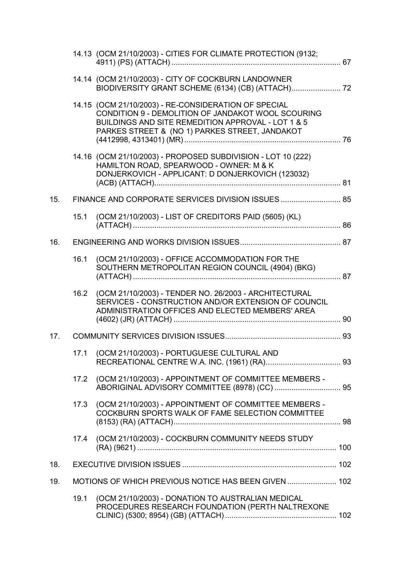|     |      | 14.13 (OCM 21/10/2003) - CITIES FOR CLIMATE PROTECTION (9132;                                                                                                                                                      |  |
|-----|------|--------------------------------------------------------------------------------------------------------------------------------------------------------------------------------------------------------------------|--|
|     |      | 14.14 (OCM 21/10/2003) - CITY OF COCKBURN LANDOWNER<br>BIODIVERSITY GRANT SCHEME (6134) (CB) (ATTACH) 72                                                                                                           |  |
|     |      | 14.15 (OCM 21/10/2003) - RE-CONSIDERATION OF SPECIAL<br>CONDITION 9 - DEMOLITION OF JANDAKOT WOOL SCOURING<br>BUILDINGS AND SITE REMEDITION APPROVAL - LOT 1 & 5<br>PARKES STREET & (NO 1) PARKES STREET, JANDAKOT |  |
|     |      | 14.16 (OCM 21/10/2003) - PROPOSED SUBDIVISION - LOT 10 (222)<br>HAMILTON ROAD, SPEARWOOD - OWNER: M & K<br>DONJERKOVICH - APPLICANT: D DONJERKOVICH (123032)                                                       |  |
| 15. |      | FINANCE AND CORPORATE SERVICES DIVISION ISSUES  85                                                                                                                                                                 |  |
|     | 15.1 | (OCM 21/10/2003) - LIST OF CREDITORS PAID (5605) (KL)                                                                                                                                                              |  |
| 16. |      |                                                                                                                                                                                                                    |  |
|     | 16.1 | (OCM 21/10/2003) - OFFICE ACCOMMODATION FOR THE<br>SOUTHERN METROPOLITAN REGION COUNCIL (4904) (BKG)                                                                                                               |  |
|     | 16.2 | (OCM 21/10/2003) - TENDER NO. 26/2003 - ARCHITECTURAL<br>SERVICES - CONSTRUCTION AND/OR EXTENSION OF COUNCIL<br>ADMINISTRATION OFFICES AND ELECTED MEMBERS' AREA                                                   |  |
| 17. |      |                                                                                                                                                                                                                    |  |
|     | 17.1 | (OCM 21/10/2003) - PORTUGUESE CULTURAL AND                                                                                                                                                                         |  |
|     | 17.2 | (OCM 21/10/2003) - APPOINTMENT OF COMMITTEE MEMBERS -                                                                                                                                                              |  |
|     | 17.3 | (OCM 21/10/2003) - APPOINTMENT OF COMMITTEE MEMBERS -<br>COCKBURN SPORTS WALK OF FAME SELECTION COMMITTEE                                                                                                          |  |
|     | 17.4 | (OCM 21/10/2003) - COCKBURN COMMUNITY NEEDS STUDY                                                                                                                                                                  |  |
| 18. |      |                                                                                                                                                                                                                    |  |
| 19. |      | MOTIONS OF WHICH PREVIOUS NOTICE HAS BEEN GIVEN  102                                                                                                                                                               |  |
|     | 19.1 | (OCM 21/10/2003) - DONATION TO AUSTRALIAN MEDICAL<br>PROCEDURES RESEARCH FOUNDATION (PERTH NALTREXONE                                                                                                              |  |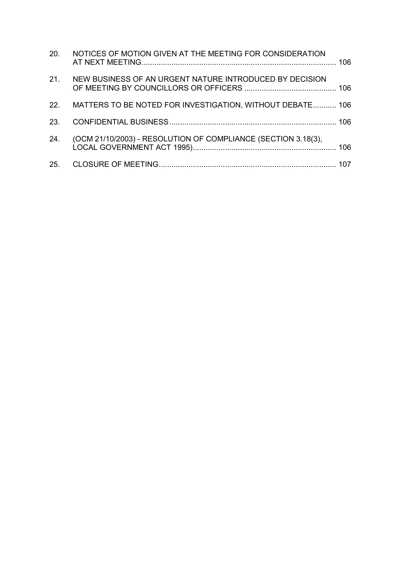|     | 20. NOTICES OF MOTION GIVEN AT THE MEETING FOR CONSIDERATION  |  |
|-----|---------------------------------------------------------------|--|
|     | 21. NEW BUSINESS OF AN URGENT NATURE INTRODUCED BY DECISION   |  |
|     | 22. MATTERS TO BE NOTED FOR INVESTIGATION, WITHOUT DEBATE 106 |  |
|     |                                                               |  |
| 24. | (OCM 21/10/2003) - RESOLUTION OF COMPLIANCE (SECTION 3.18(3), |  |
|     |                                                               |  |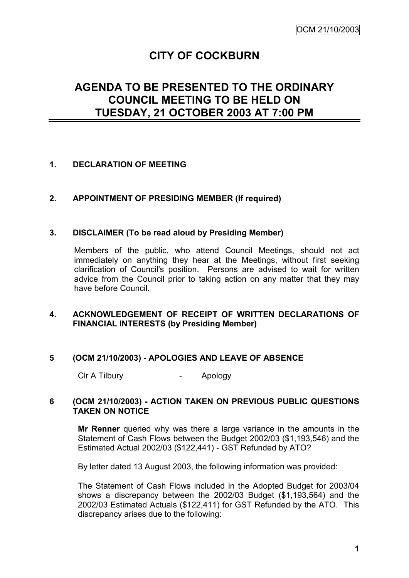# **CITY OF COCKBURN**

# **AGENDA TO BE PRESENTED TO THE ORDINARY COUNCIL MEETING TO BE HELD ON TUESDAY, 21 OCTOBER 2003 AT 7:00 PM**

#### **1. DECLARATION OF MEETING**

# **2. APPOINTMENT OF PRESIDING MEMBER (If required)**

#### **3. DISCLAIMER (To be read aloud by Presiding Member)**

Members of the public, who attend Council Meetings, should not act immediately on anything they hear at the Meetings, without first seeking clarification of Council's position. Persons are advised to wait for written advice from the Council prior to taking action on any matter that they may have before Council.

# **4. ACKNOWLEDGEMENT OF RECEIPT OF WRITTEN DECLARATIONS OF FINANCIAL INTERESTS (by Presiding Member)**

#### **5 (OCM 21/10/2003) - APOLOGIES AND LEAVE OF ABSENCE**

Clr A Tilbury **Click A**pology

#### **6 (OCM 21/10/2003) - ACTION TAKEN ON PREVIOUS PUBLIC QUESTIONS TAKEN ON NOTICE**

**Mr Renner** queried why was there a large variance in the amounts in the Statement of Cash Flows between the Budget 2002/03 (\$1,193,546) and the Estimated Actual 2002/03 (\$122,441) - GST Refunded by ATO?

By letter dated 13 August 2003, the following information was provided:

The Statement of Cash Flows included in the Adopted Budget for 2003/04 shows a discrepancy between the 2002/03 Budget (\$1,193,564) and the 2002/03 Estimated Actuals (\$122,411) for GST Refunded by the ATO. This discrepancy arises due to the following: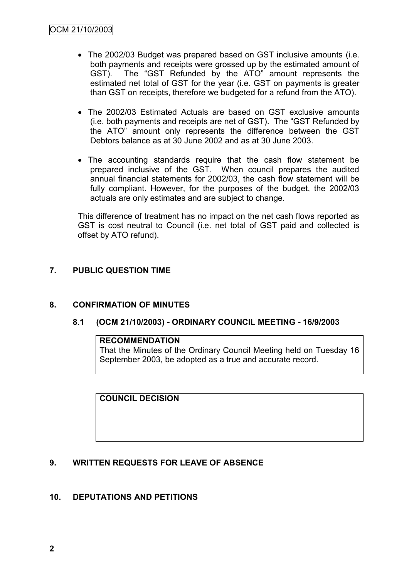- The 2002/03 Budget was prepared based on GST inclusive amounts (i.e. both payments and receipts were grossed up by the estimated amount of GST). The "GST Refunded by the ATO" amount represents the estimated net total of GST for the year (i.e. GST on payments is greater than GST on receipts, therefore we budgeted for a refund from the ATO).
- The 2002/03 Estimated Actuals are based on GST exclusive amounts (i.e. both payments and receipts are net of GST). The "GST Refunded by the ATO" amount only represents the difference between the GST Debtors balance as at 30 June 2002 and as at 30 June 2003.
- The accounting standards require that the cash flow statement be prepared inclusive of the GST. When council prepares the audited annual financial statements for 2002/03, the cash flow statement will be fully compliant. However, for the purposes of the budget, the 2002/03 actuals are only estimates and are subject to change.

This difference of treatment has no impact on the net cash flows reported as GST is cost neutral to Council (i.e. net total of GST paid and collected is offset by ATO refund).

# **7. PUBLIC QUESTION TIME**

# **8. CONFIRMATION OF MINUTES**

#### **8.1 (OCM 21/10/2003) - ORDINARY COUNCIL MEETING - 16/9/2003**

#### **RECOMMENDATION**

That the Minutes of the Ordinary Council Meeting held on Tuesday 16 September 2003, be adopted as a true and accurate record.

**COUNCIL DECISION**

# **9. WRITTEN REQUESTS FOR LEAVE OF ABSENCE**

#### **10. DEPUTATIONS AND PETITIONS**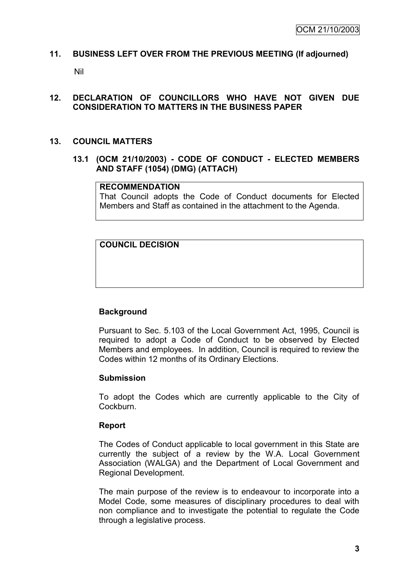#### **11. BUSINESS LEFT OVER FROM THE PREVIOUS MEETING (If adjourned)**

Nil

#### **12. DECLARATION OF COUNCILLORS WHO HAVE NOT GIVEN DUE CONSIDERATION TO MATTERS IN THE BUSINESS PAPER**

#### **13. COUNCIL MATTERS**

**13.1 (OCM 21/10/2003) - CODE OF CONDUCT - ELECTED MEMBERS AND STAFF (1054) (DMG) (ATTACH)**

#### **RECOMMENDATION**

That Council adopts the Code of Conduct documents for Elected Members and Staff as contained in the attachment to the Agenda.

**COUNCIL DECISION**

# **Background**

Pursuant to Sec. 5.103 of the Local Government Act, 1995, Council is required to adopt a Code of Conduct to be observed by Elected Members and employees. In addition, Council is required to review the Codes within 12 months of its Ordinary Elections.

#### **Submission**

To adopt the Codes which are currently applicable to the City of Cockburn.

#### **Report**

The Codes of Conduct applicable to local government in this State are currently the subject of a review by the W.A. Local Government Association (WALGA) and the Department of Local Government and Regional Development.

The main purpose of the review is to endeavour to incorporate into a Model Code, some measures of disciplinary procedures to deal with non compliance and to investigate the potential to regulate the Code through a legislative process.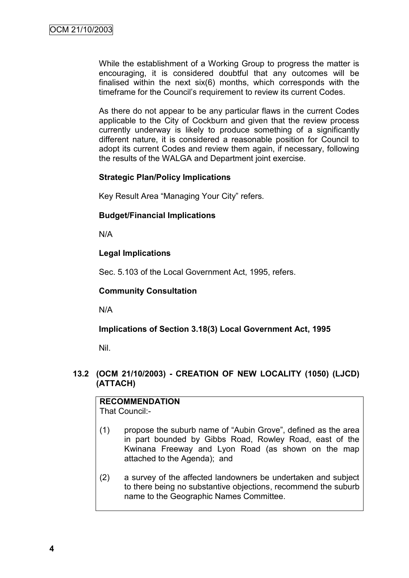While the establishment of a Working Group to progress the matter is encouraging, it is considered doubtful that any outcomes will be finalised within the next six(6) months, which corresponds with the timeframe for the Council"s requirement to review its current Codes.

As there do not appear to be any particular flaws in the current Codes applicable to the City of Cockburn and given that the review process currently underway is likely to produce something of a significantly different nature, it is considered a reasonable position for Council to adopt its current Codes and review them again, if necessary, following the results of the WALGA and Department joint exercise.

# **Strategic Plan/Policy Implications**

Key Result Area "Managing Your City" refers.

# **Budget/Financial Implications**

N/A

# **Legal Implications**

Sec. 5.103 of the Local Government Act, 1995, refers.

# **Community Consultation**

N/A

# **Implications of Section 3.18(3) Local Government Act, 1995**

Nil.

# **13.2 (OCM 21/10/2003) - CREATION OF NEW LOCALITY (1050) (LJCD) (ATTACH)**

**RECOMMENDATION** That Council:-

- (1) propose the suburb name of "Aubin Grove", defined as the area in part bounded by Gibbs Road, Rowley Road, east of the Kwinana Freeway and Lyon Road (as shown on the map attached to the Agenda); and
- (2) a survey of the affected landowners be undertaken and subject to there being no substantive objections, recommend the suburb name to the Geographic Names Committee.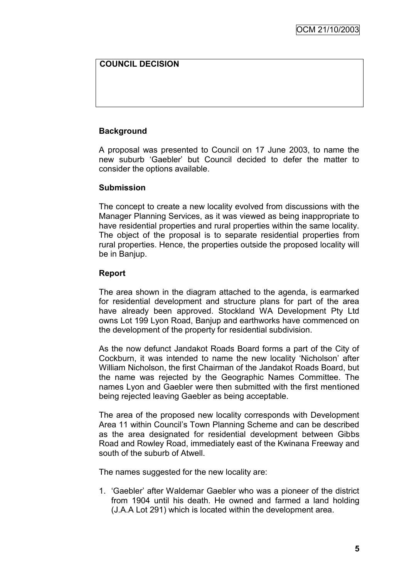# **COUNCIL DECISION**

# **Background**

A proposal was presented to Council on 17 June 2003, to name the new suburb "Gaebler" but Council decided to defer the matter to consider the options available.

#### **Submission**

The concept to create a new locality evolved from discussions with the Manager Planning Services, as it was viewed as being inappropriate to have residential properties and rural properties within the same locality. The object of the proposal is to separate residential properties from rural properties. Hence, the properties outside the proposed locality will be in Banjup.

#### **Report**

The area shown in the diagram attached to the agenda, is earmarked for residential development and structure plans for part of the area have already been approved. Stockland WA Development Pty Ltd owns Lot 199 Lyon Road, Banjup and earthworks have commenced on the development of the property for residential subdivision.

As the now defunct Jandakot Roads Board forms a part of the City of Cockburn, it was intended to name the new locality "Nicholson" after William Nicholson, the first Chairman of the Jandakot Roads Board, but the name was rejected by the Geographic Names Committee. The names Lyon and Gaebler were then submitted with the first mentioned being rejected leaving Gaebler as being acceptable.

The area of the proposed new locality corresponds with Development Area 11 within Council"s Town Planning Scheme and can be described as the area designated for residential development between Gibbs Road and Rowley Road, immediately east of the Kwinana Freeway and south of the suburb of Atwell.

The names suggested for the new locality are:

1. "Gaebler" after Waldemar Gaebler who was a pioneer of the district from 1904 until his death. He owned and farmed a land holding (J.A.A Lot 291) which is located within the development area.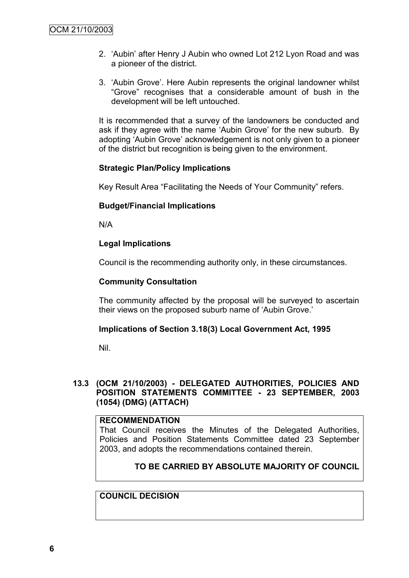- 2. "Aubin" after Henry J Aubin who owned Lot 212 Lyon Road and was a pioneer of the district.
- 3. "Aubin Grove". Here Aubin represents the original landowner whilst "Grove" recognises that a considerable amount of bush in the development will be left untouched.

It is recommended that a survey of the landowners be conducted and ask if they agree with the name 'Aubin Grove' for the new suburb. By adopting "Aubin Grove" acknowledgement is not only given to a pioneer of the district but recognition is being given to the environment.

#### **Strategic Plan/Policy Implications**

Key Result Area "Facilitating the Needs of Your Community" refers.

# **Budget/Financial Implications**

N/A

# **Legal Implications**

Council is the recommending authority only, in these circumstances.

#### **Community Consultation**

The community affected by the proposal will be surveyed to ascertain their views on the proposed suburb name of "Aubin Grove."

#### **Implications of Section 3.18(3) Local Government Act, 1995**

Nil.

# **13.3 (OCM 21/10/2003) - DELEGATED AUTHORITIES, POLICIES AND POSITION STATEMENTS COMMITTEE - 23 SEPTEMBER, 2003 (1054) (DMG) (ATTACH)**

#### **RECOMMENDATION**

That Council receives the Minutes of the Delegated Authorities, Policies and Position Statements Committee dated 23 September 2003, and adopts the recommendations contained therein.

# **TO BE CARRIED BY ABSOLUTE MAJORITY OF COUNCIL**

#### **COUNCIL DECISION**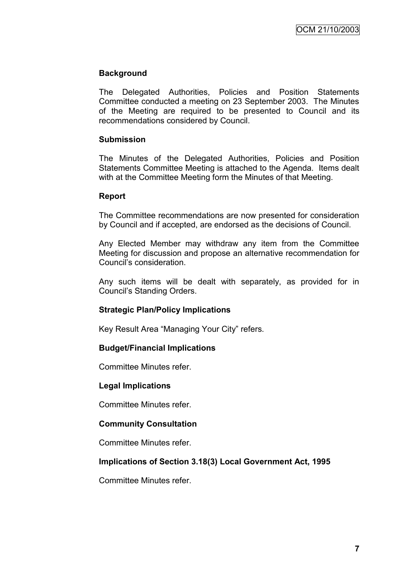# **Background**

The Delegated Authorities, Policies and Position Statements Committee conducted a meeting on 23 September 2003. The Minutes of the Meeting are required to be presented to Council and its recommendations considered by Council.

### **Submission**

The Minutes of the Delegated Authorities, Policies and Position Statements Committee Meeting is attached to the Agenda. Items dealt with at the Committee Meeting form the Minutes of that Meeting.

#### **Report**

The Committee recommendations are now presented for consideration by Council and if accepted, are endorsed as the decisions of Council.

Any Elected Member may withdraw any item from the Committee Meeting for discussion and propose an alternative recommendation for Council"s consideration.

Any such items will be dealt with separately, as provided for in Council"s Standing Orders.

# **Strategic Plan/Policy Implications**

Key Result Area "Managing Your City" refers.

#### **Budget/Financial Implications**

Committee Minutes refer.

#### **Legal Implications**

Committee Minutes refer.

#### **Community Consultation**

Committee Minutes refer.

# **Implications of Section 3.18(3) Local Government Act, 1995**

Committee Minutes refer.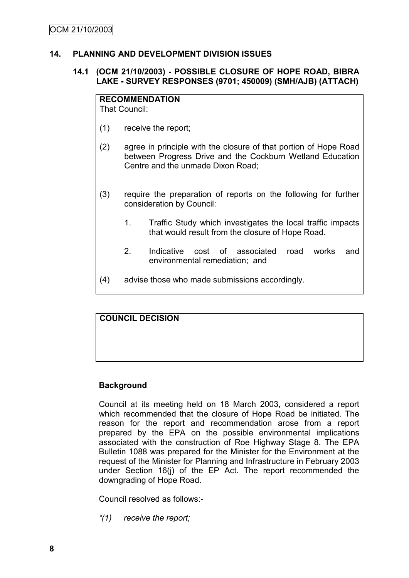# **14. PLANNING AND DEVELOPMENT DIVISION ISSUES**

# **14.1 (OCM 21/10/2003) - POSSIBLE CLOSURE OF HOPE ROAD, BIBRA LAKE - SURVEY RESPONSES (9701; 450009) (SMH/AJB) (ATTACH)**

# **RECOMMENDATION**

That Council:

- (1) receive the report;
- (2) agree in principle with the closure of that portion of Hope Road between Progress Drive and the Cockburn Wetland Education Centre and the unmade Dixon Road;
- (3) require the preparation of reports on the following for further consideration by Council:
	- 1. Traffic Study which investigates the local traffic impacts that would result from the closure of Hope Road.
	- 2. Indicative cost of associated road works and environmental remediation; and
- (4) advise those who made submissions accordingly.

# **COUNCIL DECISION**

# **Background**

Council at its meeting held on 18 March 2003, considered a report which recommended that the closure of Hope Road be initiated. The reason for the report and recommendation arose from a report prepared by the EPA on the possible environmental implications associated with the construction of Roe Highway Stage 8. The EPA Bulletin 1088 was prepared for the Minister for the Environment at the request of the Minister for Planning and Infrastructure in February 2003 under Section 16(j) of the EP Act. The report recommended the downgrading of Hope Road.

Council resolved as follows:-

*"(1) receive the report;*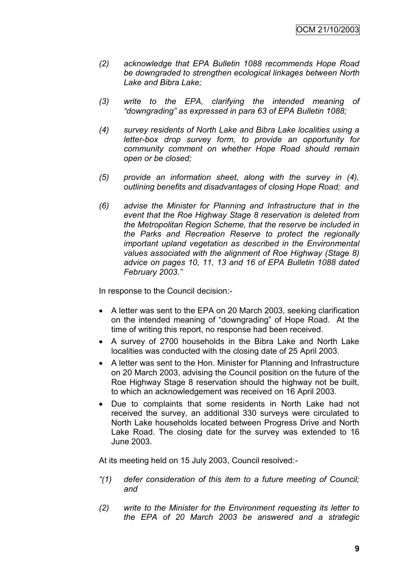- *(2) acknowledge that EPA Bulletin 1088 recommends Hope Road be downgraded to strengthen ecological linkages between North Lake and Bibra Lake;*
- *(3) write to the EPA, clarifying the intended meaning of "downgrading" as expressed in para 63 of EPA Bulletin 1088;*
- *(4) survey residents of North Lake and Bibra Lake localities using a letter-box drop survey form, to provide an opportunity for community comment on whether Hope Road should remain open or be closed;*
- *(5) provide an information sheet, along with the survey in (4), outlining benefits and disadvantages of closing Hope Road; and*
- *(6) advise the Minister for Planning and Infrastructure that in the event that the Roe Highway Stage 8 reservation is deleted from the Metropolitan Region Scheme, that the reserve be included in the Parks and Recreation Reserve to protect the regionally important upland vegetation as described in the Environmental values associated with the alignment of Roe Highway (Stage 8) advice on pages 10, 11, 13 and 16 of EPA Bulletin 1088 dated February 2003."*

In response to the Council decision:-

- A letter was sent to the EPA on 20 March 2003, seeking clarification on the intended meaning of "downgrading" of Hope Road. At the time of writing this report, no response had been received.
- A survey of 2700 households in the Bibra Lake and North Lake localities was conducted with the closing date of 25 April 2003.
- A letter was sent to the Hon. Minister for Planning and Infrastructure on 20 March 2003, advising the Council position on the future of the Roe Highway Stage 8 reservation should the highway not be built, to which an acknowledgement was received on 16 April 2003.
- Due to complaints that some residents in North Lake had not received the survey, an additional 330 surveys were circulated to North Lake households located between Progress Drive and North Lake Road. The closing date for the survey was extended to 16 June 2003.

At its meeting held on 15 July 2003, Council resolved:-

- *"(1) defer consideration of this item to a future meeting of Council; and*
- *(2) write to the Minister for the Environment requesting its letter to the EPA of 20 March 2003 be answered and a strategic*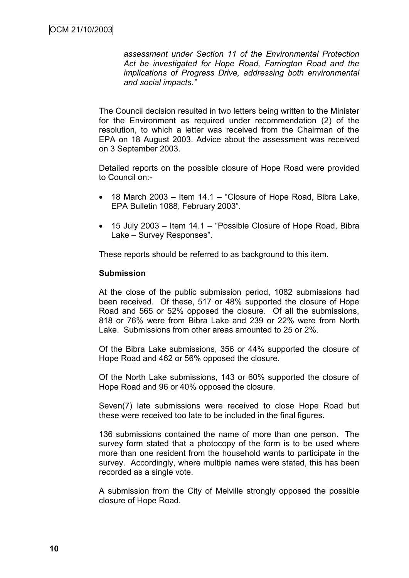*assessment under Section 11 of the Environmental Protection Act be investigated for Hope Road, Farrington Road and the implications of Progress Drive, addressing both environmental and social impacts."*

The Council decision resulted in two letters being written to the Minister for the Environment as required under recommendation (2) of the resolution, to which a letter was received from the Chairman of the EPA on 18 August 2003. Advice about the assessment was received on 3 September 2003.

Detailed reports on the possible closure of Hope Road were provided to Council on:-

- 18 March 2003 Item 14.1 "Closure of Hope Road, Bibra Lake, EPA Bulletin 1088, February 2003".
- 15 July 2003 Item 14.1 "Possible Closure of Hope Road, Bibra Lake – Survey Responses".

These reports should be referred to as background to this item.

#### **Submission**

At the close of the public submission period, 1082 submissions had been received. Of these, 517 or 48% supported the closure of Hope Road and 565 or 52% opposed the closure. Of all the submissions, 818 or 76% were from Bibra Lake and 239 or 22% were from North Lake. Submissions from other areas amounted to 25 or 2%.

Of the Bibra Lake submissions, 356 or 44% supported the closure of Hope Road and 462 or 56% opposed the closure.

Of the North Lake submissions, 143 or 60% supported the closure of Hope Road and 96 or 40% opposed the closure.

Seven(7) late submissions were received to close Hope Road but these were received too late to be included in the final figures.

136 submissions contained the name of more than one person. The survey form stated that a photocopy of the form is to be used where more than one resident from the household wants to participate in the survey. Accordingly, where multiple names were stated, this has been recorded as a single vote.

A submission from the City of Melville strongly opposed the possible closure of Hope Road.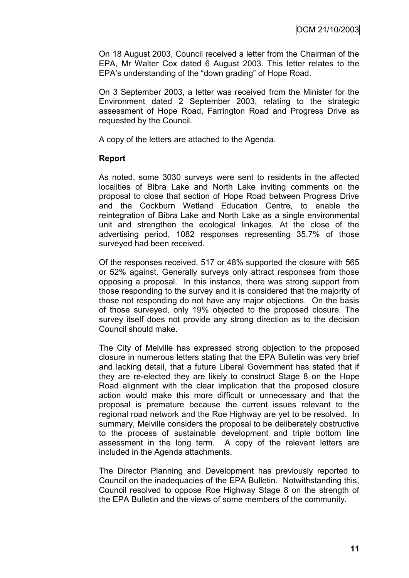On 18 August 2003, Council received a letter from the Chairman of the EPA, Mr Walter Cox dated 6 August 2003. This letter relates to the EPA"s understanding of the "down grading" of Hope Road.

On 3 September 2003, a letter was received from the Minister for the Environment dated 2 September 2003, relating to the strategic assessment of Hope Road, Farrington Road and Progress Drive as requested by the Council.

A copy of the letters are attached to the Agenda.

#### **Report**

As noted, some 3030 surveys were sent to residents in the affected localities of Bibra Lake and North Lake inviting comments on the proposal to close that section of Hope Road between Progress Drive and the Cockburn Wetland Education Centre, to enable the reintegration of Bibra Lake and North Lake as a single environmental unit and strengthen the ecological linkages. At the close of the advertising period, 1082 responses representing 35.7% of those surveyed had been received.

Of the responses received, 517 or 48% supported the closure with 565 or 52% against. Generally surveys only attract responses from those opposing a proposal. In this instance, there was strong support from those responding to the survey and it is considered that the majority of those not responding do not have any major objections. On the basis of those surveyed, only 19% objected to the proposed closure. The survey itself does not provide any strong direction as to the decision Council should make.

The City of Melville has expressed strong objection to the proposed closure in numerous letters stating that the EPA Bulletin was very brief and lacking detail, that a future Liberal Government has stated that if they are re-elected they are likely to construct Stage 8 on the Hope Road alignment with the clear implication that the proposed closure action would make this more difficult or unnecessary and that the proposal is premature because the current issues relevant to the regional road network and the Roe Highway are yet to be resolved. In summary, Melville considers the proposal to be deliberately obstructive to the process of sustainable development and triple bottom line assessment in the long term. A copy of the relevant letters are included in the Agenda attachments.

The Director Planning and Development has previously reported to Council on the inadequacies of the EPA Bulletin. Notwithstanding this, Council resolved to oppose Roe Highway Stage 8 on the strength of the EPA Bulletin and the views of some members of the community.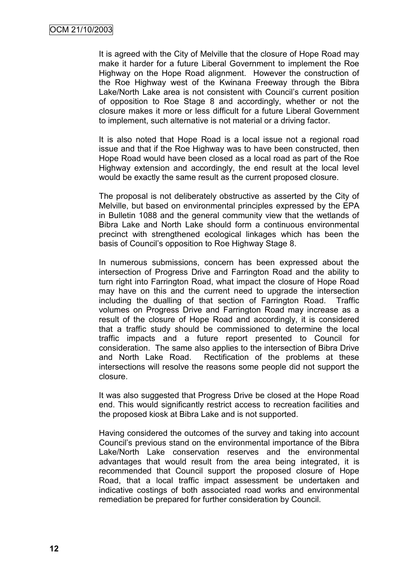It is agreed with the City of Melville that the closure of Hope Road may make it harder for a future Liberal Government to implement the Roe Highway on the Hope Road alignment. However the construction of the Roe Highway west of the Kwinana Freeway through the Bibra Lake/North Lake area is not consistent with Council's current position of opposition to Roe Stage 8 and accordingly, whether or not the closure makes it more or less difficult for a future Liberal Government to implement, such alternative is not material or a driving factor.

It is also noted that Hope Road is a local issue not a regional road issue and that if the Roe Highway was to have been constructed, then Hope Road would have been closed as a local road as part of the Roe Highway extension and accordingly, the end result at the local level would be exactly the same result as the current proposed closure.

The proposal is not deliberately obstructive as asserted by the City of Melville, but based on environmental principles expressed by the EPA in Bulletin 1088 and the general community view that the wetlands of Bibra Lake and North Lake should form a continuous environmental precinct with strengthened ecological linkages which has been the basis of Council"s opposition to Roe Highway Stage 8.

In numerous submissions, concern has been expressed about the intersection of Progress Drive and Farrington Road and the ability to turn right into Farrington Road, what impact the closure of Hope Road may have on this and the current need to upgrade the intersection including the dualling of that section of Farrington Road. Traffic volumes on Progress Drive and Farrington Road may increase as a result of the closure of Hope Road and accordingly, it is considered that a traffic study should be commissioned to determine the local traffic impacts and a future report presented to Council for consideration. The same also applies to the intersection of Bibra Drive and North Lake Road. Rectification of the problems at these intersections will resolve the reasons some people did not support the closure.

It was also suggested that Progress Drive be closed at the Hope Road end. This would significantly restrict access to recreation facilities and the proposed kiosk at Bibra Lake and is not supported.

Having considered the outcomes of the survey and taking into account Council"s previous stand on the environmental importance of the Bibra Lake/North Lake conservation reserves and the environmental advantages that would result from the area being integrated, it is recommended that Council support the proposed closure of Hope Road, that a local traffic impact assessment be undertaken and indicative costings of both associated road works and environmental remediation be prepared for further consideration by Council.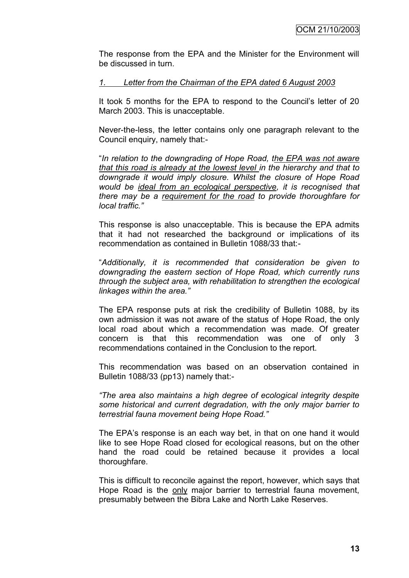The response from the EPA and the Minister for the Environment will be discussed in turn.

#### *1. Letter from the Chairman of the EPA dated 6 August 2003*

It took 5 months for the EPA to respond to the Council's letter of 20 March 2003. This is unacceptable.

Never-the-less, the letter contains only one paragraph relevant to the Council enquiry, namely that:-

"*In relation to the downgrading of Hope Road, the EPA was not aware that this road is already at the lowest level in the hierarchy and that to downgrade it would imply closure. Whilst the closure of Hope Road would be ideal from an ecological perspective, it is recognised that there may be a requirement for the road to provide thoroughfare for local traffic."*

This response is also unacceptable. This is because the EPA admits that it had not researched the background or implications of its recommendation as contained in Bulletin 1088/33 that:-

"*Additionally, it is recommended that consideration be given to downgrading the eastern section of Hope Road, which currently runs through the subject area, with rehabilitation to strengthen the ecological linkages within the area."*

The EPA response puts at risk the credibility of Bulletin 1088, by its own admission it was not aware of the status of Hope Road, the only local road about which a recommendation was made. Of greater concern is that this recommendation was one of only 3 recommendations contained in the Conclusion to the report.

This recommendation was based on an observation contained in Bulletin 1088/33 (pp13) namely that:-

*"The area also maintains a high degree of ecological integrity despite some historical and current degradation, with the only major barrier to terrestrial fauna movement being Hope Road."*

The EPA's response is an each way bet, in that on one hand it would like to see Hope Road closed for ecological reasons, but on the other hand the road could be retained because it provides a local thoroughfare.

This is difficult to reconcile against the report, however, which says that Hope Road is the only major barrier to terrestrial fauna movement, presumably between the Bibra Lake and North Lake Reserves.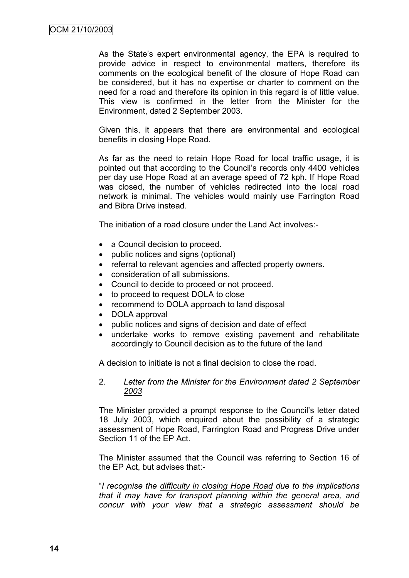As the State's expert environmental agency, the EPA is required to provide advice in respect to environmental matters, therefore its comments on the ecological benefit of the closure of Hope Road can be considered, but it has no expertise or charter to comment on the need for a road and therefore its opinion in this regard is of little value. This view is confirmed in the letter from the Minister for the Environment, dated 2 September 2003.

Given this, it appears that there are environmental and ecological benefits in closing Hope Road.

As far as the need to retain Hope Road for local traffic usage, it is pointed out that according to the Council"s records only 4400 vehicles per day use Hope Road at an average speed of 72 kph. If Hope Road was closed, the number of vehicles redirected into the local road network is minimal. The vehicles would mainly use Farrington Road and Bibra Drive instead.

The initiation of a road closure under the Land Act involves:-

- a Council decision to proceed.
- public notices and signs (optional)
- referral to relevant agencies and affected property owners.
- consideration of all submissions.
- Council to decide to proceed or not proceed.
- to proceed to request DOLA to close
- recommend to DOLA approach to land disposal
- DOLA approval
- public notices and signs of decision and date of effect
- undertake works to remove existing pavement and rehabilitate accordingly to Council decision as to the future of the land

A decision to initiate is not a final decision to close the road.

#### 2. *Letter from the Minister for the Environment dated 2 September 2003*

The Minister provided a prompt response to the Council"s letter dated 18 July 2003, which enquired about the possibility of a strategic assessment of Hope Road, Farrington Road and Progress Drive under Section 11 of the EP Act.

The Minister assumed that the Council was referring to Section 16 of the EP Act, but advises that:-

"*I recognise the difficulty in closing Hope Road due to the implications that it may have for transport planning within the general area, and concur with your view that a strategic assessment should be*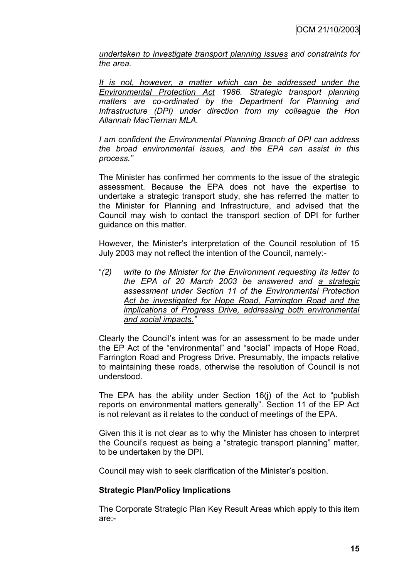*undertaken to investigate transport planning issues and constraints for the area.*

*It is not, however, a matter which can be addressed under the Environmental Protection Act 1986. Strategic transport planning matters are co-ordinated by the Department for Planning and Infrastructure (DPI) under direction from my colleague the Hon Allannah MacTiernan MLA.*

*I am confident the Environmental Planning Branch of DPI can address the broad environmental issues, and the EPA can assist in this process."*

The Minister has confirmed her comments to the issue of the strategic assessment. Because the EPA does not have the expertise to undertake a strategic transport study, she has referred the matter to the Minister for Planning and Infrastructure, and advised that the Council may wish to contact the transport section of DPI for further guidance on this matter.

However, the Minister's interpretation of the Council resolution of 15 July 2003 may not reflect the intention of the Council, namely:-

"*(2) write to the Minister for the Environment requesting its letter to the EPA of 20 March 2003 be answered and a strategic assessment under Section 11 of the Environmental Protection Act be investigated for Hope Road, Farrington Road and the implications of Progress Drive, addressing both environmental and social impacts."*

Clearly the Council"s intent was for an assessment to be made under the EP Act of the "environmental" and "social" impacts of Hope Road, Farrington Road and Progress Drive. Presumably, the impacts relative to maintaining these roads, otherwise the resolution of Council is not understood.

The EPA has the ability under Section 16(j) of the Act to "publish reports on environmental matters generally". Section 11 of the EP Act is not relevant as it relates to the conduct of meetings of the EPA.

Given this it is not clear as to why the Minister has chosen to interpret the Council"s request as being a "strategic transport planning" matter, to be undertaken by the DPI.

Council may wish to seek clarification of the Minister"s position.

#### **Strategic Plan/Policy Implications**

The Corporate Strategic Plan Key Result Areas which apply to this item are:-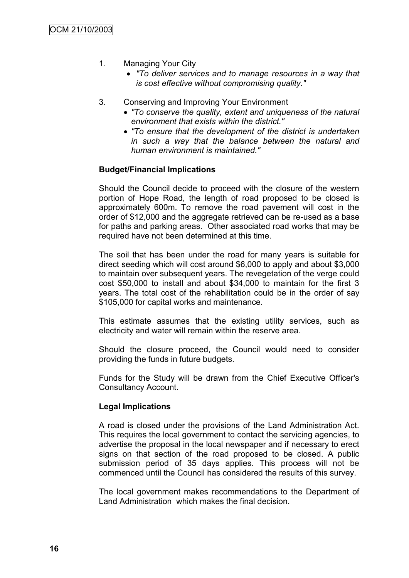- 1. Managing Your City
	- *"To deliver services and to manage resources in a way that is cost effective without compromising quality."*
- 3. Conserving and Improving Your Environment
	- *"To conserve the quality, extent and uniqueness of the natural environment that exists within the district."*
	- *"To ensure that the development of the district is undertaken in such a way that the balance between the natural and human environment is maintained."*

# **Budget/Financial Implications**

Should the Council decide to proceed with the closure of the western portion of Hope Road, the length of road proposed to be closed is approximately 600m. To remove the road pavement will cost in the order of \$12,000 and the aggregate retrieved can be re-used as a base for paths and parking areas. Other associated road works that may be required have not been determined at this time.

The soil that has been under the road for many years is suitable for direct seeding which will cost around \$6,000 to apply and about \$3,000 to maintain over subsequent years. The revegetation of the verge could cost \$50,000 to install and about \$34,000 to maintain for the first 3 years. The total cost of the rehabilitation could be in the order of say \$105,000 for capital works and maintenance.

This estimate assumes that the existing utility services, such as electricity and water will remain within the reserve area.

Should the closure proceed, the Council would need to consider providing the funds in future budgets.

Funds for the Study will be drawn from the Chief Executive Officer's Consultancy Account.

# **Legal Implications**

A road is closed under the provisions of the Land Administration Act. This requires the local government to contact the servicing agencies, to advertise the proposal in the local newspaper and if necessary to erect signs on that section of the road proposed to be closed. A public submission period of 35 days applies. This process will not be commenced until the Council has considered the results of this survey.

The local government makes recommendations to the Department of Land Administration which makes the final decision.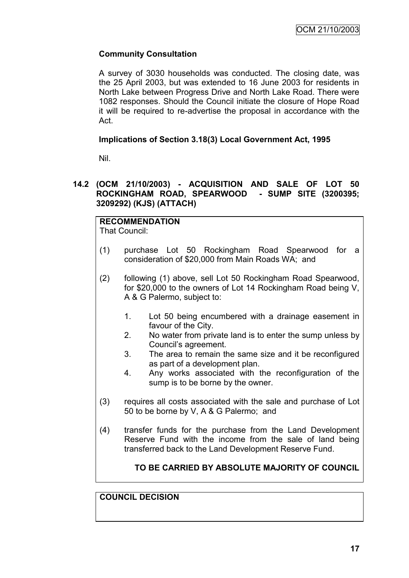# **Community Consultation**

A survey of 3030 households was conducted. The closing date, was the 25 April 2003, but was extended to 16 June 2003 for residents in North Lake between Progress Drive and North Lake Road. There were 1082 responses. Should the Council initiate the closure of Hope Road it will be required to re-advertise the proposal in accordance with the Act.

# **Implications of Section 3.18(3) Local Government Act, 1995**

Nil.

# **14.2 (OCM 21/10/2003) - ACQUISITION AND SALE OF LOT 50 ROCKINGHAM ROAD, SPEARWOOD - SUMP SITE (3200395; 3209292) (KJS) (ATTACH)**

#### **RECOMMENDATION** That Council:

- (1) purchase Lot 50 Rockingham Road Spearwood for a consideration of \$20,000 from Main Roads WA; and
	- (2) following (1) above, sell Lot 50 Rockingham Road Spearwood, for \$20,000 to the owners of Lot 14 Rockingham Road being V, A & G Palermo, subject to:
		- 1. Lot 50 being encumbered with a drainage easement in favour of the City.
		- 2. No water from private land is to enter the sump unless by Council"s agreement.
		- 3. The area to remain the same size and it be reconfigured as part of a development plan.
		- 4. Any works associated with the reconfiguration of the sump is to be borne by the owner.
	- (3) requires all costs associated with the sale and purchase of Lot 50 to be borne by V, A & G Palermo; and
	- (4) transfer funds for the purchase from the Land Development Reserve Fund with the income from the sale of land being transferred back to the Land Development Reserve Fund.

# **TO BE CARRIED BY ABSOLUTE MAJORITY OF COUNCIL**

# **COUNCIL DECISION**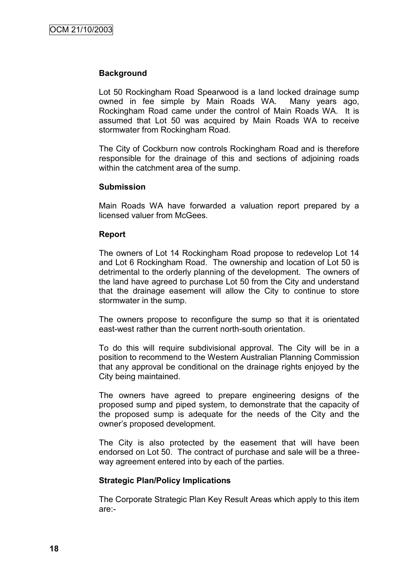#### **Background**

Lot 50 Rockingham Road Spearwood is a land locked drainage sump owned in fee simple by Main Roads WA. Many years ago, Rockingham Road came under the control of Main Roads WA. It is assumed that Lot 50 was acquired by Main Roads WA to receive stormwater from Rockingham Road.

The City of Cockburn now controls Rockingham Road and is therefore responsible for the drainage of this and sections of adjoining roads within the catchment area of the sump.

#### **Submission**

Main Roads WA have forwarded a valuation report prepared by a licensed valuer from McGees.

#### **Report**

The owners of Lot 14 Rockingham Road propose to redevelop Lot 14 and Lot 6 Rockingham Road. The ownership and location of Lot 50 is detrimental to the orderly planning of the development. The owners of the land have agreed to purchase Lot 50 from the City and understand that the drainage easement will allow the City to continue to store stormwater in the sump.

The owners propose to reconfigure the sump so that it is orientated east-west rather than the current north-south orientation.

To do this will require subdivisional approval. The City will be in a position to recommend to the Western Australian Planning Commission that any approval be conditional on the drainage rights enjoyed by the City being maintained.

The owners have agreed to prepare engineering designs of the proposed sump and piped system, to demonstrate that the capacity of the proposed sump is adequate for the needs of the City and the owner"s proposed development.

The City is also protected by the easement that will have been endorsed on Lot 50. The contract of purchase and sale will be a threeway agreement entered into by each of the parties.

#### **Strategic Plan/Policy Implications**

The Corporate Strategic Plan Key Result Areas which apply to this item are:-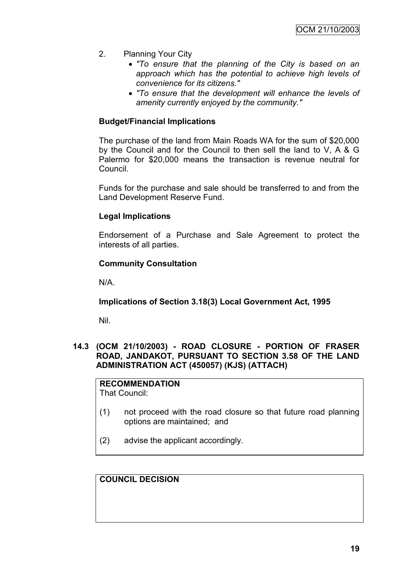- 2. Planning Your City
	- *"To ensure that the planning of the City is based on an approach which has the potential to achieve high levels of convenience for its citizens."*
	- *"To ensure that the development will enhance the levels of amenity currently enjoyed by the community."*

### **Budget/Financial Implications**

The purchase of the land from Main Roads WA for the sum of \$20,000 by the Council and for the Council to then sell the land to V, A & G Palermo for \$20,000 means the transaction is revenue neutral for Council.

Funds for the purchase and sale should be transferred to and from the Land Development Reserve Fund.

#### **Legal Implications**

Endorsement of a Purchase and Sale Agreement to protect the interests of all parties.

#### **Community Consultation**

N/A.

**Implications of Section 3.18(3) Local Government Act, 1995**

Nil.

# **14.3 (OCM 21/10/2003) - ROAD CLOSURE - PORTION OF FRASER ROAD, JANDAKOT, PURSUANT TO SECTION 3.58 OF THE LAND ADMINISTRATION ACT (450057) (KJS) (ATTACH)**

**RECOMMENDATION** That Council:

- (1) not proceed with the road closure so that future road planning options are maintained; and
- (2) advise the applicant accordingly.

**COUNCIL DECISION**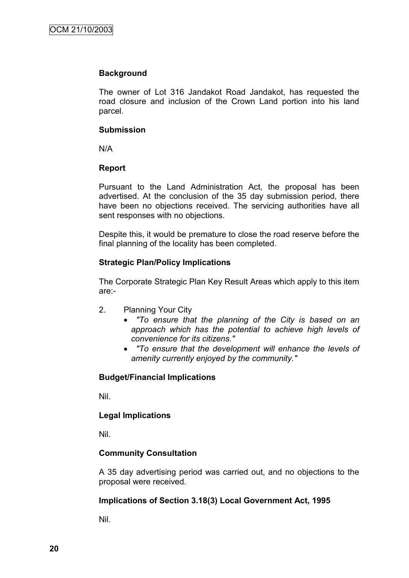### **Background**

The owner of Lot 316 Jandakot Road Jandakot, has requested the road closure and inclusion of the Crown Land portion into his land parcel.

### **Submission**

N/A

# **Report**

Pursuant to the Land Administration Act, the proposal has been advertised. At the conclusion of the 35 day submission period, there have been no objections received. The servicing authorities have all sent responses with no objections.

Despite this, it would be premature to close the road reserve before the final planning of the locality has been completed.

# **Strategic Plan/Policy Implications**

The Corporate Strategic Plan Key Result Areas which apply to this item are:-

- 2. Planning Your City
	- *"To ensure that the planning of the City is based on an approach which has the potential to achieve high levels of convenience for its citizens."*
	- *"To ensure that the development will enhance the levels of amenity currently enjoyed by the community."*

# **Budget/Financial Implications**

Nil.

# **Legal Implications**

Nil.

# **Community Consultation**

A 35 day advertising period was carried out, and no objections to the proposal were received.

# **Implications of Section 3.18(3) Local Government Act, 1995**

Nil.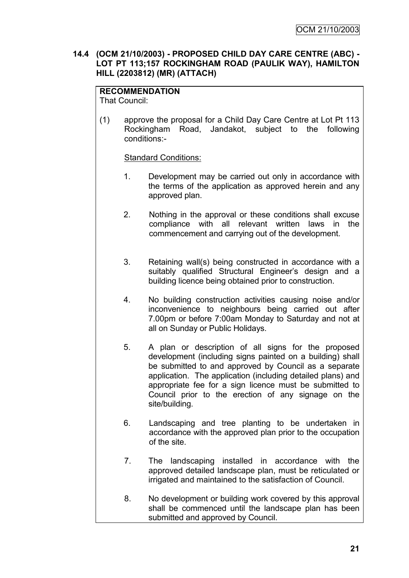#### **14.4 (OCM 21/10/2003) - PROPOSED CHILD DAY CARE CENTRE (ABC) - LOT PT 113;157 ROCKINGHAM ROAD (PAULIK WAY), HAMILTON HILL (2203812) (MR) (ATTACH)**

# **RECOMMENDATION**

That Council:

(1) approve the proposal for a Child Day Care Centre at Lot Pt 113 Rockingham Road, Jandakot, subject to the following conditions:-

# Standard Conditions:

- 1. Development may be carried out only in accordance with the terms of the application as approved herein and any approved plan.
- 2. Nothing in the approval or these conditions shall excuse compliance with all relevant written laws in the commencement and carrying out of the development.
- 3. Retaining wall(s) being constructed in accordance with a suitably qualified Structural Engineer's design and a building licence being obtained prior to construction.
- 4. No building construction activities causing noise and/or inconvenience to neighbours being carried out after 7.00pm or before 7:00am Monday to Saturday and not at all on Sunday or Public Holidays.
- 5. A plan or description of all signs for the proposed development (including signs painted on a building) shall be submitted to and approved by Council as a separate application. The application (including detailed plans) and appropriate fee for a sign licence must be submitted to Council prior to the erection of any signage on the site/building.
- 6. Landscaping and tree planting to be undertaken in accordance with the approved plan prior to the occupation of the site.
- 7. The landscaping installed in accordance with the approved detailed landscape plan, must be reticulated or irrigated and maintained to the satisfaction of Council.
- 8. No development or building work covered by this approval shall be commenced until the landscape plan has been submitted and approved by Council.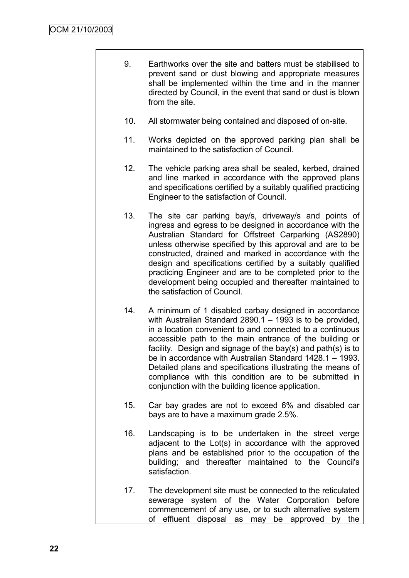- 9. Earthworks over the site and batters must be stabilised to prevent sand or dust blowing and appropriate measures shall be implemented within the time and in the manner directed by Council, in the event that sand or dust is blown from the site.
- 10. All stormwater being contained and disposed of on-site.
- 11. Works depicted on the approved parking plan shall be maintained to the satisfaction of Council.
- 12. The vehicle parking area shall be sealed, kerbed, drained and line marked in accordance with the approved plans and specifications certified by a suitably qualified practicing Engineer to the satisfaction of Council.
- 13. The site car parking bay/s, driveway/s and points of ingress and egress to be designed in accordance with the Australian Standard for Offstreet Carparking (AS2890) unless otherwise specified by this approval and are to be constructed, drained and marked in accordance with the design and specifications certified by a suitably qualified practicing Engineer and are to be completed prior to the development being occupied and thereafter maintained to the satisfaction of Council.
- 14. A minimum of 1 disabled carbay designed in accordance with Australian Standard 2890.1 – 1993 is to be provided, in a location convenient to and connected to a continuous accessible path to the main entrance of the building or facility. Design and signage of the bay(s) and path(s) is to be in accordance with Australian Standard 1428.1 – 1993. Detailed plans and specifications illustrating the means of compliance with this condition are to be submitted in conjunction with the building licence application.
- 15. Car bay grades are not to exceed 6% and disabled car bays are to have a maximum grade 2.5%.
- 16. Landscaping is to be undertaken in the street verge adjacent to the Lot(s) in accordance with the approved plans and be established prior to the occupation of the building; and thereafter maintained to the Council's satisfaction.
- 17. The development site must be connected to the reticulated sewerage system of the Water Corporation before commencement of any use, or to such alternative system of effluent disposal as may be approved by the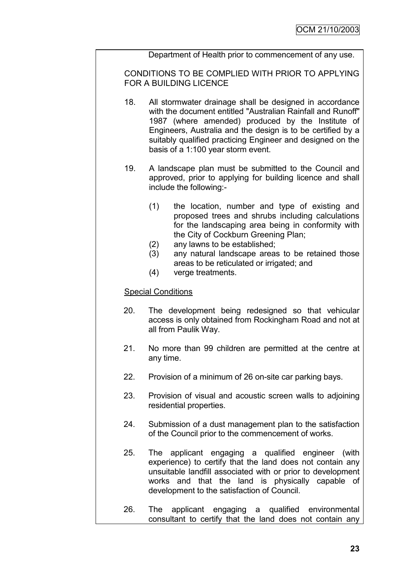Department of Health prior to commencement of any use.

CONDITIONS TO BE COMPLIED WITH PRIOR TO APPLYING FOR A BUILDING LICENCE

- 18. All stormwater drainage shall be designed in accordance with the document entitled "Australian Rainfall and Runoff" 1987 (where amended) produced by the Institute of Engineers, Australia and the design is to be certified by a suitably qualified practicing Engineer and designed on the basis of a 1:100 year storm event.
- 19. A landscape plan must be submitted to the Council and approved, prior to applying for building licence and shall include the following:-
	- (1) the location, number and type of existing and proposed trees and shrubs including calculations for the landscaping area being in conformity with the City of Cockburn Greening Plan;
	- (2) any lawns to be established;
	- (3) any natural landscape areas to be retained those areas to be reticulated or irrigated; and
	- (4) verge treatments.

#### Special Conditions

- 20. The development being redesigned so that vehicular access is only obtained from Rockingham Road and not at all from Paulik Way.
- 21. No more than 99 children are permitted at the centre at any time.
- 22. Provision of a minimum of 26 on-site car parking bays.
- 23. Provision of visual and acoustic screen walls to adjoining residential properties.
- 24. Submission of a dust management plan to the satisfaction of the Council prior to the commencement of works.
- 25. The applicant engaging a qualified engineer (with experience) to certify that the land does not contain any unsuitable landfill associated with or prior to development works and that the land is physically capable of development to the satisfaction of Council.
- 26. The applicant engaging a qualified environmental consultant to certify that the land does not contain any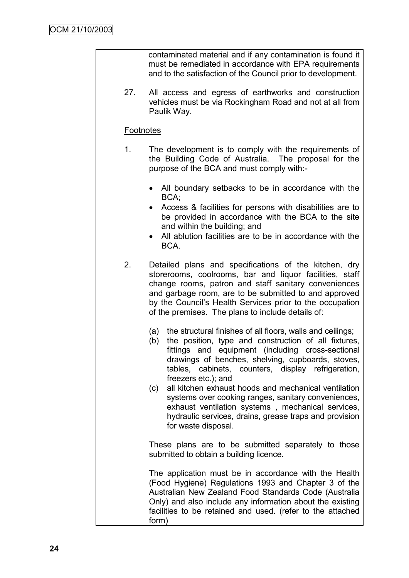contaminated material and if any contamination is found it must be remediated in accordance with EPA requirements and to the satisfaction of the Council prior to development.

27. All access and egress of earthworks and construction vehicles must be via Rockingham Road and not at all from Paulik Way.

# **Footnotes**

- 1. The development is to comply with the requirements of the Building Code of Australia. The proposal for the purpose of the BCA and must comply with:-
	- All boundary setbacks to be in accordance with the BCA;
	- Access & facilities for persons with disabilities are to be provided in accordance with the BCA to the site and within the building; and
	- All ablution facilities are to be in accordance with the BCA.
- 2. Detailed plans and specifications of the kitchen, dry storerooms, coolrooms, bar and liquor facilities, staff change rooms, patron and staff sanitary conveniences and garbage room, are to be submitted to and approved by the Council"s Health Services prior to the occupation of the premises. The plans to include details of:
	- (a) the structural finishes of all floors, walls and ceilings;
	- (b) the position, type and construction of all fixtures, fittings and equipment (including cross-sectional drawings of benches, shelving, cupboards, stoves, tables, cabinets, counters, display refrigeration, freezers etc.); and
	- (c) all kitchen exhaust hoods and mechanical ventilation systems over cooking ranges, sanitary conveniences, exhaust ventilation systems , mechanical services, hydraulic services, drains, grease traps and provision for waste disposal.

These plans are to be submitted separately to those submitted to obtain a building licence.

The application must be in accordance with the Health (Food Hygiene) Regulations 1993 and Chapter 3 of the Australian New Zealand Food Standards Code (Australia Only) and also include any information about the existing facilities to be retained and used. (refer to the attached form)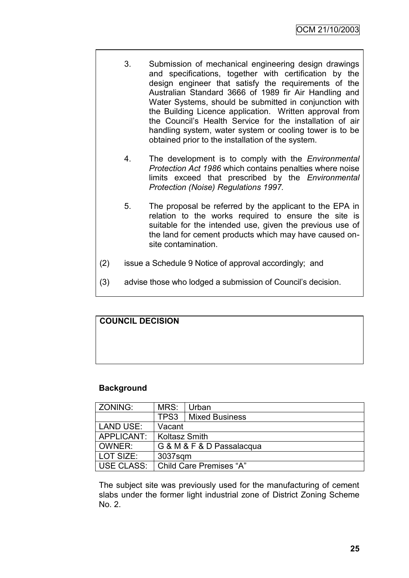- 3. Submission of mechanical engineering design drawings and specifications, together with certification by the design engineer that satisfy the requirements of the Australian Standard 3666 of 1989 fir Air Handling and Water Systems, should be submitted in conjunction with the Building Licence application. Written approval from the Council"s Health Service for the installation of air handling system, water system or cooling tower is to be obtained prior to the installation of the system.
- 4. The development is to comply with the *Environmental Protection Act 1986* which contains penalties where noise limits exceed that prescribed by the *Environmental Protection (Noise) Regulations 1997.*
- 5. The proposal be referred by the applicant to the EPA in relation to the works required to ensure the site is suitable for the intended use, given the previous use of the land for cement products which may have caused onsite contamination.
- (2) issue a Schedule 9 Notice of approval accordingly; and
- (3) advise those who lodged a submission of Council"s decision.

# **COUNCIL DECISION**

#### **Background**

| ZONING:    | MRS:                           | Urban                 |  |
|------------|--------------------------------|-----------------------|--|
|            | TPS3                           | <b>Mixed Business</b> |  |
| LAND USE:  | Vacant                         |                       |  |
| APPLICANT: | <b>Koltasz Smith</b>           |                       |  |
| OWNER:     | G & M & F & D Passalacqua      |                       |  |
| LOT SIZE:  | 3037sqm                        |                       |  |
| USE CLASS: | <b>Child Care Premises "A"</b> |                       |  |

The subject site was previously used for the manufacturing of cement slabs under the former light industrial zone of District Zoning Scheme No. 2.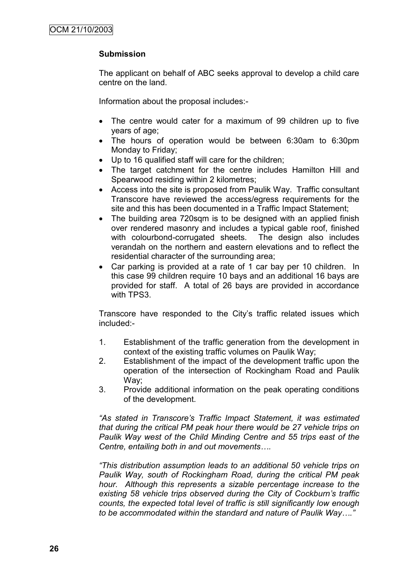# **Submission**

The applicant on behalf of ABC seeks approval to develop a child care centre on the land.

Information about the proposal includes:-

- The centre would cater for a maximum of 99 children up to five years of age;
- The hours of operation would be between 6:30am to 6:30pm Monday to Friday;
- Up to 16 qualified staff will care for the children;
- The target catchment for the centre includes Hamilton Hill and Spearwood residing within 2 kilometres;
- Access into the site is proposed from Paulik Way. Traffic consultant Transcore have reviewed the access/egress requirements for the site and this has been documented in a Traffic Impact Statement;
- The building area 720sqm is to be designed with an applied finish over rendered masonry and includes a typical gable roof, finished with colourbond-corrugated sheets. The design also includes verandah on the northern and eastern elevations and to reflect the residential character of the surrounding area;
- Car parking is provided at a rate of 1 car bay per 10 children. In this case 99 children require 10 bays and an additional 16 bays are provided for staff. A total of 26 bays are provided in accordance with TPS3.

Transcore have responded to the City"s traffic related issues which included:-

- 1. Establishment of the traffic generation from the development in context of the existing traffic volumes on Paulik Way;
- 2. Establishment of the impact of the development traffic upon the operation of the intersection of Rockingham Road and Paulik Way;
- 3. Provide additional information on the peak operating conditions of the development.

*"As stated in Transcore's Traffic Impact Statement, it was estimated that during the critical PM peak hour there would be 27 vehicle trips on Paulik Way west of the Child Minding Centre and 55 trips east of the Centre, entailing both in and out movements….*

*"This distribution assumption leads to an additional 50 vehicle trips on Paulik Way, south of Rockingham Road, during the critical PM peak hour. Although this represents a sizable percentage increase to the existing 58 vehicle trips observed during the City of Cockburn's traffic counts, the expected total level of traffic is still significantly low enough to be accommodated within the standard and nature of Paulik Way…."*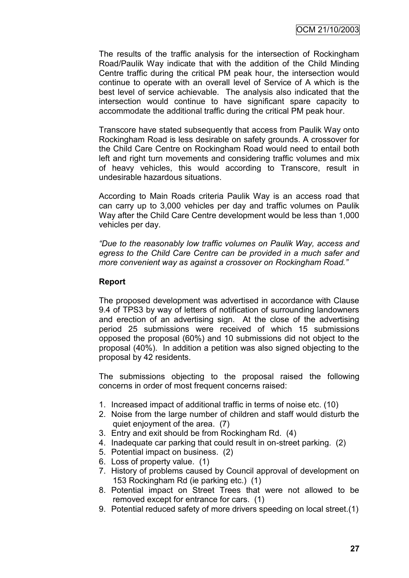The results of the traffic analysis for the intersection of Rockingham Road/Paulik Way indicate that with the addition of the Child Minding Centre traffic during the critical PM peak hour, the intersection would continue to operate with an overall level of Service of A which is the best level of service achievable. The analysis also indicated that the intersection would continue to have significant spare capacity to accommodate the additional traffic during the critical PM peak hour.

Transcore have stated subsequently that access from Paulik Way onto Rockingham Road is less desirable on safety grounds. A crossover for the Child Care Centre on Rockingham Road would need to entail both left and right turn movements and considering traffic volumes and mix of heavy vehicles, this would according to Transcore, result in undesirable hazardous situations.

According to Main Roads criteria Paulik Way is an access road that can carry up to 3,000 vehicles per day and traffic volumes on Paulik Way after the Child Care Centre development would be less than 1,000 vehicles per day.

*"Due to the reasonably low traffic volumes on Paulik Way, access and egress to the Child Care Centre can be provided in a much safer and more convenient way as against a crossover on Rockingham Road."*

# **Report**

The proposed development was advertised in accordance with Clause 9.4 of TPS3 by way of letters of notification of surrounding landowners and erection of an advertising sign. At the close of the advertising period 25 submissions were received of which 15 submissions opposed the proposal (60%) and 10 submissions did not object to the proposal (40%). In addition a petition was also signed objecting to the proposal by 42 residents.

The submissions objecting to the proposal raised the following concerns in order of most frequent concerns raised:

- 1. Increased impact of additional traffic in terms of noise etc. (10)
- 2. Noise from the large number of children and staff would disturb the quiet enjoyment of the area. (7)
- 3. Entry and exit should be from Rockingham Rd. (4)
- 4. Inadequate car parking that could result in on-street parking. (2)
- 5. Potential impact on business. (2)
- 6. Loss of property value. (1)
- 7. History of problems caused by Council approval of development on 153 Rockingham Rd (ie parking etc.) (1)
- 8. Potential impact on Street Trees that were not allowed to be removed except for entrance for cars. (1)
- 9. Potential reduced safety of more drivers speeding on local street.(1)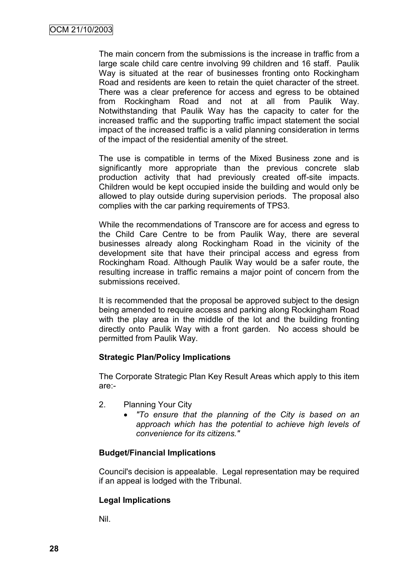The main concern from the submissions is the increase in traffic from a large scale child care centre involving 99 children and 16 staff. Paulik Way is situated at the rear of businesses fronting onto Rockingham Road and residents are keen to retain the quiet character of the street. There was a clear preference for access and egress to be obtained from Rockingham Road and not at all from Paulik Way. Notwithstanding that Paulik Way has the capacity to cater for the increased traffic and the supporting traffic impact statement the social impact of the increased traffic is a valid planning consideration in terms of the impact of the residential amenity of the street.

The use is compatible in terms of the Mixed Business zone and is significantly more appropriate than the previous concrete slab production activity that had previously created off-site impacts. Children would be kept occupied inside the building and would only be allowed to play outside during supervision periods. The proposal also complies with the car parking requirements of TPS3.

While the recommendations of Transcore are for access and egress to the Child Care Centre to be from Paulik Way, there are several businesses already along Rockingham Road in the vicinity of the development site that have their principal access and egress from Rockingham Road. Although Paulik Way would be a safer route, the resulting increase in traffic remains a major point of concern from the submissions received.

It is recommended that the proposal be approved subject to the design being amended to require access and parking along Rockingham Road with the play area in the middle of the lot and the building fronting directly onto Paulik Way with a front garden. No access should be permitted from Paulik Way.

#### **Strategic Plan/Policy Implications**

The Corporate Strategic Plan Key Result Areas which apply to this item are:-

- 2. Planning Your City
	- *"To ensure that the planning of the City is based on an approach which has the potential to achieve high levels of convenience for its citizens."*

#### **Budget/Financial Implications**

Council's decision is appealable. Legal representation may be required if an appeal is lodged with the Tribunal.

#### **Legal Implications**

Nil.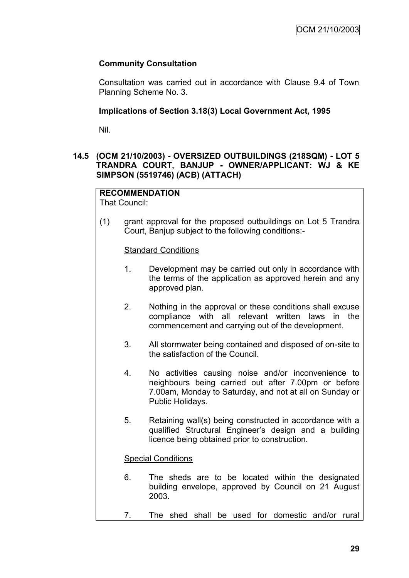# **Community Consultation**

Consultation was carried out in accordance with Clause 9.4 of Town Planning Scheme No. 3.

# **Implications of Section 3.18(3) Local Government Act, 1995**

Nil.

# **14.5 (OCM 21/10/2003) - OVERSIZED OUTBUILDINGS (218SQM) - LOT 5 TRANDRA COURT, BANJUP - OWNER/APPLICANT: WJ & KE SIMPSON (5519746) (ACB) (ATTACH)**

#### **RECOMMENDATION** That Council:

(1) grant approval for the proposed outbuildings on Lot 5 Trandra Court, Banjup subject to the following conditions:-

Standard Conditions

- 1. Development may be carried out only in accordance with the terms of the application as approved herein and any approved plan.
- 2. Nothing in the approval or these conditions shall excuse compliance with all relevant written laws in the commencement and carrying out of the development.
- 3. All stormwater being contained and disposed of on-site to the satisfaction of the Council.
- 4. No activities causing noise and/or inconvenience to neighbours being carried out after 7.00pm or before 7.00am, Monday to Saturday, and not at all on Sunday or Public Holidays.
- 5. Retaining wall(s) being constructed in accordance with a qualified Structural Engineer"s design and a building licence being obtained prior to construction.

#### Special Conditions

- 6. The sheds are to be located within the designated building envelope, approved by Council on 21 August 2003.
- 7. The shed shall be used for domestic and/or rural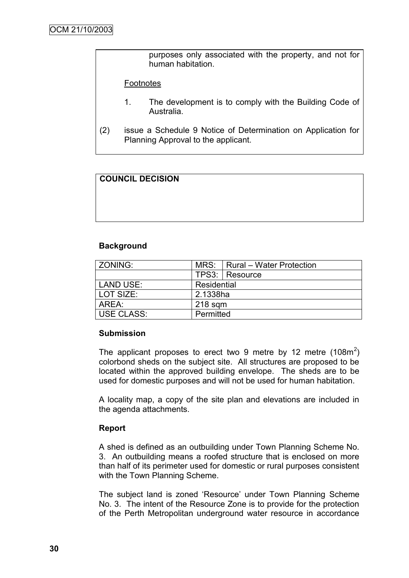purposes only associated with the property, and not for human habitation.

#### Footnotes

- 1. The development is to comply with the Building Code of Australia.
- (2) issue a Schedule 9 Notice of Determination on Application for Planning Approval to the applicant.

# **COUNCIL DECISION**

#### **Background**

| ZONING:           |             | MRS:   Rural - Water Protection |  |
|-------------------|-------------|---------------------------------|--|
|                   |             | TPS3:   Resource                |  |
| <b>LAND USE:</b>  | Residential |                                 |  |
| LOT SIZE:         | 2.1338ha    |                                 |  |
| AREA:             | $218$ sqm   |                                 |  |
| <b>USE CLASS:</b> | Permitted   |                                 |  |

#### **Submission**

The applicant proposes to erect two 9 metre by 12 metre  $(108m^2)$ colorbond sheds on the subject site. All structures are proposed to be located within the approved building envelope. The sheds are to be used for domestic purposes and will not be used for human habitation.

A locality map, a copy of the site plan and elevations are included in the agenda attachments.

#### **Report**

A shed is defined as an outbuilding under Town Planning Scheme No. 3. An outbuilding means a roofed structure that is enclosed on more than half of its perimeter used for domestic or rural purposes consistent with the Town Planning Scheme.

The subject land is zoned "Resource" under Town Planning Scheme No. 3. The intent of the Resource Zone is to provide for the protection of the Perth Metropolitan underground water resource in accordance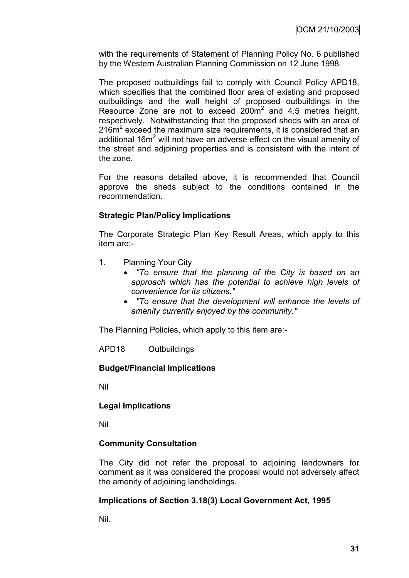with the requirements of Statement of Planning Policy No. 6 published by the Western Australian Planning Commission on 12 June 1998.

The proposed outbuildings fail to comply with Council Policy APD18, which specifies that the combined floor area of existing and proposed outbuildings and the wall height of proposed outbuildings in the Resource Zone are not to exceed  $200m^2$  and 4.5 metres height, respectively. Notwithstanding that the proposed sheds with an area of 216m<sup>2</sup> exceed the maximum size requirements, it is considered that an additional 16 $m<sup>2</sup>$  will not have an adverse effect on the visual amenity of the street and adjoining properties and is consistent with the intent of the zone.

For the reasons detailed above, it is recommended that Council approve the sheds subject to the conditions contained in the recommendation.

# **Strategic Plan/Policy Implications**

The Corporate Strategic Plan Key Result Areas, which apply to this item are:-

- 1. Planning Your City
	- *"To ensure that the planning of the City is based on an approach which has the potential to achieve high levels of convenience for its citizens."*
	- *"To ensure that the development will enhance the levels of amenity currently enjoyed by the community."*

The Planning Policies, which apply to this item are:-

APD18 Outbuildings

### **Budget/Financial Implications**

Nil

### **Legal Implications**

Nil

### **Community Consultation**

The City did not refer the proposal to adjoining landowners for comment as it was considered the proposal would not adversely affect the amenity of adjoining landholdings.

### **Implications of Section 3.18(3) Local Government Act, 1995**

Nil.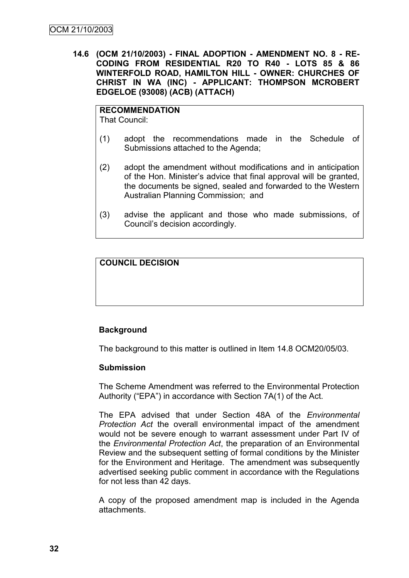**14.6 (OCM 21/10/2003) - FINAL ADOPTION - AMENDMENT NO. 8 - RE-CODING FROM RESIDENTIAL R20 TO R40 - LOTS 85 & 86 WINTERFOLD ROAD, HAMILTON HILL - OWNER: CHURCHES OF CHRIST IN WA (INC) - APPLICANT: THOMPSON MCROBERT EDGELOE (93008) (ACB) (ATTACH)**

**RECOMMENDATION** That Council:

- (1) adopt the recommendations made in the Schedule of Submissions attached to the Agenda;
- (2) adopt the amendment without modifications and in anticipation of the Hon. Minister"s advice that final approval will be granted, the documents be signed, sealed and forwarded to the Western Australian Planning Commission; and
- (3) advise the applicant and those who made submissions, of Council"s decision accordingly.

# **COUNCIL DECISION**

# **Background**

The background to this matter is outlined in Item 14.8 OCM20/05/03.

### **Submission**

The Scheme Amendment was referred to the Environmental Protection Authority ("EPA") in accordance with Section 7A(1) of the Act.

The EPA advised that under Section 48A of the *Environmental Protection Act* the overall environmental impact of the amendment would not be severe enough to warrant assessment under Part IV of the *Environmental Protection Act*, the preparation of an Environmental Review and the subsequent setting of formal conditions by the Minister for the Environment and Heritage. The amendment was subsequently advertised seeking public comment in accordance with the Regulations for not less than 42 days.

A copy of the proposed amendment map is included in the Agenda attachments.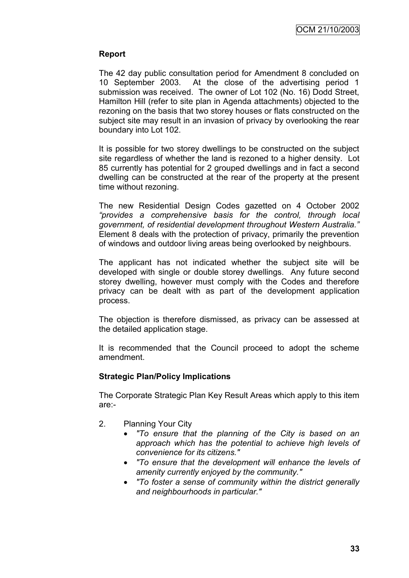## **Report**

The 42 day public consultation period for Amendment 8 concluded on 10 September 2003. At the close of the advertising period 1 submission was received. The owner of Lot 102 (No. 16) Dodd Street, Hamilton Hill (refer to site plan in Agenda attachments) objected to the rezoning on the basis that two storey houses or flats constructed on the subject site may result in an invasion of privacy by overlooking the rear boundary into Lot 102.

It is possible for two storey dwellings to be constructed on the subject site regardless of whether the land is rezoned to a higher density. Lot 85 currently has potential for 2 grouped dwellings and in fact a second dwelling can be constructed at the rear of the property at the present time without rezoning.

The new Residential Design Codes gazetted on 4 October 2002 *"provides a comprehensive basis for the control, through local government, of residential development throughout Western Australia."*  Element 8 deals with the protection of privacy, primarily the prevention of windows and outdoor living areas being overlooked by neighbours.

The applicant has not indicated whether the subject site will be developed with single or double storey dwellings. Any future second storey dwelling, however must comply with the Codes and therefore privacy can be dealt with as part of the development application process.

The objection is therefore dismissed, as privacy can be assessed at the detailed application stage.

It is recommended that the Council proceed to adopt the scheme amendment.

### **Strategic Plan/Policy Implications**

The Corporate Strategic Plan Key Result Areas which apply to this item are:-

- 2. Planning Your City
	- *"To ensure that the planning of the City is based on an approach which has the potential to achieve high levels of convenience for its citizens."*
	- *"To ensure that the development will enhance the levels of amenity currently enjoyed by the community."*
	- *"To foster a sense of community within the district generally and neighbourhoods in particular."*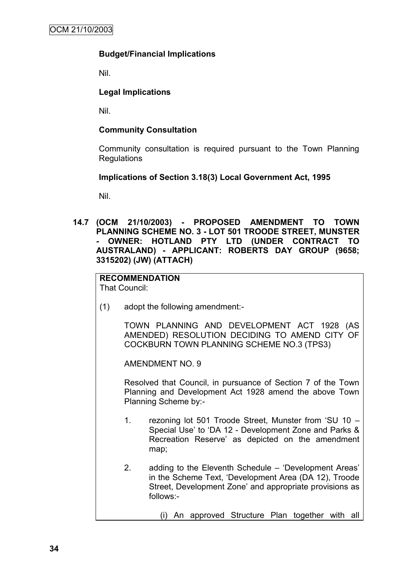### **Budget/Financial Implications**

Nil.

### **Legal Implications**

Nil.

### **Community Consultation**

Community consultation is required pursuant to the Town Planning Regulations

### **Implications of Section 3.18(3) Local Government Act, 1995**

Nil.

**14.7 (OCM 21/10/2003) - PROPOSED AMENDMENT TO TOWN PLANNING SCHEME NO. 3 - LOT 501 TROODE STREET, MUNSTER - OWNER: HOTLAND PTY LTD (UNDER CONTRACT TO AUSTRALAND) - APPLICANT: ROBERTS DAY GROUP (9658; 3315202) (JW) (ATTACH)**

#### **RECOMMENDATION** That Council:

(1) adopt the following amendment:-

TOWN PLANNING AND DEVELOPMENT ACT 1928 (AS AMENDED) RESOLUTION DECIDING TO AMEND CITY OF COCKBURN TOWN PLANNING SCHEME NO.3 (TPS3)

AMENDMENT NO. 9

Resolved that Council, in pursuance of Section 7 of the Town Planning and Development Act 1928 amend the above Town Planning Scheme by:-

- 1. rezoning lot 501 Troode Street, Munster from "SU 10 Special Use" to "DA 12 - Development Zone and Parks & Recreation Reserve' as depicted on the amendment map;
- 2. adding to the Eleventh Schedule "Development Areas" in the Scheme Text, "Development Area (DA 12), Troode Street, Development Zone" and appropriate provisions as follows:-
	- (i) An approved Structure Plan together with all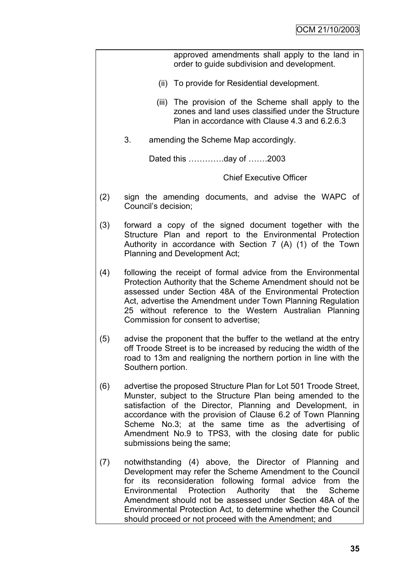|     | approved amendments shall apply to the land in<br>order to guide subdivision and development.                                                                                                                                                                                                                                                                                                                                  |  |  |  |
|-----|--------------------------------------------------------------------------------------------------------------------------------------------------------------------------------------------------------------------------------------------------------------------------------------------------------------------------------------------------------------------------------------------------------------------------------|--|--|--|
|     | (ii) To provide for Residential development.                                                                                                                                                                                                                                                                                                                                                                                   |  |  |  |
|     | (iii) The provision of the Scheme shall apply to the<br>zones and land uses classified under the Structure<br>Plan in accordance with Clause 4.3 and 6.2.6.3                                                                                                                                                                                                                                                                   |  |  |  |
|     | 3.<br>amending the Scheme Map accordingly.                                                                                                                                                                                                                                                                                                                                                                                     |  |  |  |
|     | Dated this day of 2003                                                                                                                                                                                                                                                                                                                                                                                                         |  |  |  |
|     | <b>Chief Executive Officer</b>                                                                                                                                                                                                                                                                                                                                                                                                 |  |  |  |
| (2) | sign the amending documents, and advise the WAPC of<br>Council's decision;                                                                                                                                                                                                                                                                                                                                                     |  |  |  |
| (3) | forward a copy of the signed document together with the<br>Structure Plan and report to the Environmental Protection<br>Authority in accordance with Section 7 (A) (1) of the Town<br>Planning and Development Act;                                                                                                                                                                                                            |  |  |  |
| (4) | following the receipt of formal advice from the Environmental<br>Protection Authority that the Scheme Amendment should not be<br>assessed under Section 48A of the Environmental Protection<br>Act, advertise the Amendment under Town Planning Regulation<br>25 without reference to the Western Australian Planning<br>Commission for consent to advertise;                                                                  |  |  |  |
| (5) | advise the proponent that the buffer to the wetland at the entry<br>off Troode Street is to be increased by reducing the width of the<br>road to 13m and realigning the northern portion in line with the<br>Southern portion.                                                                                                                                                                                                 |  |  |  |
| (6) | advertise the proposed Structure Plan for Lot 501 Troode Street,<br>Munster, subject to the Structure Plan being amended to the<br>satisfaction of the Director, Planning and Development, in<br>accordance with the provision of Clause 6.2 of Town Planning<br>Scheme No.3; at the same time as the advertising of<br>Amendment No.9 to TPS3, with the closing date for public<br>submissions being the same;                |  |  |  |
| (7) | notwithstanding (4) above, the Director of Planning and<br>Development may refer the Scheme Amendment to the Council<br>for its reconsideration following formal advice from the<br>Environmental Protection Authority that the Scheme<br>Amendment should not be assessed under Section 48A of the<br>Environmental Protection Act, to determine whether the Council<br>should proceed or not proceed with the Amendment; and |  |  |  |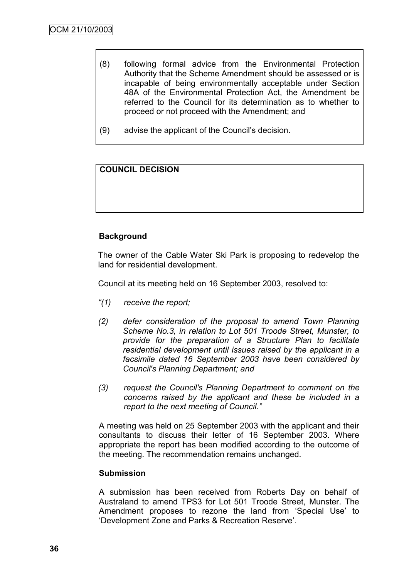- (8) following formal advice from the Environmental Protection Authority that the Scheme Amendment should be assessed or is incapable of being environmentally acceptable under Section 48A of the Environmental Protection Act, the Amendment be referred to the Council for its determination as to whether to proceed or not proceed with the Amendment; and
- (9) advise the applicant of the Council"s decision.

# **COUNCIL DECISION**

# **Background**

The owner of the Cable Water Ski Park is proposing to redevelop the land for residential development.

Council at its meeting held on 16 September 2003, resolved to:

- *"(1) receive the report;*
- *(2) defer consideration of the proposal to amend Town Planning Scheme No.3, in relation to Lot 501 Troode Street, Munster, to provide for the preparation of a Structure Plan to facilitate residential development until issues raised by the applicant in a facsimile dated 16 September 2003 have been considered by Council's Planning Department; and*
- *(3) request the Council's Planning Department to comment on the concerns raised by the applicant and these be included in a report to the next meeting of Council."*

A meeting was held on 25 September 2003 with the applicant and their consultants to discuss their letter of 16 September 2003. Where appropriate the report has been modified according to the outcome of the meeting. The recommendation remains unchanged.

### **Submission**

A submission has been received from Roberts Day on behalf of Australand to amend TPS3 for Lot 501 Troode Street, Munster. The Amendment proposes to rezone the land from "Special Use" to "Development Zone and Parks & Recreation Reserve".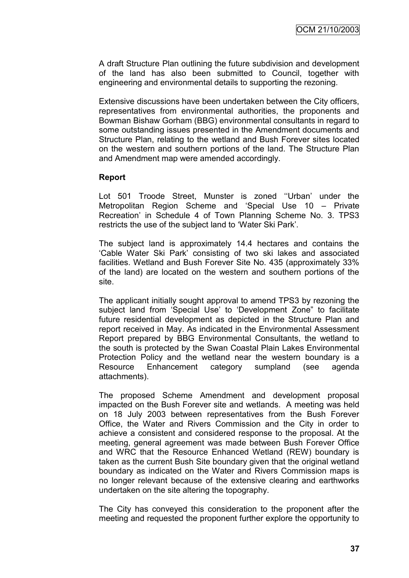A draft Structure Plan outlining the future subdivision and development of the land has also been submitted to Council, together with engineering and environmental details to supporting the rezoning.

Extensive discussions have been undertaken between the City officers, representatives from environmental authorities, the proponents and Bowman Bishaw Gorham (BBG) environmental consultants in regard to some outstanding issues presented in the Amendment documents and Structure Plan, relating to the wetland and Bush Forever sites located on the western and southern portions of the land. The Structure Plan and Amendment map were amended accordingly.

#### **Report**

Lot 501 Troode Street, Munster is zoned "Urban' under the Metropolitan Region Scheme and "Special Use 10 – Private Recreation" in Schedule 4 of Town Planning Scheme No. 3. TPS3 restricts the use of the subject land to "Water Ski Park".

The subject land is approximately 14.4 hectares and contains the "Cable Water Ski Park" consisting of two ski lakes and associated facilities. Wetland and Bush Forever Site No. 435 (approximately 33% of the land) are located on the western and southern portions of the site.

The applicant initially sought approval to amend TPS3 by rezoning the subject land from "Special Use" to "Development Zone" to facilitate future residential development as depicted in the Structure Plan and report received in May. As indicated in the Environmental Assessment Report prepared by BBG Environmental Consultants, the wetland to the south is protected by the Swan Coastal Plain Lakes Environmental Protection Policy and the wetland near the western boundary is a Resource Enhancement category sumpland (see agenda attachments).

The proposed Scheme Amendment and development proposal impacted on the Bush Forever site and wetlands. A meeting was held on 18 July 2003 between representatives from the Bush Forever Office, the Water and Rivers Commission and the City in order to achieve a consistent and considered response to the proposal. At the meeting, general agreement was made between Bush Forever Office and WRC that the Resource Enhanced Wetland (REW) boundary is taken as the current Bush Site boundary given that the original wetland boundary as indicated on the Water and Rivers Commission maps is no longer relevant because of the extensive clearing and earthworks undertaken on the site altering the topography.

The City has conveyed this consideration to the proponent after the meeting and requested the proponent further explore the opportunity to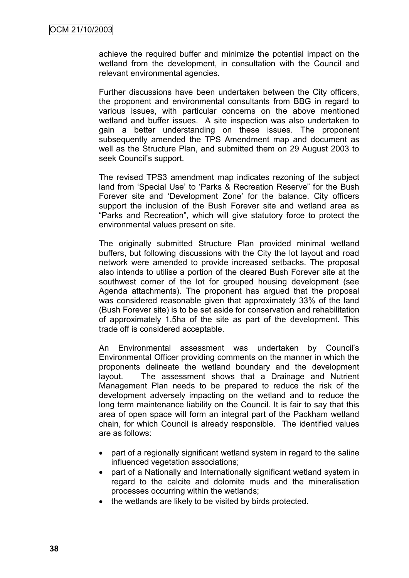achieve the required buffer and minimize the potential impact on the wetland from the development, in consultation with the Council and relevant environmental agencies.

Further discussions have been undertaken between the City officers, the proponent and environmental consultants from BBG in regard to various issues, with particular concerns on the above mentioned wetland and buffer issues. A site inspection was also undertaken to gain a better understanding on these issues. The proponent subsequently amended the TPS Amendment map and document as well as the Structure Plan, and submitted them on 29 August 2003 to seek Council's support.

The revised TPS3 amendment map indicates rezoning of the subject land from 'Special Use' to 'Parks & Recreation Reserve" for the Bush Forever site and 'Development Zone' for the balance. City officers support the inclusion of the Bush Forever site and wetland area as "Parks and Recreation", which will give statutory force to protect the environmental values present on site.

The originally submitted Structure Plan provided minimal wetland buffers, but following discussions with the City the lot layout and road network were amended to provide increased setbacks. The proposal also intends to utilise a portion of the cleared Bush Forever site at the southwest corner of the lot for grouped housing development (see Agenda attachments). The proponent has argued that the proposal was considered reasonable given that approximately 33% of the land (Bush Forever site) is to be set aside for conservation and rehabilitation of approximately 1.5ha of the site as part of the development. This trade off is considered acceptable.

An Environmental assessment was undertaken by Council"s Environmental Officer providing comments on the manner in which the proponents delineate the wetland boundary and the development layout. The assessment shows that a Drainage and Nutrient Management Plan needs to be prepared to reduce the risk of the development adversely impacting on the wetland and to reduce the long term maintenance liability on the Council. It is fair to say that this area of open space will form an integral part of the Packham wetland chain, for which Council is already responsible. The identified values are as follows:

- part of a regionally significant wetland system in regard to the saline influenced vegetation associations;
- part of a Nationally and Internationally significant wetland system in regard to the calcite and dolomite muds and the mineralisation processes occurring within the wetlands;
- the wetlands are likely to be visited by birds protected.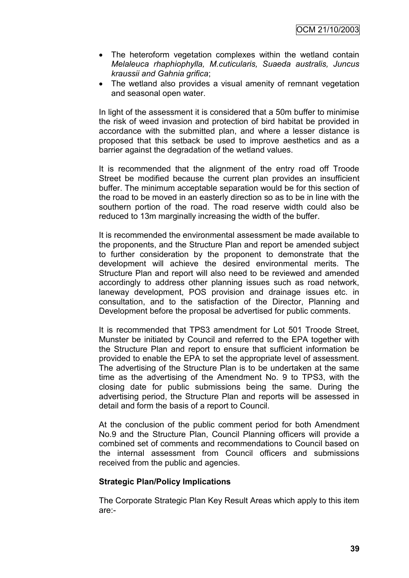- The heteroform vegetation complexes within the wetland contain *Melaleuca rhaphiophylla, M.cuticularis, Suaeda australis, Juncus kraussii and Gahnia grifica*;
- The wetland also provides a visual amenity of remnant vegetation and seasonal open water.

In light of the assessment it is considered that a 50m buffer to minimise the risk of weed invasion and protection of bird habitat be provided in accordance with the submitted plan, and where a lesser distance is proposed that this setback be used to improve aesthetics and as a barrier against the degradation of the wetland values.

It is recommended that the alignment of the entry road off Troode Street be modified because the current plan provides an insufficient buffer. The minimum acceptable separation would be for this section of the road to be moved in an easterly direction so as to be in line with the southern portion of the road. The road reserve width could also be reduced to 13m marginally increasing the width of the buffer.

It is recommended the environmental assessment be made available to the proponents, and the Structure Plan and report be amended subject to further consideration by the proponent to demonstrate that the development will achieve the desired environmental merits. The Structure Plan and report will also need to be reviewed and amended accordingly to address other planning issues such as road network, laneway development, POS provision and drainage issues etc. in consultation, and to the satisfaction of the Director, Planning and Development before the proposal be advertised for public comments.

It is recommended that TPS3 amendment for Lot 501 Troode Street, Munster be initiated by Council and referred to the EPA together with the Structure Plan and report to ensure that sufficient information be provided to enable the EPA to set the appropriate level of assessment. The advertising of the Structure Plan is to be undertaken at the same time as the advertising of the Amendment No. 9 to TPS3, with the closing date for public submissions being the same. During the advertising period, the Structure Plan and reports will be assessed in detail and form the basis of a report to Council.

At the conclusion of the public comment period for both Amendment No.9 and the Structure Plan, Council Planning officers will provide a combined set of comments and recommendations to Council based on the internal assessment from Council officers and submissions received from the public and agencies.

### **Strategic Plan/Policy Implications**

The Corporate Strategic Plan Key Result Areas which apply to this item are:-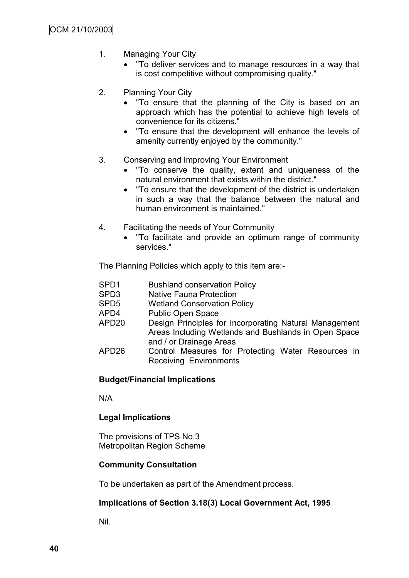- 1. Managing Your City
	- "To deliver services and to manage resources in a way that is cost competitive without compromising quality."
- 2. Planning Your City
	- "To ensure that the planning of the City is based on an approach which has the potential to achieve high levels of convenience for its citizens."
	- "To ensure that the development will enhance the levels of amenity currently enjoyed by the community."
- 3. Conserving and Improving Your Environment
	- "To conserve the quality, extent and uniqueness of the natural environment that exists within the district."
	- "To ensure that the development of the district is undertaken in such a way that the balance between the natural and human environment is maintained."
- 4. Facilitating the needs of Your Community
	- "To facilitate and provide an optimum range of community services."

The Planning Policies which apply to this item are:-

- SPD3 Native Fauna Protection
- SPD5 Wetland Conservation Policy
- APD4 Public Open Space
- APD20 Design Principles for Incorporating Natural Management Areas Including Wetlands and Bushlands in Open Space and / or Drainage Areas
- APD26 Control Measures for Protecting Water Resources in Receiving Environments

### **Budget/Financial Implications**

N/A

### **Legal Implications**

The provisions of TPS No.3 Metropolitan Region Scheme

### **Community Consultation**

To be undertaken as part of the Amendment process.

### **Implications of Section 3.18(3) Local Government Act, 1995**

Nil.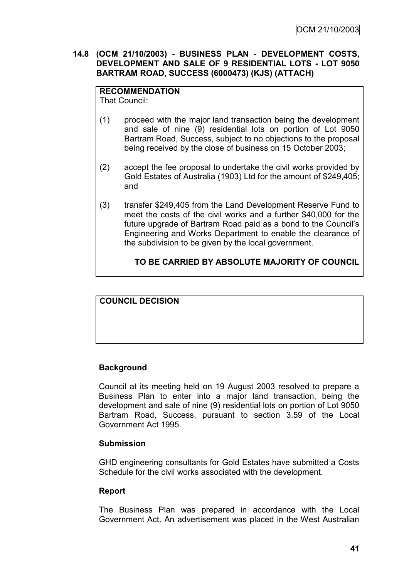### **14.8 (OCM 21/10/2003) - BUSINESS PLAN - DEVELOPMENT COSTS, DEVELOPMENT AND SALE OF 9 RESIDENTIAL LOTS - LOT 9050 BARTRAM ROAD, SUCCESS (6000473) (KJS) (ATTACH)**

# **RECOMMENDATION**

That Council:

- (1) proceed with the major land transaction being the development and sale of nine (9) residential lots on portion of Lot 9050 Bartram Road, Success, subject to no objections to the proposal being received by the close of business on 15 October 2003;
- (2) accept the fee proposal to undertake the civil works provided by Gold Estates of Australia (1903) Ltd for the amount of \$249,405; and
- (3) transfer \$249,405 from the Land Development Reserve Fund to meet the costs of the civil works and a further \$40,000 for the future upgrade of Bartram Road paid as a bond to the Council"s Engineering and Works Department to enable the clearance of the subdivision to be given by the local government.

# **TO BE CARRIED BY ABSOLUTE MAJORITY OF COUNCIL**

**COUNCIL DECISION**

# **Background**

Council at its meeting held on 19 August 2003 resolved to prepare a Business Plan to enter into a major land transaction, being the development and sale of nine (9) residential lots on portion of Lot 9050 Bartram Road, Success, pursuant to section 3.59 of the Local Government Act 1995.

### **Submission**

GHD engineering consultants for Gold Estates have submitted a Costs Schedule for the civil works associated with the development.

### **Report**

The Business Plan was prepared in accordance with the Local Government Act. An advertisement was placed in the West Australian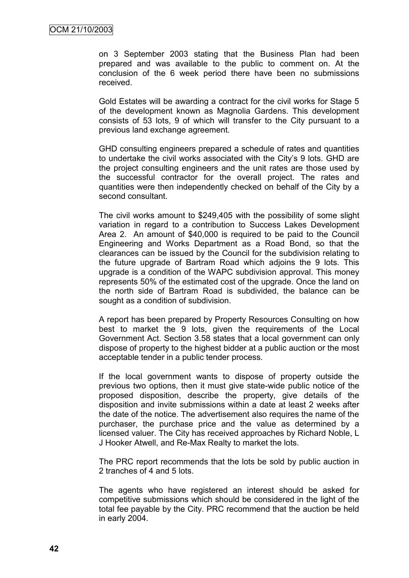on 3 September 2003 stating that the Business Plan had been prepared and was available to the public to comment on. At the conclusion of the 6 week period there have been no submissions received.

Gold Estates will be awarding a contract for the civil works for Stage 5 of the development known as Magnolia Gardens. This development consists of 53 lots, 9 of which will transfer to the City pursuant to a previous land exchange agreement.

GHD consulting engineers prepared a schedule of rates and quantities to undertake the civil works associated with the City"s 9 lots. GHD are the project consulting engineers and the unit rates are those used by the successful contractor for the overall project. The rates and quantities were then independently checked on behalf of the City by a second consultant.

The civil works amount to \$249,405 with the possibility of some slight variation in regard to a contribution to Success Lakes Development Area 2. An amount of \$40,000 is required to be paid to the Council Engineering and Works Department as a Road Bond, so that the clearances can be issued by the Council for the subdivision relating to the future upgrade of Bartram Road which adjoins the 9 lots. This upgrade is a condition of the WAPC subdivision approval. This money represents 50% of the estimated cost of the upgrade. Once the land on the north side of Bartram Road is subdivided, the balance can be sought as a condition of subdivision.

A report has been prepared by Property Resources Consulting on how best to market the 9 lots, given the requirements of the Local Government Act. Section 3.58 states that a local government can only dispose of property to the highest bidder at a public auction or the most acceptable tender in a public tender process.

If the local government wants to dispose of property outside the previous two options, then it must give state-wide public notice of the proposed disposition, describe the property, give details of the disposition and invite submissions within a date at least 2 weeks after the date of the notice. The advertisement also requires the name of the purchaser, the purchase price and the value as determined by a licensed valuer. The City has received approaches by Richard Noble, L J Hooker Atwell, and Re-Max Realty to market the lots.

The PRC report recommends that the lots be sold by public auction in 2 tranches of 4 and 5 lots.

The agents who have registered an interest should be asked for competitive submissions which should be considered in the light of the total fee payable by the City. PRC recommend that the auction be held in early 2004.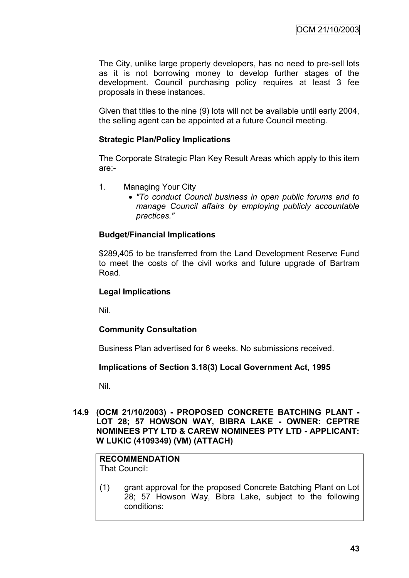The City, unlike large property developers, has no need to pre-sell lots as it is not borrowing money to develop further stages of the development. Council purchasing policy requires at least 3 fee proposals in these instances.

Given that titles to the nine (9) lots will not be available until early 2004, the selling agent can be appointed at a future Council meeting.

### **Strategic Plan/Policy Implications**

The Corporate Strategic Plan Key Result Areas which apply to this item are:-

- 1. Managing Your City
	- *"To conduct Council business in open public forums and to manage Council affairs by employing publicly accountable practices."*

### **Budget/Financial Implications**

\$289,405 to be transferred from the Land Development Reserve Fund to meet the costs of the civil works and future upgrade of Bartram Road.

#### **Legal Implications**

Nil.

### **Community Consultation**

Business Plan advertised for 6 weeks. No submissions received.

### **Implications of Section 3.18(3) Local Government Act, 1995**

Nil.

#### **14.9 (OCM 21/10/2003) - PROPOSED CONCRETE BATCHING PLANT - LOT 28; 57 HOWSON WAY, BIBRA LAKE - OWNER: CEPTRE NOMINEES PTY LTD & CAREW NOMINEES PTY LTD - APPLICANT: W LUKIC (4109349) (VM) (ATTACH)**

#### **RECOMMENDATION** That Council:

(1) grant approval for the proposed Concrete Batching Plant on Lot 28; 57 Howson Way, Bibra Lake, subject to the following conditions: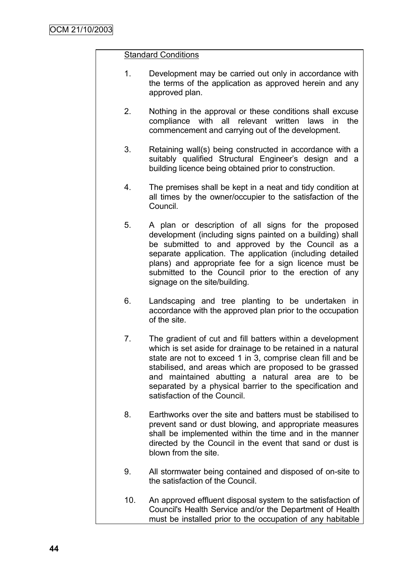### Standard Conditions

- 1. Development may be carried out only in accordance with the terms of the application as approved herein and any approved plan.
- 2. Nothing in the approval or these conditions shall excuse compliance with all relevant written laws in the commencement and carrying out of the development.
- 3. Retaining wall(s) being constructed in accordance with a suitably qualified Structural Engineer's design and a building licence being obtained prior to construction.
- 4. The premises shall be kept in a neat and tidy condition at all times by the owner/occupier to the satisfaction of the Council.
- 5. A plan or description of all signs for the proposed development (including signs painted on a building) shall be submitted to and approved by the Council as a separate application. The application (including detailed plans) and appropriate fee for a sign licence must be submitted to the Council prior to the erection of any signage on the site/building.
- 6. Landscaping and tree planting to be undertaken in accordance with the approved plan prior to the occupation of the site.
- 7. The gradient of cut and fill batters within a development which is set aside for drainage to be retained in a natural state are not to exceed 1 in 3, comprise clean fill and be stabilised, and areas which are proposed to be grassed and maintained abutting a natural area are to be separated by a physical barrier to the specification and satisfaction of the Council.
- 8. Earthworks over the site and batters must be stabilised to prevent sand or dust blowing, and appropriate measures shall be implemented within the time and in the manner directed by the Council in the event that sand or dust is blown from the site.
- 9. All stormwater being contained and disposed of on-site to the satisfaction of the Council.
- 10. An approved effluent disposal system to the satisfaction of Council's Health Service and/or the Department of Health must be installed prior to the occupation of any habitable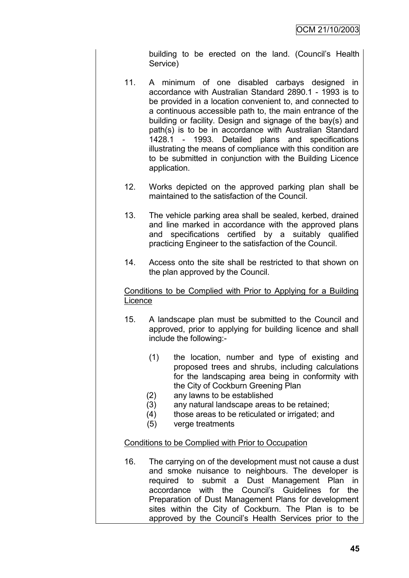building to be erected on the land. (Council"s Health Service)

- 11. A minimum of one disabled carbays designed in accordance with Australian Standard 2890.1 - 1993 is to be provided in a location convenient to, and connected to a continuous accessible path to, the main entrance of the building or facility. Design and signage of the bay(s) and path(s) is to be in accordance with Australian Standard 1428.1 - 1993. Detailed plans and specifications illustrating the means of compliance with this condition are to be submitted in conjunction with the Building Licence application.
- 12. Works depicted on the approved parking plan shall be maintained to the satisfaction of the Council.
- 13. The vehicle parking area shall be sealed, kerbed, drained and line marked in accordance with the approved plans and specifications certified by a suitably qualified practicing Engineer to the satisfaction of the Council.
- 14. Access onto the site shall be restricted to that shown on the plan approved by the Council.

Conditions to be Complied with Prior to Applying for a Building **Licence** 

- 15. A landscape plan must be submitted to the Council and approved, prior to applying for building licence and shall include the following:-
	- (1) the location, number and type of existing and proposed trees and shrubs, including calculations for the landscaping area being in conformity with the City of Cockburn Greening Plan
	- (2) any lawns to be established
	- (3) any natural landscape areas to be retained;
	- (4) those areas to be reticulated or irrigated; and
	- (5) verge treatments

### Conditions to be Complied with Prior to Occupation

16. The carrying on of the development must not cause a dust and smoke nuisance to neighbours. The developer is required to submit a Dust Management Plan in accordance with the Council"s Guidelines for the Preparation of Dust Management Plans for development sites within the City of Cockburn. The Plan is to be approved by the Council"s Health Services prior to the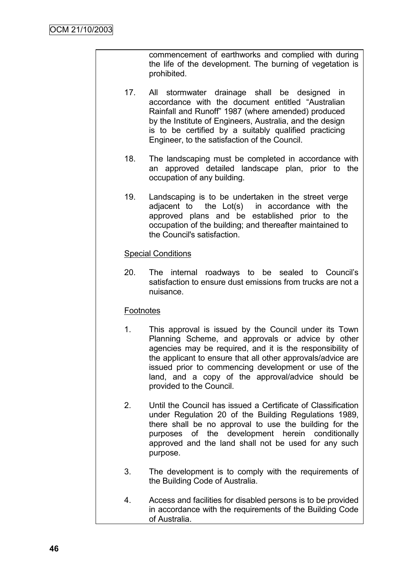commencement of earthworks and complied with during the life of the development. The burning of vegetation is prohibited.

- 17. All stormwater drainage shall be designed in accordance with the document entitled "Australian Rainfall and Runoff" 1987 (where amended) produced by the Institute of Engineers, Australia, and the design is to be certified by a suitably qualified practicing Engineer, to the satisfaction of the Council.
- 18. The landscaping must be completed in accordance with an approved detailed landscape plan, prior to the occupation of any building.
- 19. Landscaping is to be undertaken in the street verge adjacent to the Lot(s) in accordance with the approved plans and be established prior to the occupation of the building; and thereafter maintained to the Council's satisfaction.

### Special Conditions

20. The internal roadways to be sealed to Council"s satisfaction to ensure dust emissions from trucks are not a nuisance.

# **Footnotes**

- 1. This approval is issued by the Council under its Town Planning Scheme, and approvals or advice by other agencies may be required, and it is the responsibility of the applicant to ensure that all other approvals/advice are issued prior to commencing development or use of the land, and a copy of the approval/advice should be provided to the Council.
- 2. Until the Council has issued a Certificate of Classification under Regulation 20 of the Building Regulations 1989, there shall be no approval to use the building for the purposes of the development herein conditionally approved and the land shall not be used for any such purpose.
- 3. The development is to comply with the requirements of the Building Code of Australia.
- 4. Access and facilities for disabled persons is to be provided in accordance with the requirements of the Building Code of Australia.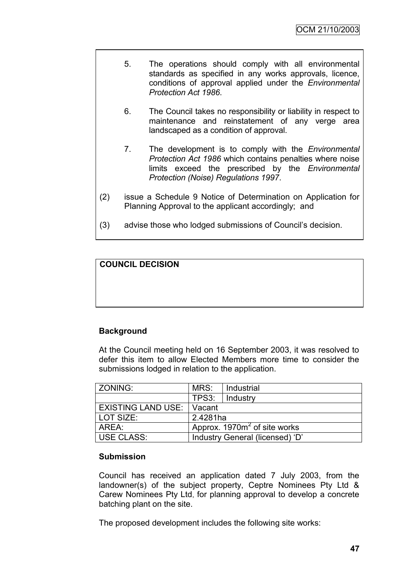- 5. The operations should comply with all environmental standards as specified in any works approvals, licence, conditions of approval applied under the *Environmental Protection Act 1986*.
- 6. The Council takes no responsibility or liability in respect to maintenance and reinstatement of any verge area landscaped as a condition of approval.
- 7. The development is to comply with the *Environmental Protection Act 1986* which contains penalties where noise limits exceed the prescribed by the *Environmental Protection (Noise) Regulations 1997*.
- (2) issue a Schedule 9 Notice of Determination on Application for Planning Approval to the applicant accordingly; and
- (3) advise those who lodged submissions of Council"s decision.

# **COUNCIL DECISION**

# **Background**

At the Council meeting held on 16 September 2003, it was resolved to defer this item to allow Elected Members more time to consider the submissions lodged in relation to the application.

| ZONING:            | MRS:                            | Industrial |  |
|--------------------|---------------------------------|------------|--|
|                    | TPS3:                           | Industry   |  |
| EXISTING LAND USE: | Vacant                          |            |  |
| LOT SIZE:          | 2.4281ha                        |            |  |
| l AREA:            | Approx. $1970m^2$ of site works |            |  |
| USE CLASS:         | Industry General (licensed) 'D' |            |  |

### **Submission**

Council has received an application dated 7 July 2003, from the landowner(s) of the subject property, Ceptre Nominees Pty Ltd & Carew Nominees Pty Ltd, for planning approval to develop a concrete batching plant on the site.

The proposed development includes the following site works: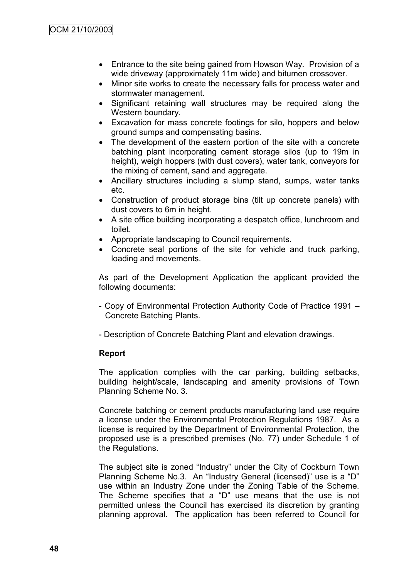- Entrance to the site being gained from Howson Way. Provision of a wide driveway (approximately 11m wide) and bitumen crossover.
- Minor site works to create the necessary falls for process water and stormwater management.
- Significant retaining wall structures may be required along the Western boundary.
- Excavation for mass concrete footings for silo, hoppers and below ground sumps and compensating basins.
- The development of the eastern portion of the site with a concrete batching plant incorporating cement storage silos (up to 19m in height), weigh hoppers (with dust covers), water tank, conveyors for the mixing of cement, sand and aggregate.
- Ancillary structures including a slump stand, sumps, water tanks etc.
- Construction of product storage bins (tilt up concrete panels) with dust covers to 6m in height.
- A site office building incorporating a despatch office, lunchroom and toilet.
- Appropriate landscaping to Council requirements.
- Concrete seal portions of the site for vehicle and truck parking, loading and movements.

As part of the Development Application the applicant provided the following documents:

- Copy of Environmental Protection Authority Code of Practice 1991 Concrete Batching Plants.
- Description of Concrete Batching Plant and elevation drawings.

### **Report**

The application complies with the car parking, building setbacks, building height/scale, landscaping and amenity provisions of Town Planning Scheme No. 3.

Concrete batching or cement products manufacturing land use require a license under the Environmental Protection Regulations 1987. As a license is required by the Department of Environmental Protection, the proposed use is a prescribed premises (No. 77) under Schedule 1 of the Regulations.

The subject site is zoned "Industry" under the City of Cockburn Town Planning Scheme No.3. An "Industry General (licensed)" use is a "D" use within an Industry Zone under the Zoning Table of the Scheme. The Scheme specifies that a "D" use means that the use is not permitted unless the Council has exercised its discretion by granting planning approval. The application has been referred to Council for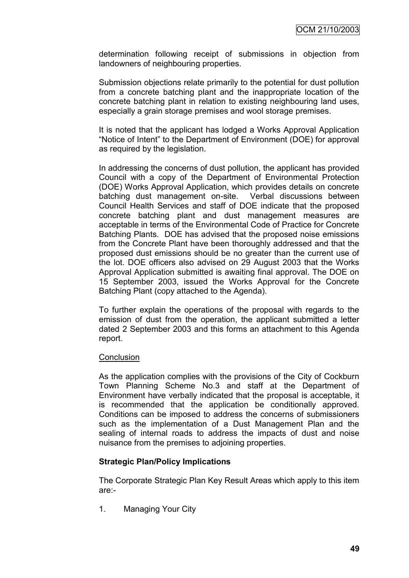determination following receipt of submissions in objection from landowners of neighbouring properties.

Submission objections relate primarily to the potential for dust pollution from a concrete batching plant and the inappropriate location of the concrete batching plant in relation to existing neighbouring land uses, especially a grain storage premises and wool storage premises.

It is noted that the applicant has lodged a Works Approval Application "Notice of Intent" to the Department of Environment (DOE) for approval as required by the legislation.

In addressing the concerns of dust pollution, the applicant has provided Council with a copy of the Department of Environmental Protection (DOE) Works Approval Application, which provides details on concrete batching dust management on-site. Verbal discussions between Council Health Services and staff of DOE indicate that the proposed concrete batching plant and dust management measures are acceptable in terms of the Environmental Code of Practice for Concrete Batching Plants. DOE has advised that the proposed noise emissions from the Concrete Plant have been thoroughly addressed and that the proposed dust emissions should be no greater than the current use of the lot. DOE officers also advised on 29 August 2003 that the Works Approval Application submitted is awaiting final approval. The DOE on 15 September 2003, issued the Works Approval for the Concrete Batching Plant (copy attached to the Agenda).

To further explain the operations of the proposal with regards to the emission of dust from the operation, the applicant submitted a letter dated 2 September 2003 and this forms an attachment to this Agenda report.

### **Conclusion**

As the application complies with the provisions of the City of Cockburn Town Planning Scheme No.3 and staff at the Department of Environment have verbally indicated that the proposal is acceptable, it is recommended that the application be conditionally approved. Conditions can be imposed to address the concerns of submissioners such as the implementation of a Dust Management Plan and the sealing of internal roads to address the impacts of dust and noise nuisance from the premises to adjoining properties.

### **Strategic Plan/Policy Implications**

The Corporate Strategic Plan Key Result Areas which apply to this item are:-

1. Managing Your City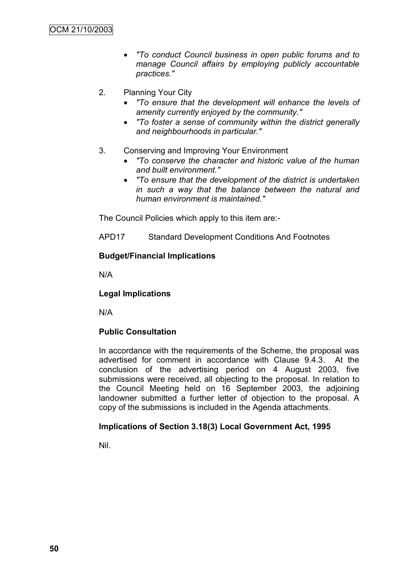- *"To conduct Council business in open public forums and to manage Council affairs by employing publicly accountable practices."*
- 2. Planning Your City
	- *"To ensure that the development will enhance the levels of amenity currently enjoyed by the community."*
	- *"To foster a sense of community within the district generally and neighbourhoods in particular."*
- 3. Conserving and Improving Your Environment
	- *"To conserve the character and historic value of the human and built environment."*
	- *"To ensure that the development of the district is undertaken in such a way that the balance between the natural and human environment is maintained."*

The Council Policies which apply to this item are:-

APD17 Standard Development Conditions And Footnotes

### **Budget/Financial Implications**

N/A

### **Legal Implications**

N/A

# **Public Consultation**

In accordance with the requirements of the Scheme, the proposal was advertised for comment in accordance with Clause 9.4.3. At the conclusion of the advertising period on 4 August 2003, five submissions were received, all objecting to the proposal. In relation to the Council Meeting held on 16 September 2003, the adjoining landowner submitted a further letter of objection to the proposal. A copy of the submissions is included in the Agenda attachments.

### **Implications of Section 3.18(3) Local Government Act, 1995**

Nil.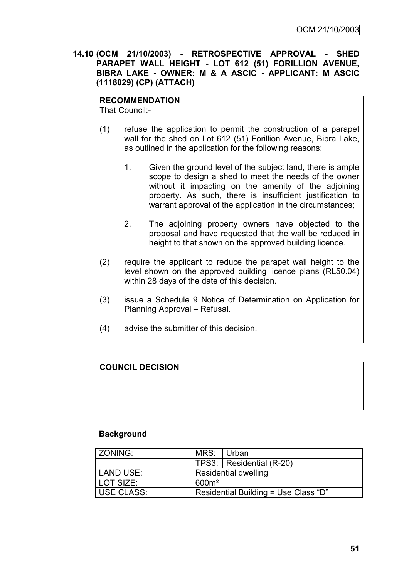### **14.10 (OCM 21/10/2003) - RETROSPECTIVE APPROVAL - SHED PARAPET WALL HEIGHT - LOT 612 (51) FORILLION AVENUE, BIBRA LAKE - OWNER: M & A ASCIC - APPLICANT: M ASCIC (1118029) (CP) (ATTACH)**

### **RECOMMENDATION**

That Council:-

- (1) refuse the application to permit the construction of a parapet wall for the shed on Lot 612 (51) Forillion Avenue, Bibra Lake, as outlined in the application for the following reasons:
	- 1. Given the ground level of the subject land, there is ample scope to design a shed to meet the needs of the owner without it impacting on the amenity of the adjoining property. As such, there is insufficient justification to warrant approval of the application in the circumstances;
	- 2. The adjoining property owners have objected to the proposal and have requested that the wall be reduced in height to that shown on the approved building licence.
- (2) require the applicant to reduce the parapet wall height to the level shown on the approved building licence plans (RL50.04) within 28 days of the date of this decision.
- (3) issue a Schedule 9 Notice of Determination on Application for Planning Approval – Refusal.
- (4) advise the submitter of this decision.

# **COUNCIL DECISION**

### **Background**

| l ZONING:         | MRS:                        | ⊟ Urban                              |  |
|-------------------|-----------------------------|--------------------------------------|--|
|                   |                             | TPS3: Residential (R-20)             |  |
| LAND USE:         | <b>Residential dwelling</b> |                                      |  |
| l LOT SIZE:       | 600m <sup>2</sup>           |                                      |  |
| <b>USE CLASS:</b> |                             | Residential Building = Use Class "D" |  |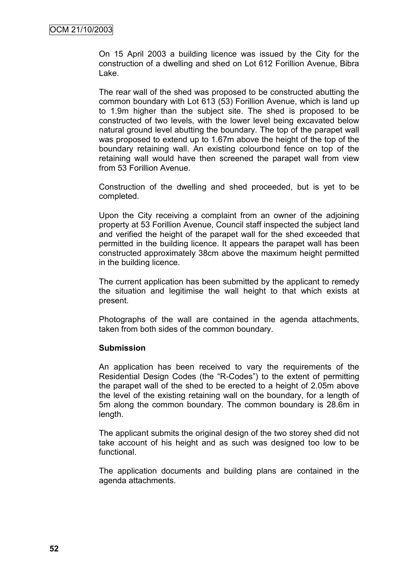On 15 April 2003 a building licence was issued by the City for the construction of a dwelling and shed on Lot 612 Forillion Avenue, Bibra Lake.

The rear wall of the shed was proposed to be constructed abutting the common boundary with Lot 613 (53) Forillion Avenue, which is land up to 1.9m higher than the subject site. The shed is proposed to be constructed of two levels, with the lower level being excavated below natural ground level abutting the boundary. The top of the parapet wall was proposed to extend up to 1.67m above the height of the top of the boundary retaining wall. An existing colourbond fence on top of the retaining wall would have then screened the parapet wall from view from 53 Forillion Avenue.

Construction of the dwelling and shed proceeded, but is yet to be completed.

Upon the City receiving a complaint from an owner of the adjoining property at 53 Forillion Avenue, Council staff inspected the subject land and verified the height of the parapet wall for the shed exceeded that permitted in the building licence. It appears the parapet wall has been constructed approximately 38cm above the maximum height permitted in the building licence.

The current application has been submitted by the applicant to remedy the situation and legitimise the wall height to that which exists at present.

Photographs of the wall are contained in the agenda attachments, taken from both sides of the common boundary.

### **Submission**

An application has been received to vary the requirements of the Residential Design Codes (the "R-Codes") to the extent of permitting the parapet wall of the shed to be erected to a height of 2.05m above the level of the existing retaining wall on the boundary, for a length of 5m along the common boundary. The common boundary is 28.6m in length.

The applicant submits the original design of the two storey shed did not take account of his height and as such was designed too low to be functional.

The application documents and building plans are contained in the agenda attachments.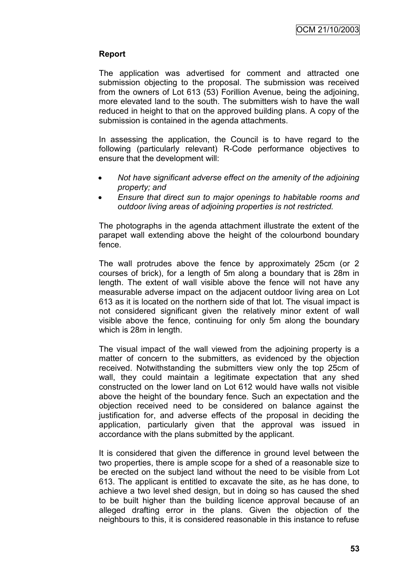## **Report**

The application was advertised for comment and attracted one submission objecting to the proposal. The submission was received from the owners of Lot 613 (53) Forillion Avenue, being the adjoining, more elevated land to the south. The submitters wish to have the wall reduced in height to that on the approved building plans. A copy of the submission is contained in the agenda attachments.

In assessing the application, the Council is to have regard to the following (particularly relevant) R-Code performance objectives to ensure that the development will:

- *Not have significant adverse effect on the amenity of the adjoining property; and*
- *Ensure that direct sun to major openings to habitable rooms and outdoor living areas of adjoining properties is not restricted.*

The photographs in the agenda attachment illustrate the extent of the parapet wall extending above the height of the colourbond boundary fence.

The wall protrudes above the fence by approximately 25cm (or 2 courses of brick), for a length of 5m along a boundary that is 28m in length. The extent of wall visible above the fence will not have any measurable adverse impact on the adjacent outdoor living area on Lot 613 as it is located on the northern side of that lot. The visual impact is not considered significant given the relatively minor extent of wall visible above the fence, continuing for only 5m along the boundary which is 28m in length.

The visual impact of the wall viewed from the adjoining property is a matter of concern to the submitters, as evidenced by the objection received. Notwithstanding the submitters view only the top 25cm of wall, they could maintain a legitimate expectation that any shed constructed on the lower land on Lot 612 would have walls not visible above the height of the boundary fence. Such an expectation and the objection received need to be considered on balance against the justification for, and adverse effects of the proposal in deciding the application, particularly given that the approval was issued in accordance with the plans submitted by the applicant.

It is considered that given the difference in ground level between the two properties, there is ample scope for a shed of a reasonable size to be erected on the subject land without the need to be visible from Lot 613. The applicant is entitled to excavate the site, as he has done, to achieve a two level shed design, but in doing so has caused the shed to be built higher than the building licence approval because of an alleged drafting error in the plans. Given the objection of the neighbours to this, it is considered reasonable in this instance to refuse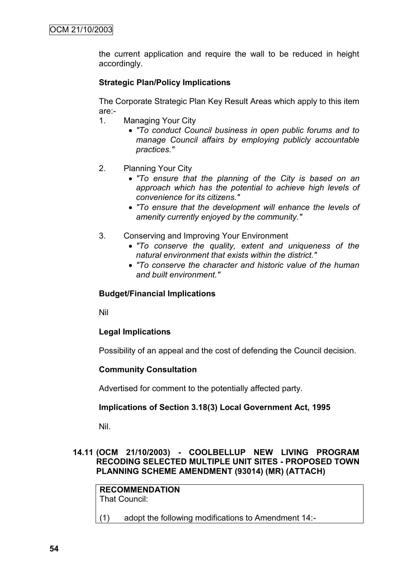the current application and require the wall to be reduced in height accordingly.

### **Strategic Plan/Policy Implications**

The Corporate Strategic Plan Key Result Areas which apply to this item are:-

- 1. Managing Your City
	- *"To conduct Council business in open public forums and to manage Council affairs by employing publicly accountable practices."*
- 2. Planning Your City
	- *"To ensure that the planning of the City is based on an approach which has the potential to achieve high levels of convenience for its citizens."*
	- *"To ensure that the development will enhance the levels of amenity currently enjoyed by the community."*
- 3. Conserving and Improving Your Environment
	- *"To conserve the quality, extent and uniqueness of the natural environment that exists within the district."*
	- *"To conserve the character and historic value of the human and built environment."*

### **Budget/Financial Implications**

Nil

# **Legal Implications**

Possibility of an appeal and the cost of defending the Council decision.

### **Community Consultation**

Advertised for comment to the potentially affected party.

### **Implications of Section 3.18(3) Local Government Act, 1995**

Nil.

### **14.11 (OCM 21/10/2003) - COOLBELLUP NEW LIVING PROGRAM RECODING SELECTED MULTIPLE UNIT SITES - PROPOSED TOWN PLANNING SCHEME AMENDMENT (93014) (MR) (ATTACH)**

**RECOMMENDATION** That Council: (1) adopt the following modifications to Amendment 14:-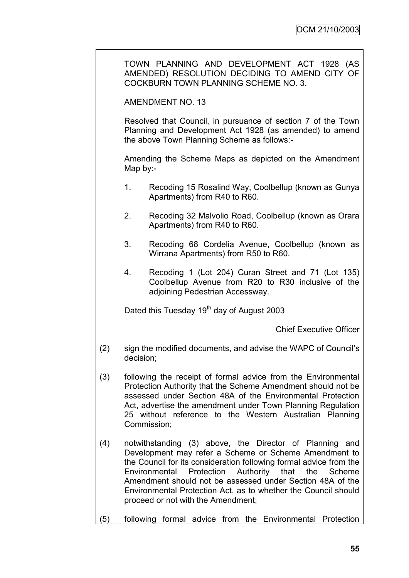TOWN PLANNING AND DEVELOPMENT ACT 1928 (AS AMENDED) RESOLUTION DECIDING TO AMEND CITY OF COCKBURN TOWN PLANNING SCHEME NO. 3.

AMENDMENT NO. 13

Resolved that Council, in pursuance of section 7 of the Town Planning and Development Act 1928 (as amended) to amend the above Town Planning Scheme as follows:-

Amending the Scheme Maps as depicted on the Amendment Map by:-

- 1. Recoding 15 Rosalind Way, Coolbellup (known as Gunya Apartments) from R40 to R60.
- 2. Recoding 32 Malvolio Road, Coolbellup (known as Orara Apartments) from R40 to R60.
- 3. Recoding 68 Cordelia Avenue, Coolbellup (known as Wirrana Apartments) from R50 to R60.
- 4. Recoding 1 (Lot 204) Curan Street and 71 (Lot 135) Coolbellup Avenue from R20 to R30 inclusive of the adjoining Pedestrian Accessway.

Dated this Tuesday 19<sup>th</sup> day of August 2003

Chief Executive Officer

- (2) sign the modified documents, and advise the WAPC of Council"s decision;
- (3) following the receipt of formal advice from the Environmental Protection Authority that the Scheme Amendment should not be assessed under Section 48A of the Environmental Protection Act, advertise the amendment under Town Planning Regulation 25 without reference to the Western Australian Planning Commission;
- (4) notwithstanding (3) above, the Director of Planning and Development may refer a Scheme or Scheme Amendment to the Council for its consideration following formal advice from the Environmental Protection Authority that the Scheme Amendment should not be assessed under Section 48A of the Environmental Protection Act, as to whether the Council should proceed or not with the Amendment;
- (5) following formal advice from the Environmental Protection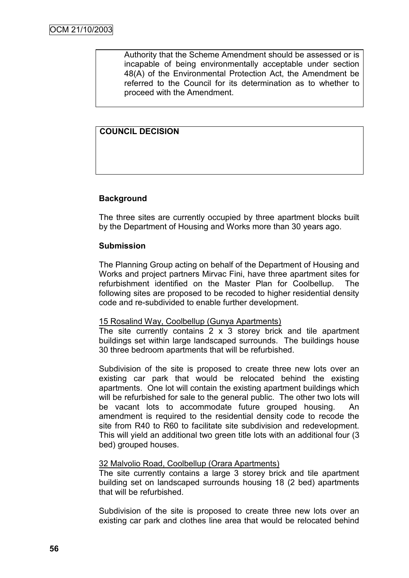Authority that the Scheme Amendment should be assessed or is incapable of being environmentally acceptable under section 48(A) of the Environmental Protection Act, the Amendment be referred to the Council for its determination as to whether to proceed with the Amendment.

### **COUNCIL DECISION**

### **Background**

The three sites are currently occupied by three apartment blocks built by the Department of Housing and Works more than 30 years ago.

### **Submission**

The Planning Group acting on behalf of the Department of Housing and Works and project partners Mirvac Fini, have three apartment sites for refurbishment identified on the Master Plan for Coolbellup. The following sites are proposed to be recoded to higher residential density code and re-subdivided to enable further development.

#### 15 Rosalind Way, Coolbellup (Gunya Apartments)

The site currently contains  $2 \times 3$  storey brick and tile apartment buildings set within large landscaped surrounds. The buildings house 30 three bedroom apartments that will be refurbished.

Subdivision of the site is proposed to create three new lots over an existing car park that would be relocated behind the existing apartments. One lot will contain the existing apartment buildings which will be refurbished for sale to the general public. The other two lots will be vacant lots to accommodate future grouped housing. An amendment is required to the residential density code to recode the site from R40 to R60 to facilitate site subdivision and redevelopment. This will yield an additional two green title lots with an additional four (3 bed) grouped houses.

### 32 Malvolio Road, Coolbellup (Orara Apartments)

The site currently contains a large 3 storey brick and tile apartment building set on landscaped surrounds housing 18 (2 bed) apartments that will be refurbished.

Subdivision of the site is proposed to create three new lots over an existing car park and clothes line area that would be relocated behind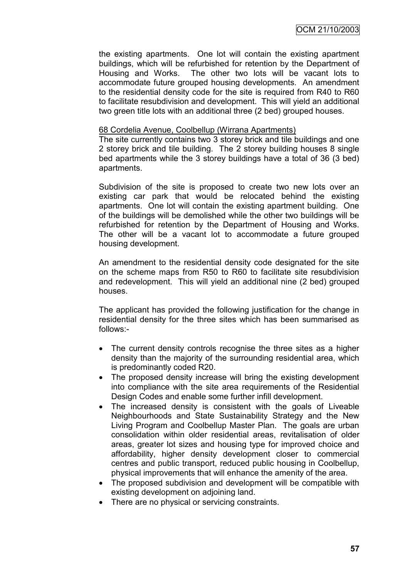the existing apartments. One lot will contain the existing apartment buildings, which will be refurbished for retention by the Department of Housing and Works. The other two lots will be vacant lots to accommodate future grouped housing developments. An amendment to the residential density code for the site is required from R40 to R60 to facilitate resubdivision and development. This will yield an additional two green title lots with an additional three (2 bed) grouped houses.

#### 68 Cordelia Avenue, Coolbellup (Wirrana Apartments)

The site currently contains two 3 storey brick and tile buildings and one 2 storey brick and tile building. The 2 storey building houses 8 single bed apartments while the 3 storey buildings have a total of 36 (3 bed) apartments.

Subdivision of the site is proposed to create two new lots over an existing car park that would be relocated behind the existing apartments. One lot will contain the existing apartment building. One of the buildings will be demolished while the other two buildings will be refurbished for retention by the Department of Housing and Works. The other will be a vacant lot to accommodate a future grouped housing development.

An amendment to the residential density code designated for the site on the scheme maps from R50 to R60 to facilitate site resubdivision and redevelopment. This will yield an additional nine (2 bed) grouped houses.

The applicant has provided the following justification for the change in residential density for the three sites which has been summarised as follows:-

- The current density controls recognise the three sites as a higher density than the majority of the surrounding residential area, which is predominantly coded R20.
- The proposed density increase will bring the existing development into compliance with the site area requirements of the Residential Design Codes and enable some further infill development.
- The increased density is consistent with the goals of Liveable Neighbourhoods and State Sustainability Strategy and the New Living Program and Coolbellup Master Plan. The goals are urban consolidation within older residential areas, revitalisation of older areas, greater lot sizes and housing type for improved choice and affordability, higher density development closer to commercial centres and public transport, reduced public housing in Coolbellup, physical improvements that will enhance the amenity of the area.
- The proposed subdivision and development will be compatible with existing development on adjoining land.
- There are no physical or servicing constraints.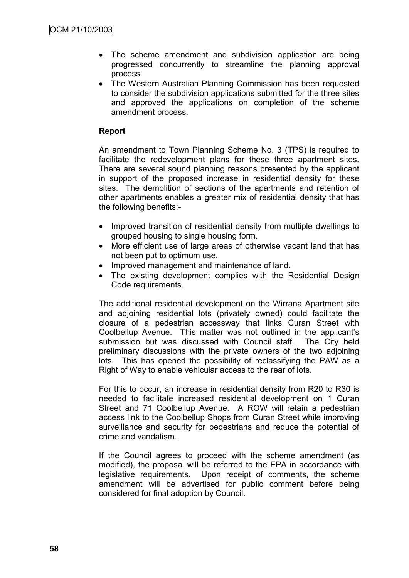- The scheme amendment and subdivision application are being progressed concurrently to streamline the planning approval process.
- The Western Australian Planning Commission has been requested to consider the subdivision applications submitted for the three sites and approved the applications on completion of the scheme amendment process.

# **Report**

An amendment to Town Planning Scheme No. 3 (TPS) is required to facilitate the redevelopment plans for these three apartment sites. There are several sound planning reasons presented by the applicant in support of the proposed increase in residential density for these sites. The demolition of sections of the apartments and retention of other apartments enables a greater mix of residential density that has the following benefits:-

- Improved transition of residential density from multiple dwellings to grouped housing to single housing form.
- More efficient use of large areas of otherwise vacant land that has not been put to optimum use.
- Improved management and maintenance of land.
- The existing development complies with the Residential Design Code requirements.

The additional residential development on the Wirrana Apartment site and adioining residential lots (privately owned) could facilitate the closure of a pedestrian accessway that links Curan Street with Coolbellup Avenue. This matter was not outlined in the applicant"s submission but was discussed with Council staff. The City held preliminary discussions with the private owners of the two adjoining lots. This has opened the possibility of reclassifying the PAW as a Right of Way to enable vehicular access to the rear of lots.

For this to occur, an increase in residential density from R20 to R30 is needed to facilitate increased residential development on 1 Curan Street and 71 Coolbellup Avenue. A ROW will retain a pedestrian access link to the Coolbellup Shops from Curan Street while improving surveillance and security for pedestrians and reduce the potential of crime and vandalism.

If the Council agrees to proceed with the scheme amendment (as modified), the proposal will be referred to the EPA in accordance with legislative requirements. Upon receipt of comments, the scheme amendment will be advertised for public comment before being considered for final adoption by Council.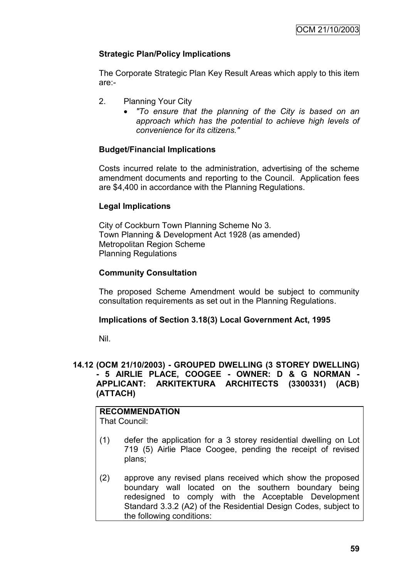# **Strategic Plan/Policy Implications**

The Corporate Strategic Plan Key Result Areas which apply to this item are:-

- 2. Planning Your City
	- *"To ensure that the planning of the City is based on an approach which has the potential to achieve high levels of convenience for its citizens."*

### **Budget/Financial Implications**

Costs incurred relate to the administration, advertising of the scheme amendment documents and reporting to the Council. Application fees are \$4,400 in accordance with the Planning Regulations.

### **Legal Implications**

City of Cockburn Town Planning Scheme No 3. Town Planning & Development Act 1928 (as amended) Metropolitan Region Scheme Planning Regulations

### **Community Consultation**

The proposed Scheme Amendment would be subject to community consultation requirements as set out in the Planning Regulations.

### **Implications of Section 3.18(3) Local Government Act, 1995**

Nil.

### **14.12 (OCM 21/10/2003) - GROUPED DWELLING (3 STOREY DWELLING) - 5 AIRLIE PLACE, COOGEE - OWNER: D & G NORMAN - APPLICANT: ARKITEKTURA ARCHITECTS (3300331) (ACB) (ATTACH)**

#### **RECOMMENDATION** That Council:

- (1) defer the application for a 3 storey residential dwelling on Lot 719 (5) Airlie Place Coogee, pending the receipt of revised plans;
- (2) approve any revised plans received which show the proposed boundary wall located on the southern boundary being redesigned to comply with the Acceptable Development Standard 3.3.2 (A2) of the Residential Design Codes, subject to the following conditions: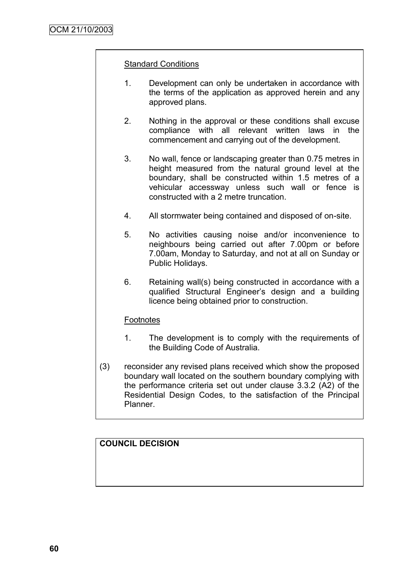### Standard Conditions

- 1. Development can only be undertaken in accordance with the terms of the application as approved herein and any approved plans.
- 2. Nothing in the approval or these conditions shall excuse compliance with all relevant written laws in the commencement and carrying out of the development.
- 3. No wall, fence or landscaping greater than 0.75 metres in height measured from the natural ground level at the boundary, shall be constructed within 1.5 metres of a vehicular accessway unless such wall or fence is constructed with a 2 metre truncation.
- 4. All stormwater being contained and disposed of on-site.
- 5. No activities causing noise and/or inconvenience to neighbours being carried out after 7.00pm or before 7.00am, Monday to Saturday, and not at all on Sunday or Public Holidays.
- 6. Retaining wall(s) being constructed in accordance with a qualified Structural Engineer"s design and a building licence being obtained prior to construction.

### **Footnotes**

- 1. The development is to comply with the requirements of the Building Code of Australia.
- (3) reconsider any revised plans received which show the proposed boundary wall located on the southern boundary complying with the performance criteria set out under clause 3.3.2 (A2) of the Residential Design Codes, to the satisfaction of the Principal Planner.

# **COUNCIL DECISION**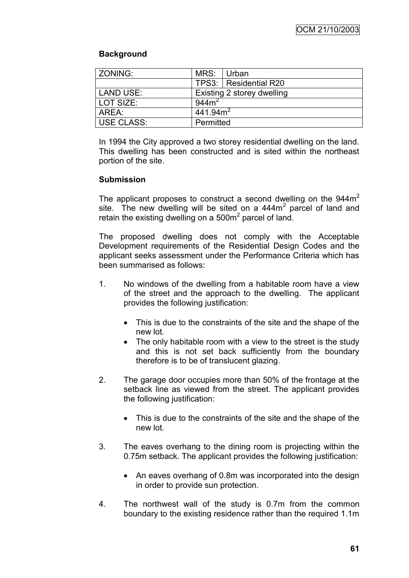### **Background**

| ZONING:           | MRS: Urban                 |                         |  |
|-------------------|----------------------------|-------------------------|--|
|                   |                            | TPS3:   Residential R20 |  |
| LAND USE:         | Existing 2 storey dwelling |                         |  |
| l LOT SIZE:       | 944m <sup>2</sup>          |                         |  |
| AREA:             | 441.94m <sup>2</sup>       |                         |  |
| <b>USE CLASS:</b> | Permitted                  |                         |  |

In 1994 the City approved a two storey residential dwelling on the land. This dwelling has been constructed and is sited within the northeast portion of the site.

### **Submission**

The applicant proposes to construct a second dwelling on the  $944m<sup>2</sup>$ site. The new dwelling will be sited on a  $444m<sup>2</sup>$  parcel of land and retain the existing dwelling on a 500 $m<sup>2</sup>$  parcel of land.

The proposed dwelling does not comply with the Acceptable Development requirements of the Residential Design Codes and the applicant seeks assessment under the Performance Criteria which has been summarised as follows:

- 1. No windows of the dwelling from a habitable room have a view of the street and the approach to the dwelling. The applicant provides the following justification:
	- This is due to the constraints of the site and the shape of the new lot*.*
	- The only habitable room with a view to the street is the study and this is not set back sufficiently from the boundary therefore is to be of translucent glazing.
- 2. The garage door occupies more than 50% of the frontage at the setback line as viewed from the street. The applicant provides the following justification:
	- This is due to the constraints of the site and the shape of the new lot*.*
- 3. The eaves overhang to the dining room is projecting within the 0.75m setback. The applicant provides the following justification:
	- An eaves overhang of 0.8m was incorporated into the design in order to provide sun protection.
- 4. The northwest wall of the study is 0.7m from the common boundary to the existing residence rather than the required 1.1m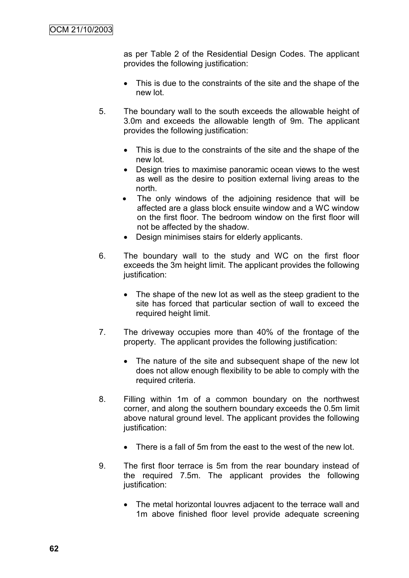as per Table 2 of the Residential Design Codes. The applicant provides the following justification:

- This is due to the constraints of the site and the shape of the new lot*.*
- 5. The boundary wall to the south exceeds the allowable height of 3.0m and exceeds the allowable length of 9m. The applicant provides the following justification:
	- This is due to the constraints of the site and the shape of the new lot*.*
	- Design tries to maximise panoramic ocean views to the west as well as the desire to position external living areas to the north.
	- The only windows of the adjoining residence that will be affected are a glass block ensuite window and a WC window on the first floor. The bedroom window on the first floor will not be affected by the shadow.
	- Design minimises stairs for elderly applicants.
- 6. The boundary wall to the study and WC on the first floor exceeds the 3m height limit. The applicant provides the following justification:
	- The shape of the new lot as well as the steep gradient to the site has forced that particular section of wall to exceed the required height limit.
- 7. The driveway occupies more than 40% of the frontage of the property. The applicant provides the following justification:
	- The nature of the site and subsequent shape of the new lot does not allow enough flexibility to be able to comply with the required criteria.
- 8. Filling within 1m of a common boundary on the northwest corner, and along the southern boundary exceeds the 0.5m limit above natural ground level. The applicant provides the following justification:
	- There is a fall of 5m from the east to the west of the new lot.
- 9. The first floor terrace is 5m from the rear boundary instead of the required 7.5m. The applicant provides the following justification:
	- The metal horizontal louvres adjacent to the terrace wall and 1m above finished floor level provide adequate screening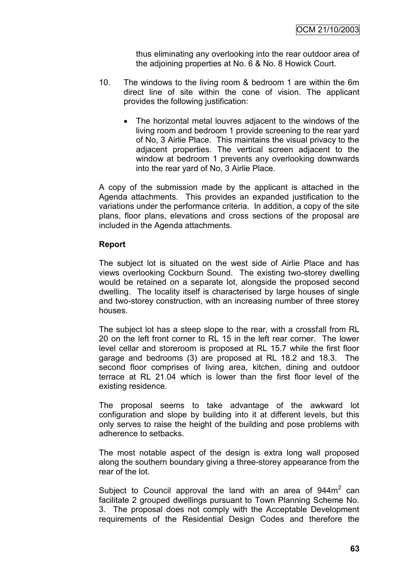thus eliminating any overlooking into the rear outdoor area of the adjoining properties at No. 6 & No. 8 Howick Court.

- 10. The windows to the living room & bedroom 1 are within the 6m direct line of site within the cone of vision. The applicant provides the following justification:
	- The horizontal metal louvres adjacent to the windows of the living room and bedroom 1 provide screening to the rear yard of No, 3 Airlie Place. This maintains the visual privacy to the adjacent properties. The vertical screen adjacent to the window at bedroom 1 prevents any overlooking downwards into the rear yard of No, 3 Airlie Place.

A copy of the submission made by the applicant is attached in the Agenda attachments. This provides an expanded justification to the variations under the performance criteria. In addition, a copy of the site plans, floor plans, elevations and cross sections of the proposal are included in the Agenda attachments.

### **Report**

The subject lot is situated on the west side of Airlie Place and has views overlooking Cockburn Sound. The existing two-storey dwelling would be retained on a separate lot, alongside the proposed second dwelling. The locality itself is characterised by large houses of single and two-storey construction, with an increasing number of three storey houses.

The subject lot has a steep slope to the rear, with a crossfall from RL 20 on the left front corner to RL 15 in the left rear corner. The lower level cellar and storeroom is proposed at RL 15.7 while the first floor garage and bedrooms (3) are proposed at RL 18.2 and 18.3. The second floor comprises of living area, kitchen, dining and outdoor terrace at RL 21.04 which is lower than the first floor level of the existing residence.

The proposal seems to take advantage of the awkward lot configuration and slope by building into it at different levels, but this only serves to raise the height of the building and pose problems with adherence to setbacks.

The most notable aspect of the design is extra long wall proposed along the southern boundary giving a three-storey appearance from the rear of the lot.

Subject to Council approval the land with an area of  $944m<sup>2</sup>$  can facilitate 2 grouped dwellings pursuant to Town Planning Scheme No. 3. The proposal does not comply with the Acceptable Development requirements of the Residential Design Codes and therefore the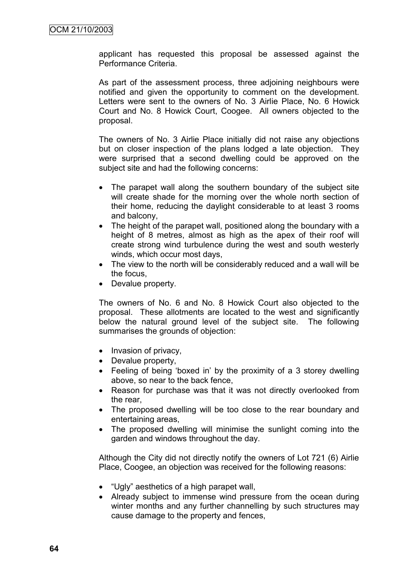applicant has requested this proposal be assessed against the Performance Criteria.

As part of the assessment process, three adjoining neighbours were notified and given the opportunity to comment on the development. Letters were sent to the owners of No. 3 Airlie Place, No. 6 Howick Court and No. 8 Howick Court, Coogee. All owners objected to the proposal.

The owners of No. 3 Airlie Place initially did not raise any objections but on closer inspection of the plans lodged a late objection. They were surprised that a second dwelling could be approved on the subject site and had the following concerns:

- The parapet wall along the southern boundary of the subject site will create shade for the morning over the whole north section of their home, reducing the daylight considerable to at least 3 rooms and balcony,
- The height of the parapet wall, positioned along the boundary with a height of 8 metres, almost as high as the apex of their roof will create strong wind turbulence during the west and south westerly winds, which occur most days,
- The view to the north will be considerably reduced and a wall will be the focus,
- Devalue property.

The owners of No. 6 and No. 8 Howick Court also objected to the proposal. These allotments are located to the west and significantly below the natural ground level of the subject site. The following summarises the grounds of objection:

- Invasion of privacy,
- Devalue property,
- Feeling of being 'boxed in' by the proximity of a 3 storey dwelling above, so near to the back fence,
- Reason for purchase was that it was not directly overlooked from the rear,
- The proposed dwelling will be too close to the rear boundary and entertaining areas,
- The proposed dwelling will minimise the sunlight coming into the garden and windows throughout the day.

Although the City did not directly notify the owners of Lot 721 (6) Airlie Place, Coogee, an objection was received for the following reasons:

- "Ugly" aesthetics of a high parapet wall,
- Already subject to immense wind pressure from the ocean during winter months and any further channelling by such structures may cause damage to the property and fences,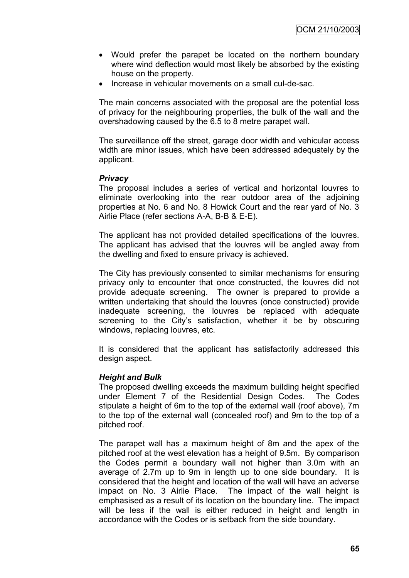- Would prefer the parapet be located on the northern boundary where wind deflection would most likely be absorbed by the existing house on the property.
- Increase in vehicular movements on a small cul-de-sac.

The main concerns associated with the proposal are the potential loss of privacy for the neighbouring properties, the bulk of the wall and the overshadowing caused by the 6.5 to 8 metre parapet wall.

The surveillance off the street, garage door width and vehicular access width are minor issues, which have been addressed adequately by the applicant.

#### *Privacy*

The proposal includes a series of vertical and horizontal louvres to eliminate overlooking into the rear outdoor area of the adjoining properties at No. 6 and No. 8 Howick Court and the rear yard of No. 3 Airlie Place (refer sections A-A, B-B & E-E).

The applicant has not provided detailed specifications of the louvres. The applicant has advised that the louvres will be angled away from the dwelling and fixed to ensure privacy is achieved.

The City has previously consented to similar mechanisms for ensuring privacy only to encounter that once constructed, the louvres did not provide adequate screening. The owner is prepared to provide a written undertaking that should the louvres (once constructed) provide inadequate screening, the louvres be replaced with adequate screening to the City's satisfaction, whether it be by obscuring windows, replacing louvres, etc.

It is considered that the applicant has satisfactorily addressed this design aspect.

#### *Height and Bulk*

The proposed dwelling exceeds the maximum building height specified under Element 7 of the Residential Design Codes. The Codes stipulate a height of 6m to the top of the external wall (roof above), 7m to the top of the external wall (concealed roof) and 9m to the top of a pitched roof.

The parapet wall has a maximum height of 8m and the apex of the pitched roof at the west elevation has a height of 9.5m. By comparison the Codes permit a boundary wall not higher than 3.0m with an average of 2.7m up to 9m in length up to one side boundary. It is considered that the height and location of the wall will have an adverse impact on No. 3 Airlie Place. The impact of the wall height is emphasised as a result of its location on the boundary line. The impact will be less if the wall is either reduced in height and length in accordance with the Codes or is setback from the side boundary.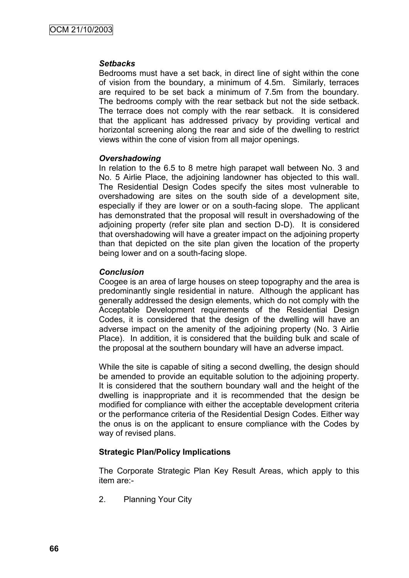#### *Setbacks*

Bedrooms must have a set back, in direct line of sight within the cone of vision from the boundary, a minimum of 4.5m. Similarly, terraces are required to be set back a minimum of 7.5m from the boundary. The bedrooms comply with the rear setback but not the side setback. The terrace does not comply with the rear setback. It is considered that the applicant has addressed privacy by providing vertical and horizontal screening along the rear and side of the dwelling to restrict views within the cone of vision from all major openings.

#### *Overshadowing*

In relation to the 6.5 to 8 metre high parapet wall between No. 3 and No. 5 Airlie Place, the adjoining landowner has objected to this wall. The Residential Design Codes specify the sites most vulnerable to overshadowing are sites on the south side of a development site, especially if they are lower or on a south-facing slope. The applicant has demonstrated that the proposal will result in overshadowing of the adjoining property (refer site plan and section D-D). It is considered that overshadowing will have a greater impact on the adjoining property than that depicted on the site plan given the location of the property being lower and on a south-facing slope.

### *Conclusion*

Coogee is an area of large houses on steep topography and the area is predominantly single residential in nature. Although the applicant has generally addressed the design elements, which do not comply with the Acceptable Development requirements of the Residential Design Codes, it is considered that the design of the dwelling will have an adverse impact on the amenity of the adjoining property (No. 3 Airlie Place). In addition, it is considered that the building bulk and scale of the proposal at the southern boundary will have an adverse impact.

While the site is capable of siting a second dwelling, the design should be amended to provide an equitable solution to the adjoining property. It is considered that the southern boundary wall and the height of the dwelling is inappropriate and it is recommended that the design be modified for compliance with either the acceptable development criteria or the performance criteria of the Residential Design Codes. Either way the onus is on the applicant to ensure compliance with the Codes by way of revised plans.

### **Strategic Plan/Policy Implications**

The Corporate Strategic Plan Key Result Areas, which apply to this item are:-

2. Planning Your City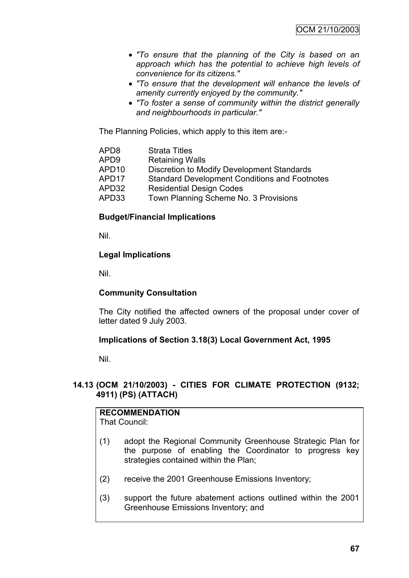- *"To ensure that the planning of the City is based on an approach which has the potential to achieve high levels of convenience for its citizens."*
- *"To ensure that the development will enhance the levels of amenity currently enjoyed by the community."*
- *"To foster a sense of community within the district generally and neighbourhoods in particular."*

The Planning Policies, which apply to this item are:-

| APD8  | <b>Strata Titles</b>                                 |
|-------|------------------------------------------------------|
| APD9  | <b>Retaining Walls</b>                               |
| APD10 | Discretion to Modify Development Standards           |
| APD17 | <b>Standard Development Conditions and Footnotes</b> |
| APD32 | <b>Residential Design Codes</b>                      |
| APD33 | Town Planning Scheme No. 3 Provisions                |
|       |                                                      |

#### **Budget/Financial Implications**

Nil.

#### **Legal Implications**

Nil.

#### **Community Consultation**

The City notified the affected owners of the proposal under cover of letter dated 9 July 2003.

#### **Implications of Section 3.18(3) Local Government Act, 1995**

Nil.

### **14.13 (OCM 21/10/2003) - CITIES FOR CLIMATE PROTECTION (9132; 4911) (PS) (ATTACH)**

| <b>RECOMMENDATION</b> |  |
|-----------------------|--|
| That Council:         |  |

- (1) adopt the Regional Community Greenhouse Strategic Plan for the purpose of enabling the Coordinator to progress key strategies contained within the Plan;
- (2) receive the 2001 Greenhouse Emissions Inventory;
- (3) support the future abatement actions outlined within the 2001 Greenhouse Emissions Inventory; and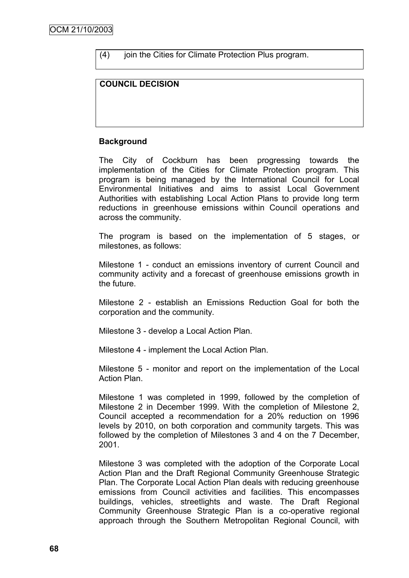(4) join the Cities for Climate Protection Plus program.

### **COUNCIL DECISION**

### **Background**

The City of Cockburn has been progressing towards the implementation of the Cities for Climate Protection program. This program is being managed by the International Council for Local Environmental Initiatives and aims to assist Local Government Authorities with establishing Local Action Plans to provide long term reductions in greenhouse emissions within Council operations and across the community.

The program is based on the implementation of 5 stages, or milestones, as follows:

Milestone 1 - conduct an emissions inventory of current Council and community activity and a forecast of greenhouse emissions growth in the future.

Milestone 2 - establish an Emissions Reduction Goal for both the corporation and the community.

Milestone 3 - develop a Local Action Plan.

Milestone 4 - implement the Local Action Plan.

Milestone 5 - monitor and report on the implementation of the Local Action Plan.

Milestone 1 was completed in 1999, followed by the completion of Milestone 2 in December 1999. With the completion of Milestone 2, Council accepted a recommendation for a 20% reduction on 1996 levels by 2010, on both corporation and community targets. This was followed by the completion of Milestones 3 and 4 on the 7 December, 2001.

Milestone 3 was completed with the adoption of the Corporate Local Action Plan and the Draft Regional Community Greenhouse Strategic Plan. The Corporate Local Action Plan deals with reducing greenhouse emissions from Council activities and facilities. This encompasses buildings, vehicles, streetlights and waste. The Draft Regional Community Greenhouse Strategic Plan is a co-operative regional approach through the Southern Metropolitan Regional Council, with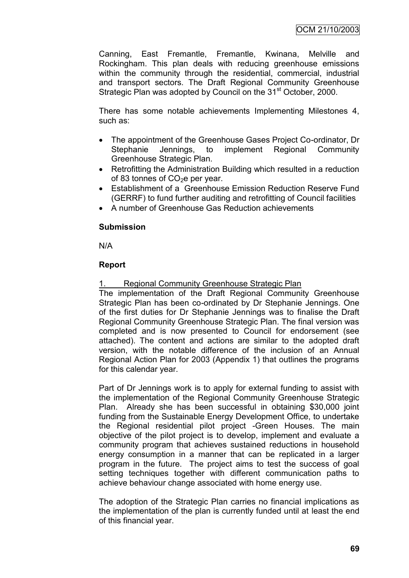Canning, East Fremantle, Fremantle, Kwinana, Melville and Rockingham. This plan deals with reducing greenhouse emissions within the community through the residential, commercial, industrial and transport sectors. The Draft Regional Community Greenhouse Strategic Plan was adopted by Council on the 31<sup>st</sup> October, 2000.

There has some notable achievements Implementing Milestones 4, such as:

- The appointment of the Greenhouse Gases Project Co-ordinator, Dr Stephanie Jennings, to implement Regional Community Greenhouse Strategic Plan.
- Retrofitting the Administration Building which resulted in a reduction of 83 tonnes of  $CO<sub>2</sub>e$  per year.
- Establishment of a Greenhouse Emission Reduction Reserve Fund (GERRF) to fund further auditing and retrofitting of Council facilities
- A number of Greenhouse Gas Reduction achievements

#### **Submission**

N/A

### **Report**

### Regional Community Greenhouse Strategic Plan

The implementation of the Draft Regional Community Greenhouse Strategic Plan has been co-ordinated by Dr Stephanie Jennings. One of the first duties for Dr Stephanie Jennings was to finalise the Draft Regional Community Greenhouse Strategic Plan. The final version was completed and is now presented to Council for endorsement (see attached). The content and actions are similar to the adopted draft version, with the notable difference of the inclusion of an Annual Regional Action Plan for 2003 (Appendix 1) that outlines the programs for this calendar year.

Part of Dr Jennings work is to apply for external funding to assist with the implementation of the Regional Community Greenhouse Strategic Plan. Already she has been successful in obtaining \$30,000 joint funding from the Sustainable Energy Development Office, to undertake the Regional residential pilot project -Green Houses. The main objective of the pilot project is to develop, implement and evaluate a community program that achieves sustained reductions in household energy consumption in a manner that can be replicated in a larger program in the future. The project aims to test the success of goal setting techniques together with different communication paths to achieve behaviour change associated with home energy use.

The adoption of the Strategic Plan carries no financial implications as the implementation of the plan is currently funded until at least the end of this financial year.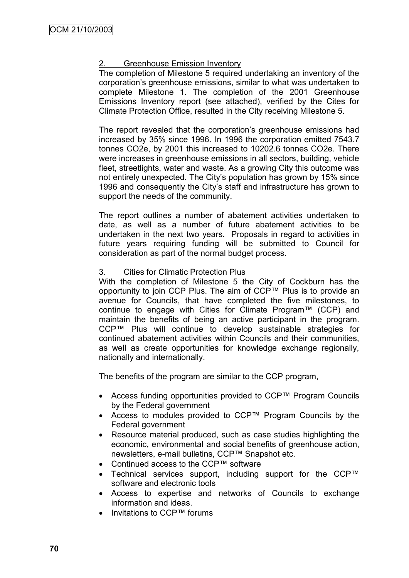### Greenhouse Emission Inventory

The completion of Milestone 5 required undertaking an inventory of the corporation"s greenhouse emissions, similar to what was undertaken to complete Milestone 1. The completion of the 2001 Greenhouse Emissions Inventory report (see attached), verified by the Cites for Climate Protection Office, resulted in the City receiving Milestone 5.

The report revealed that the corporation's greenhouse emissions had increased by 35% since 1996. In 1996 the corporation emitted 7543.7 tonnes CO2e, by 2001 this increased to 10202.6 tonnes CO2e. There were increases in greenhouse emissions in all sectors, building, vehicle fleet, streetlights, water and waste. As a growing City this outcome was not entirely unexpected. The City"s population has grown by 15% since 1996 and consequently the City"s staff and infrastructure has grown to support the needs of the community.

The report outlines a number of abatement activities undertaken to date, as well as a number of future abatement activities to be undertaken in the next two years. Proposals in regard to activities in future years requiring funding will be submitted to Council for consideration as part of the normal budget process.

#### 3. Cities for Climatic Protection Plus

With the completion of Milestone 5 the City of Cockburn has the opportunity to join CCP Plus. The aim of CCP™ Plus is to provide an avenue for Councils, that have completed the five milestones, to continue to engage with Cities for Climate Program™ (CCP) and maintain the benefits of being an active participant in the program. CCP™ Plus will continue to develop sustainable strategies for continued abatement activities within Councils and their communities, as well as create opportunities for knowledge exchange regionally, nationally and internationally.

The benefits of the program are similar to the CCP program,

- Access funding opportunities provided to CCP™ Program Councils by the Federal government
- Access to modules provided to CCP™ Program Councils by the Federal government
- Resource material produced, such as case studies highlighting the economic, environmental and social benefits of greenhouse action, newsletters, e-mail bulletins, CCP™ Snapshot etc.
- Continued access to the CCP™ software
- Technical services support, including support for the CCP™ software and electronic tools
- Access to expertise and networks of Councils to exchange information and ideas.
- Invitations to CCP™ forums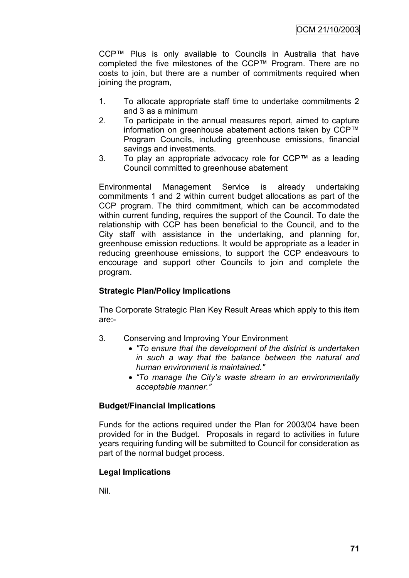CCP™ Plus is only available to Councils in Australia that have completed the five milestones of the CCP™ Program. There are no costs to join, but there are a number of commitments required when joining the program,

- 1. To allocate appropriate staff time to undertake commitments 2 and 3 as a minimum
- 2. To participate in the annual measures report, aimed to capture information on greenhouse abatement actions taken by CCP™ Program Councils, including greenhouse emissions, financial savings and investments.
- 3. To play an appropriate advocacy role for CCP™ as a leading Council committed to greenhouse abatement

Environmental Management Service is already undertaking commitments 1 and 2 within current budget allocations as part of the CCP program. The third commitment, which can be accommodated within current funding, requires the support of the Council. To date the relationship with CCP has been beneficial to the Council, and to the City staff with assistance in the undertaking, and planning for, greenhouse emission reductions. It would be appropriate as a leader in reducing greenhouse emissions, to support the CCP endeavours to encourage and support other Councils to join and complete the program.

### **Strategic Plan/Policy Implications**

The Corporate Strategic Plan Key Result Areas which apply to this item are:-

- 3. Conserving and Improving Your Environment
	- *"To ensure that the development of the district is undertaken in such a way that the balance between the natural and human environment is maintained."*
	- *"To manage the City's waste stream in an environmentally acceptable manner."*

#### **Budget/Financial Implications**

Funds for the actions required under the Plan for 2003/04 have been provided for in the Budget. Proposals in regard to activities in future years requiring funding will be submitted to Council for consideration as part of the normal budget process.

#### **Legal Implications**

Nil.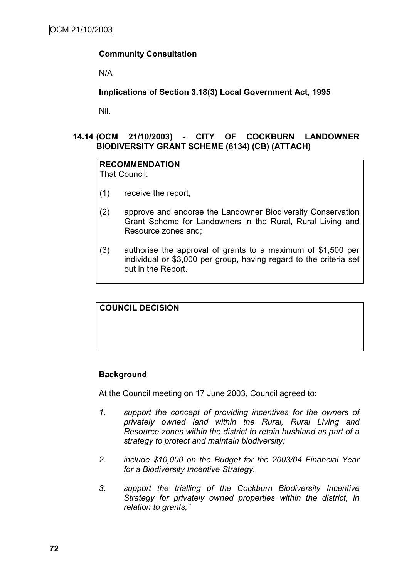### **Community Consultation**

N/A

### **Implications of Section 3.18(3) Local Government Act, 1995**

Nil.

### **14.14 (OCM 21/10/2003) - CITY OF COCKBURN LANDOWNER BIODIVERSITY GRANT SCHEME (6134) (CB) (ATTACH)**

#### **RECOMMENDATION**

That Council:

- (1) receive the report;
- (2) approve and endorse the Landowner Biodiversity Conservation Grant Scheme for Landowners in the Rural, Rural Living and Resource zones and;
- (3) authorise the approval of grants to a maximum of \$1,500 per individual or \$3,000 per group, having regard to the criteria set out in the Report.

### **COUNCIL DECISION**

### **Background**

At the Council meeting on 17 June 2003, Council agreed to:

- *1. support the concept of providing incentives for the owners of privately owned land within the Rural, Rural Living and Resource zones within the district to retain bushland as part of a strategy to protect and maintain biodiversity;*
- *2. include \$10,000 on the Budget for the 2003/04 Financial Year for a Biodiversity Incentive Strategy.*
- *3. support the trialling of the Cockburn Biodiversity Incentive Strategy for privately owned properties within the district, in relation to grants;"*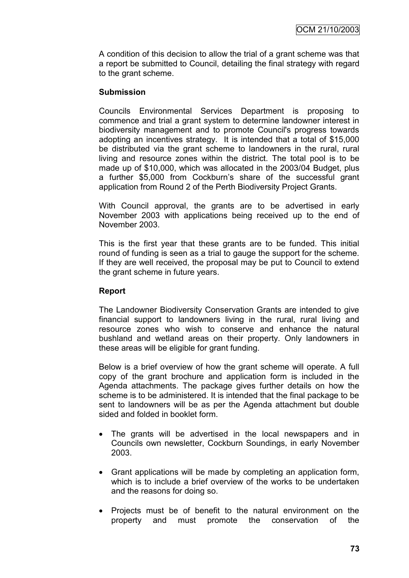A condition of this decision to allow the trial of a grant scheme was that a report be submitted to Council, detailing the final strategy with regard to the grant scheme.

#### **Submission**

Councils Environmental Services Department is proposing to commence and trial a grant system to determine landowner interest in biodiversity management and to promote Council's progress towards adopting an incentives strategy. It is intended that a total of \$15,000 be distributed via the grant scheme to landowners in the rural, rural living and resource zones within the district. The total pool is to be made up of \$10,000, which was allocated in the 2003/04 Budget, plus a further \$5,000 from Cockburn's share of the successful grant application from Round 2 of the Perth Biodiversity Project Grants.

With Council approval, the grants are to be advertised in early November 2003 with applications being received up to the end of November 2003.

This is the first year that these grants are to be funded. This initial round of funding is seen as a trial to gauge the support for the scheme. If they are well received, the proposal may be put to Council to extend the grant scheme in future years.

#### **Report**

The Landowner Biodiversity Conservation Grants are intended to give financial support to landowners living in the rural, rural living and resource zones who wish to conserve and enhance the natural bushland and wetland areas on their property. Only landowners in these areas will be eligible for grant funding.

Below is a brief overview of how the grant scheme will operate. A full copy of the grant brochure and application form is included in the Agenda attachments. The package gives further details on how the scheme is to be administered. It is intended that the final package to be sent to landowners will be as per the Agenda attachment but double sided and folded in booklet form.

- The grants will be advertised in the local newspapers and in Councils own newsletter, Cockburn Soundings, in early November 2003.
- Grant applications will be made by completing an application form, which is to include a brief overview of the works to be undertaken and the reasons for doing so.
- Projects must be of benefit to the natural environment on the property and must promote the conservation of the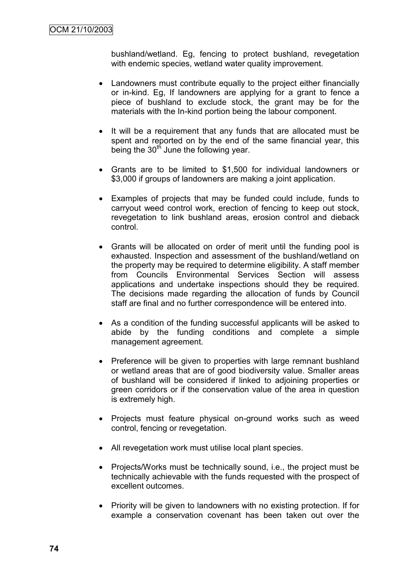bushland/wetland. Eg, fencing to protect bushland, revegetation with endemic species, wetland water quality improvement.

- Landowners must contribute equally to the project either financially or in-kind. Eg, If landowners are applying for a grant to fence a piece of bushland to exclude stock, the grant may be for the materials with the In-kind portion being the labour component.
- It will be a requirement that any funds that are allocated must be spent and reported on by the end of the same financial year, this being the  $30<sup>th</sup>$  June the following year.
- Grants are to be limited to \$1,500 for individual landowners or \$3,000 if groups of landowners are making a joint application.
- Examples of projects that may be funded could include, funds to carryout weed control work, erection of fencing to keep out stock, revegetation to link bushland areas, erosion control and dieback control.
- Grants will be allocated on order of merit until the funding pool is exhausted. Inspection and assessment of the bushland/wetland on the property may be required to determine eligibility. A staff member from Councils Environmental Services Section will assess applications and undertake inspections should they be required. The decisions made regarding the allocation of funds by Council staff are final and no further correspondence will be entered into.
- As a condition of the funding successful applicants will be asked to abide by the funding conditions and complete a simple management agreement.
- Preference will be given to properties with large remnant bushland or wetland areas that are of good biodiversity value. Smaller areas of bushland will be considered if linked to adjoining properties or green corridors or if the conservation value of the area in question is extremely high.
- Projects must feature physical on-ground works such as weed control, fencing or revegetation.
- All revegetation work must utilise local plant species.
- Projects/Works must be technically sound, i.e., the project must be technically achievable with the funds requested with the prospect of excellent outcomes.
- Priority will be given to landowners with no existing protection. If for example a conservation covenant has been taken out over the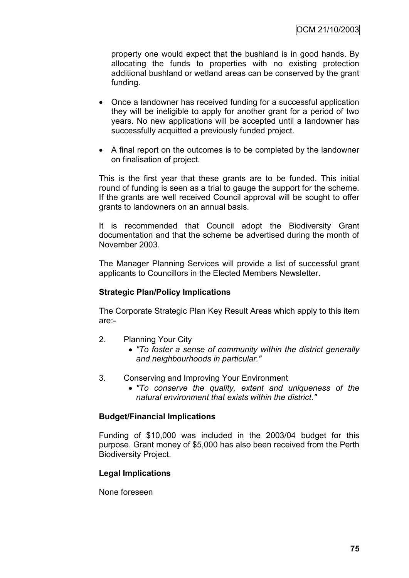property one would expect that the bushland is in good hands. By allocating the funds to properties with no existing protection additional bushland or wetland areas can be conserved by the grant funding.

- Once a landowner has received funding for a successful application they will be ineligible to apply for another grant for a period of two years. No new applications will be accepted until a landowner has successfully acquitted a previously funded project.
- A final report on the outcomes is to be completed by the landowner on finalisation of project.

This is the first year that these grants are to be funded. This initial round of funding is seen as a trial to gauge the support for the scheme. If the grants are well received Council approval will be sought to offer grants to landowners on an annual basis.

It is recommended that Council adopt the Biodiversity Grant documentation and that the scheme be advertised during the month of November 2003.

The Manager Planning Services will provide a list of successful grant applicants to Councillors in the Elected Members Newsletter.

### **Strategic Plan/Policy Implications**

The Corporate Strategic Plan Key Result Areas which apply to this item are:-

- 2. Planning Your City
	- *"To foster a sense of community within the district generally and neighbourhoods in particular."*
- 3. Conserving and Improving Your Environment
	- *"To conserve the quality, extent and uniqueness of the natural environment that exists within the district."*

#### **Budget/Financial Implications**

Funding of \$10,000 was included in the 2003/04 budget for this purpose. Grant money of \$5,000 has also been received from the Perth Biodiversity Project.

### **Legal Implications**

None foreseen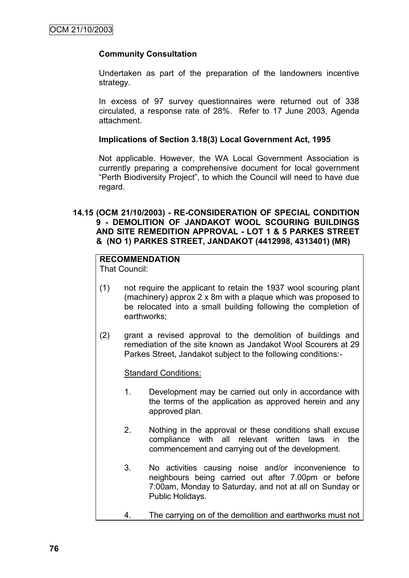### **Community Consultation**

Undertaken as part of the preparation of the landowners incentive strategy.

In excess of 97 survey questionnaires were returned out of 338 circulated, a response rate of 28%. Refer to 17 June 2003, Agenda attachment.

#### **Implications of Section 3.18(3) Local Government Act, 1995**

Not applicable. However, the WA Local Government Association is currently preparing a comprehensive document for local government "Perth Biodiversity Project", to which the Council will need to have due regard.

#### **14.15 (OCM 21/10/2003) - RE-CONSIDERATION OF SPECIAL CONDITION 9 - DEMOLITION OF JANDAKOT WOOL SCOURING BUILDINGS AND SITE REMEDITION APPROVAL - LOT 1 & 5 PARKES STREET & (NO 1) PARKES STREET, JANDAKOT (4412998, 4313401) (MR)**

### **RECOMMENDATION**

That Council:

- (1) not require the applicant to retain the 1937 wool scouring plant (machinery) approx 2 x 8m with a plaque which was proposed to be relocated into a small building following the completion of earthworks;
- (2) grant a revised approval to the demolition of buildings and remediation of the site known as Jandakot Wool Scourers at 29 Parkes Street, Jandakot subject to the following conditions:-

#### Standard Conditions:

- 1. Development may be carried out only in accordance with the terms of the application as approved herein and any approved plan.
- 2. Nothing in the approval or these conditions shall excuse compliance with all relevant written laws in the commencement and carrying out of the development.
- 3. No activities causing noise and/or inconvenience to neighbours being carried out after 7.00pm or before 7:00am, Monday to Saturday, and not at all on Sunday or Public Holidays.
- 4. The carrying on of the demolition and earthworks must not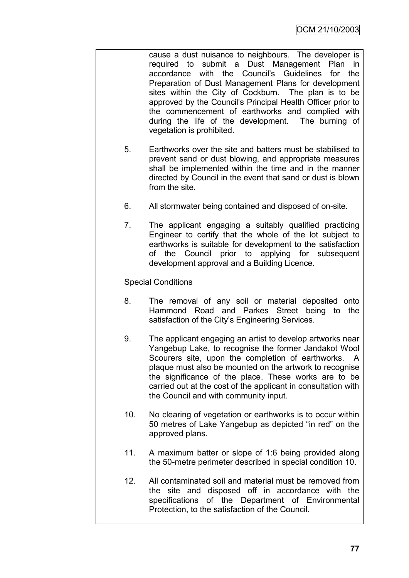cause a dust nuisance to neighbours. The developer is required to submit a Dust Management Plan in accordance with the Council"s Guidelines for the Preparation of Dust Management Plans for development sites within the City of Cockburn. The plan is to be approved by the Council"s Principal Health Officer prior to the commencement of earthworks and complied with during the life of the development. The burning of vegetation is prohibited.

- 5. Earthworks over the site and batters must be stabilised to prevent sand or dust blowing, and appropriate measures shall be implemented within the time and in the manner directed by Council in the event that sand or dust is blown from the site.
- 6. All stormwater being contained and disposed of on-site.
- 7. The applicant engaging a suitably qualified practicing Engineer to certify that the whole of the lot subject to earthworks is suitable for development to the satisfaction of the Council prior to applying for subsequent development approval and a Building Licence.

### Special Conditions

- 8. The removal of any soil or material deposited onto Hammond Road and Parkes Street being to the satisfaction of the City's Engineering Services.
- 9. The applicant engaging an artist to develop artworks near Yangebup Lake, to recognise the former Jandakot Wool Scourers site, upon the completion of earthworks. A plaque must also be mounted on the artwork to recognise the significance of the place. These works are to be carried out at the cost of the applicant in consultation with the Council and with community input.
- 10. No clearing of vegetation or earthworks is to occur within 50 metres of Lake Yangebup as depicted "in red" on the approved plans.
- 11. A maximum batter or slope of 1:6 being provided along the 50-metre perimeter described in special condition 10.
- 12. All contaminated soil and material must be removed from the site and disposed off in accordance with the specifications of the Department of Environmental Protection, to the satisfaction of the Council.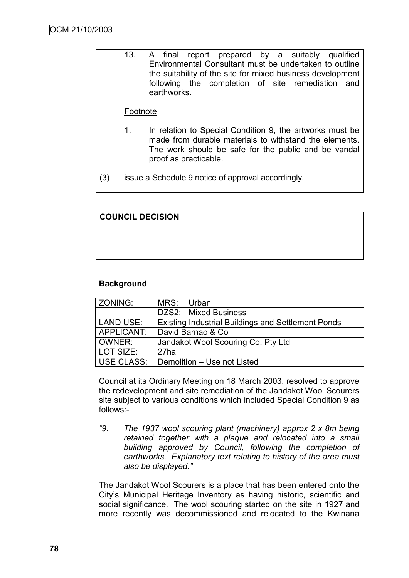13. A final report prepared by a suitably qualified Environmental Consultant must be undertaken to outline the suitability of the site for mixed business development following the completion of site remediation and earthworks.

### Footnote

1. In relation to Special Condition 9, the artworks must be made from durable materials to withstand the elements. The work should be safe for the public and be vandal proof as practicable.

(3) issue a Schedule 9 notice of approval accordingly.

### **COUNCIL DECISION**

### **Background**

| ZONING:          | MRS: Urban                         |                                                           |  |
|------------------|------------------------------------|-----------------------------------------------------------|--|
|                  |                                    | DZS2:   Mixed Business                                    |  |
| <b>LAND USE:</b> |                                    | <b>Existing Industrial Buildings and Settlement Ponds</b> |  |
| APPLICANT:       | David Barnao & Co                  |                                                           |  |
| OWNER:           | Jandakot Wool Scouring Co. Pty Ltd |                                                           |  |
| LOT SIZE:        | 27ha                               |                                                           |  |
| USE CLASS:       | Demolition - Use not Listed        |                                                           |  |

Council at its Ordinary Meeting on 18 March 2003, resolved to approve the redevelopment and site remediation of the Jandakot Wool Scourers site subject to various conditions which included Special Condition 9 as follows:-

*"9. The 1937 wool scouring plant (machinery) approx 2 x 8m being retained together with a plaque and relocated into a small building approved by Council, following the completion of earthworks. Explanatory text relating to history of the area must also be displayed."*

The Jandakot Wool Scourers is a place that has been entered onto the City"s Municipal Heritage Inventory as having historic, scientific and social significance. The wool scouring started on the site in 1927 and more recently was decommissioned and relocated to the Kwinana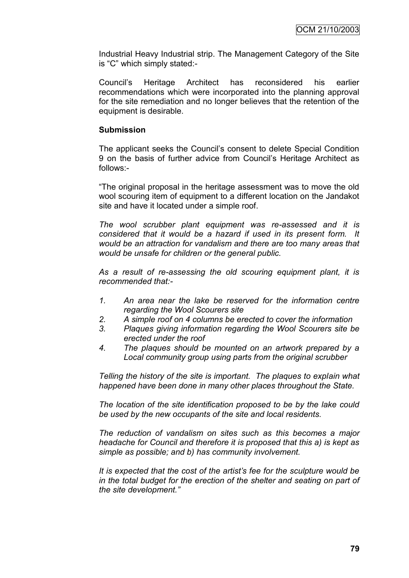Industrial Heavy Industrial strip. The Management Category of the Site is "C" which simply stated:-

Council"s Heritage Architect has reconsidered his earlier recommendations which were incorporated into the planning approval for the site remediation and no longer believes that the retention of the equipment is desirable.

#### **Submission**

The applicant seeks the Council"s consent to delete Special Condition 9 on the basis of further advice from Council"s Heritage Architect as follows:-

"The original proposal in the heritage assessment was to move the old wool scouring item of equipment to a different location on the Jandakot site and have it located under a simple roof.

*The wool scrubber plant equipment was re-assessed and it is considered that it would be a hazard if used in its present form. It would be an attraction for vandalism and there are too many areas that would be unsafe for children or the general public.*

*As a result of re-assessing the old scouring equipment plant, it is recommended that:-*

- *1. An area near the lake be reserved for the information centre regarding the Wool Scourers site*
- *2. A simple roof on 4 columns be erected to cover the information*
- *3. Plaques giving information regarding the Wool Scourers site be erected under the roof*
- *4. The plaques should be mounted on an artwork prepared by a Local community group using parts from the original scrubber*

*Telling the history of the site is important. The plaques to explain what happened have been done in many other places throughout the State.*

*The location of the site identification proposed to be by the lake could be used by the new occupants of the site and local residents.*

*The reduction of vandalism on sites such as this becomes a major headache for Council and therefore it is proposed that this a) is kept as simple as possible; and b) has community involvement.*

*It is expected that the cost of the artist's fee for the sculpture would be in the total budget for the erection of the shelter and seating on part of the site development."*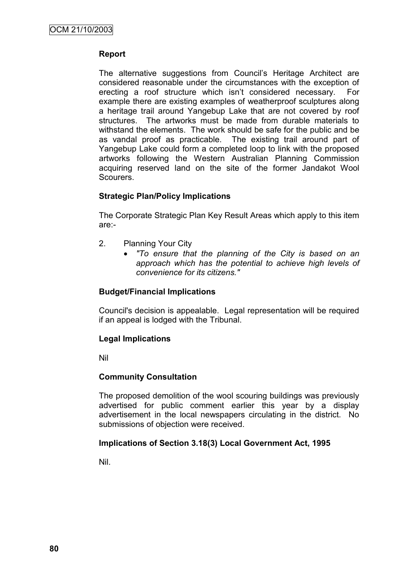### **Report**

The alternative suggestions from Council"s Heritage Architect are considered reasonable under the circumstances with the exception of erecting a roof structure which isn"t considered necessary. For example there are existing examples of weatherproof sculptures along a heritage trail around Yangebup Lake that are not covered by roof structures. The artworks must be made from durable materials to withstand the elements. The work should be safe for the public and be as vandal proof as practicable. The existing trail around part of Yangebup Lake could form a completed loop to link with the proposed artworks following the Western Australian Planning Commission acquiring reserved land on the site of the former Jandakot Wool Scourers.

### **Strategic Plan/Policy Implications**

The Corporate Strategic Plan Key Result Areas which apply to this item are:-

- 2. Planning Your City
	- *"To ensure that the planning of the City is based on an approach which has the potential to achieve high levels of convenience for its citizens."*

#### **Budget/Financial Implications**

Council's decision is appealable. Legal representation will be required if an appeal is lodged with the Tribunal.

#### **Legal Implications**

Nil

#### **Community Consultation**

The proposed demolition of the wool scouring buildings was previously advertised for public comment earlier this year by a display advertisement in the local newspapers circulating in the district. No submissions of objection were received.

#### **Implications of Section 3.18(3) Local Government Act, 1995**

Nil.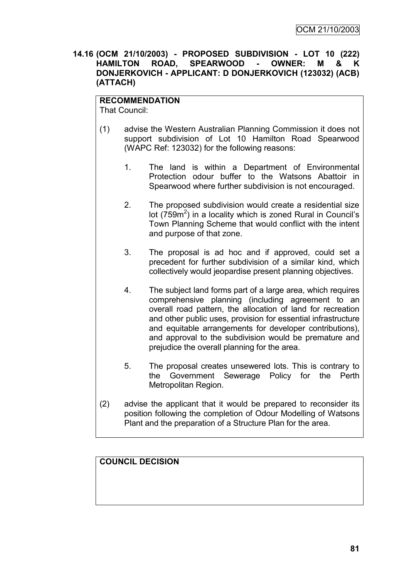**14.16 (OCM 21/10/2003) - PROPOSED SUBDIVISION - LOT 10 (222) HAMILTON ROAD, SPEARWOOD - OWNER: M & K DONJERKOVICH - APPLICANT: D DONJERKOVICH (123032) (ACB) (ATTACH)**

#### **RECOMMENDATION**

That Council:

- (1) advise the Western Australian Planning Commission it does not support subdivision of Lot 10 Hamilton Road Spearwood (WAPC Ref: 123032) for the following reasons:
	- 1. The land is within a Department of Environmental Protection odour buffer to the Watsons Abattoir in Spearwood where further subdivision is not encouraged.
	- 2. The proposed subdivision would create a residential size lot ( $759m^2$ ) in a locality which is zoned Rural in Council's Town Planning Scheme that would conflict with the intent and purpose of that zone.
	- 3. The proposal is ad hoc and if approved, could set a precedent for further subdivision of a similar kind, which collectively would jeopardise present planning objectives.
	- 4. The subject land forms part of a large area, which requires comprehensive planning (including agreement to an overall road pattern, the allocation of land for recreation and other public uses, provision for essential infrastructure and equitable arrangements for developer contributions), and approval to the subdivision would be premature and prejudice the overall planning for the area.
	- 5. The proposal creates unsewered lots. This is contrary to the Government Sewerage Policy for the Perth Metropolitan Region.
- (2) advise the applicant that it would be prepared to reconsider its position following the completion of Odour Modelling of Watsons Plant and the preparation of a Structure Plan for the area.

### **COUNCIL DECISION**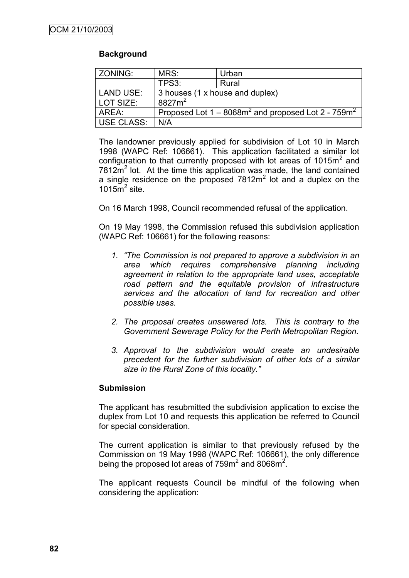### **Background**

| ZONING:           | MRS:                                                     | Urban                           |  |
|-------------------|----------------------------------------------------------|---------------------------------|--|
|                   | TPS3:                                                    | Rural                           |  |
| <b>LAND USE:</b>  |                                                          | 3 houses (1 x house and duplex) |  |
| LOT SIZE:         | 8827m <sup>2</sup>                                       |                                 |  |
| AREA:             | Proposed Lot $1 - 8068m^2$ and proposed Lot 2 - $759m^2$ |                                 |  |
| <b>USE CLASS:</b> | N/A                                                      |                                 |  |

The landowner previously applied for subdivision of Lot 10 in March 1998 (WAPC Ref: 106661). This application facilitated a similar lot configuration to that currently proposed with lot areas of 1015 $m<sup>2</sup>$  and  $7812m<sup>2</sup>$  lot. At the time this application was made, the land contained a single residence on the proposed  $7812m<sup>2</sup>$  lot and a duplex on the 1015 $\mathrm{m}^2$  site.

On 16 March 1998, Council recommended refusal of the application.

On 19 May 1998, the Commission refused this subdivision application (WAPC Ref: 106661) for the following reasons:

- *1. "The Commission is not prepared to approve a subdivision in an area which requires comprehensive planning including agreement in relation to the appropriate land uses, acceptable*  road pattern and the equitable provision of infrastructure *services and the allocation of land for recreation and other possible uses.*
- *2. The proposal creates unsewered lots. This is contrary to the Government Sewerage Policy for the Perth Metropolitan Region.*
- *3. Approval to the subdivision would create an undesirable precedent for the further subdivision of other lots of a similar size in the Rural Zone of this locality."*

#### **Submission**

The applicant has resubmitted the subdivision application to excise the duplex from Lot 10 and requests this application be referred to Council for special consideration.

The current application is similar to that previously refused by the Commission on 19 May 1998 (WAPC Ref: 106661), the only difference being the proposed lot areas of 759m<sup>2</sup> and 8068m<sup>2</sup>.

The applicant requests Council be mindful of the following when considering the application: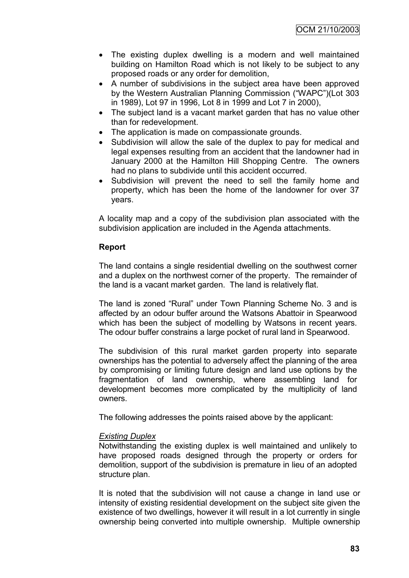OCM 21/10/2003

- The existing duplex dwelling is a modern and well maintained building on Hamilton Road which is not likely to be subject to any proposed roads or any order for demolition,
- A number of subdivisions in the subject area have been approved by the Western Australian Planning Commission ("WAPC")(Lot 303 in 1989), Lot 97 in 1996, Lot 8 in 1999 and Lot 7 in 2000),
- The subiect land is a vacant market garden that has no value other than for redevelopment.
- The application is made on compassionate grounds.
- Subdivision will allow the sale of the duplex to pay for medical and legal expenses resulting from an accident that the landowner had in January 2000 at the Hamilton Hill Shopping Centre. The owners had no plans to subdivide until this accident occurred.
- Subdivision will prevent the need to sell the family home and property, which has been the home of the landowner for over 37 years.

A locality map and a copy of the subdivision plan associated with the subdivision application are included in the Agenda attachments.

#### **Report**

The land contains a single residential dwelling on the southwest corner and a duplex on the northwest corner of the property. The remainder of the land is a vacant market garden. The land is relatively flat.

The land is zoned "Rural" under Town Planning Scheme No. 3 and is affected by an odour buffer around the Watsons Abattoir in Spearwood which has been the subject of modelling by Watsons in recent years. The odour buffer constrains a large pocket of rural land in Spearwood.

The subdivision of this rural market garden property into separate ownerships has the potential to adversely affect the planning of the area by compromising or limiting future design and land use options by the fragmentation of land ownership, where assembling land for development becomes more complicated by the multiplicity of land owners.

The following addresses the points raised above by the applicant:

#### *Existing Duplex*

Notwithstanding the existing duplex is well maintained and unlikely to have proposed roads designed through the property or orders for demolition, support of the subdivision is premature in lieu of an adopted structure plan.

It is noted that the subdivision will not cause a change in land use or intensity of existing residential development on the subject site given the existence of two dwellings, however it will result in a lot currently in single ownership being converted into multiple ownership. Multiple ownership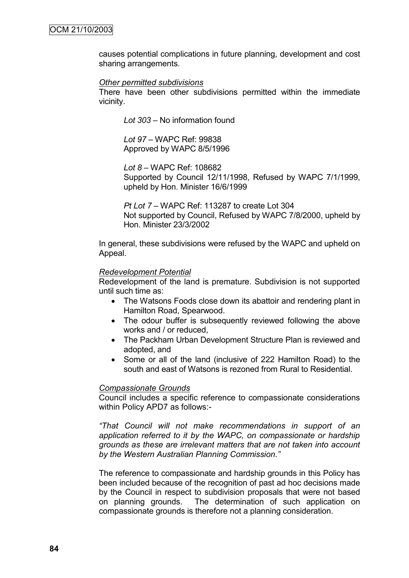causes potential complications in future planning, development and cost sharing arrangements.

#### *Other permitted subdivisions*

There have been other subdivisions permitted within the immediate vicinity.

*Lot 303* – No information found

*Lot 97 –* WAPC Ref: 99838 Approved by WAPC 8/5/1996

*Lot 8 –* WAPC Ref: 108682 Supported by Council 12/11/1998, Refused by WAPC 7/1/1999, upheld by Hon. Minister 16/6/1999

*Pt Lot 7* – WAPC Ref: 113287 to create Lot 304 Not supported by Council, Refused by WAPC 7/8/2000, upheld by Hon. Minister 23/3/2002

In general, these subdivisions were refused by the WAPC and upheld on Appeal.

#### *Redevelopment Potential*

Redevelopment of the land is premature. Subdivision is not supported until such time as:

- The Watsons Foods close down its abattoir and rendering plant in Hamilton Road, Spearwood.
- The odour buffer is subsequently reviewed following the above works and / or reduced,
- The Packham Urban Development Structure Plan is reviewed and adopted, and
- Some or all of the land (inclusive of 222 Hamilton Road) to the south and east of Watsons is rezoned from Rural to Residential.

#### *Compassionate Grounds*

Council includes a specific reference to compassionate considerations within Policy APD7 as follows:-

*"That Council will not make recommendations in support of an application referred to it by the WAPC, on compassionate or hardship grounds as these are irrelevant matters that are not taken into account by the Western Australian Planning Commission."*

The reference to compassionate and hardship grounds in this Policy has been included because of the recognition of past ad hoc decisions made by the Council in respect to subdivision proposals that were not based on planning grounds. The determination of such application on compassionate grounds is therefore not a planning consideration.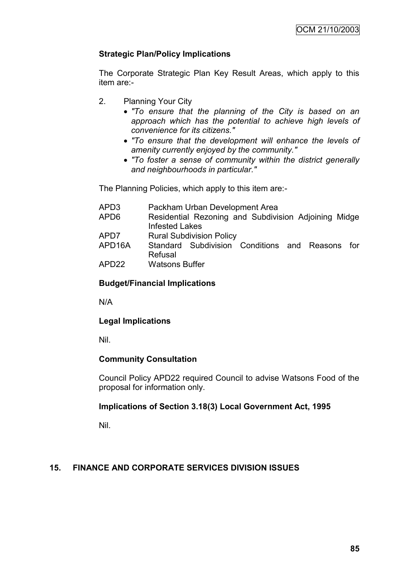### **Strategic Plan/Policy Implications**

The Corporate Strategic Plan Key Result Areas, which apply to this item are:-

- 2. Planning Your City
	- *"To ensure that the planning of the City is based on an approach which has the potential to achieve high levels of convenience for its citizens."*
	- *"To ensure that the development will enhance the levels of amenity currently enjoyed by the community."*
	- *"To foster a sense of community within the district generally and neighbourhoods in particular."*

The Planning Policies, which apply to this item are:-

| APD3   | Packham Urban Development Area                       |  |  |  |
|--------|------------------------------------------------------|--|--|--|
| APD6   | Residential Rezoning and Subdivision Adjoining Midge |  |  |  |
|        | <b>Infested Lakes</b>                                |  |  |  |
| APD7   | <b>Rural Subdivision Policy</b>                      |  |  |  |
| APD16A | Standard Subdivision Conditions and Reasons<br>for   |  |  |  |
|        | Refusal                                              |  |  |  |
| APD22  | <b>Watsons Buffer</b>                                |  |  |  |
|        |                                                      |  |  |  |

### **Budget/Financial Implications**

N/A

### **Legal Implications**

Nil.

#### **Community Consultation**

Council Policy APD22 required Council to advise Watsons Food of the proposal for information only.

### **Implications of Section 3.18(3) Local Government Act, 1995**

Nil.

### **15. FINANCE AND CORPORATE SERVICES DIVISION ISSUES**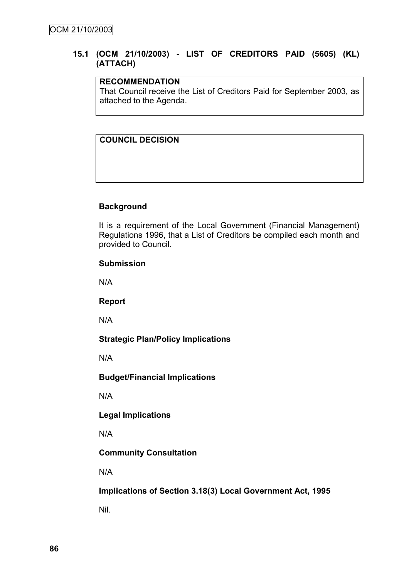### **15.1 (OCM 21/10/2003) - LIST OF CREDITORS PAID (5605) (KL) (ATTACH)**

### **RECOMMENDATION**

That Council receive the List of Creditors Paid for September 2003, as attached to the Agenda.

### **COUNCIL DECISION**

#### **Background**

It is a requirement of the Local Government (Financial Management) Regulations 1996, that a List of Creditors be compiled each month and provided to Council.

#### **Submission**

N/A

**Report**

N/A

**Strategic Plan/Policy Implications**

N/A

#### **Budget/Financial Implications**

N/A

**Legal Implications**

N/A

#### **Community Consultation**

N/A

**Implications of Section 3.18(3) Local Government Act, 1995**

Nil.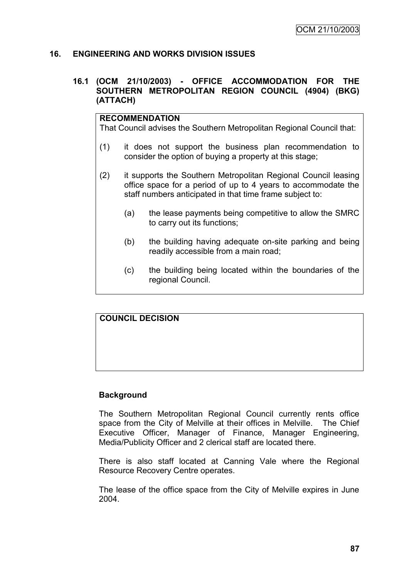### **16. ENGINEERING AND WORKS DIVISION ISSUES**

#### **16.1 (OCM 21/10/2003) - OFFICE ACCOMMODATION FOR THE SOUTHERN METROPOLITAN REGION COUNCIL (4904) (BKG) (ATTACH)**

## **RECOMMENDATION** That Council advises the Southern Metropolitan Regional Council that: (1) it does not support the business plan recommendation to consider the option of buying a property at this stage; (2) it supports the Southern Metropolitan Regional Council leasing office space for a period of up to 4 years to accommodate the

staff numbers anticipated in that time frame subject to:

- (a) the lease payments being competitive to allow the SMRC to carry out its functions;
- (b) the building having adequate on-site parking and being readily accessible from a main road;
- (c) the building being located within the boundaries of the regional Council.

# **COUNCIL DECISION**

### **Background**

The Southern Metropolitan Regional Council currently rents office space from the City of Melville at their offices in Melville. The Chief Executive Officer, Manager of Finance, Manager Engineering, Media/Publicity Officer and 2 clerical staff are located there.

There is also staff located at Canning Vale where the Regional Resource Recovery Centre operates.

The lease of the office space from the City of Melville expires in June 2004.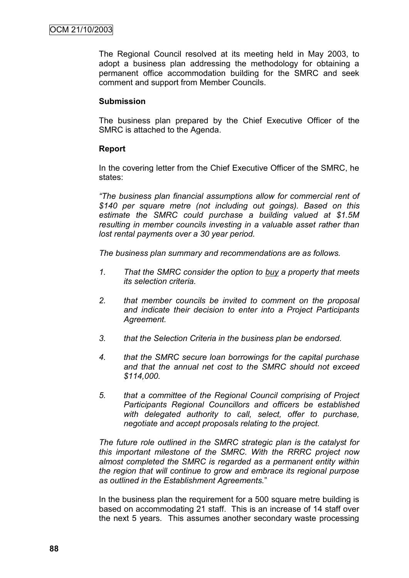The Regional Council resolved at its meeting held in May 2003, to adopt a business plan addressing the methodology for obtaining a permanent office accommodation building for the SMRC and seek comment and support from Member Councils.

#### **Submission**

The business plan prepared by the Chief Executive Officer of the SMRC is attached to the Agenda.

#### **Report**

In the covering letter from the Chief Executive Officer of the SMRC, he states:

*"The business plan financial assumptions allow for commercial rent of \$140 per square metre (not including out goings). Based on this estimate the SMRC could purchase a building valued at \$1.5M resulting in member councils investing in a valuable asset rather than lost rental payments over a 30 year period.*

*The business plan summary and recommendations are as follows.*

- *1. That the SMRC consider the option to buy a property that meets its selection criteria.*
- *2. that member councils be invited to comment on the proposal and indicate their decision to enter into a Project Participants Agreement.*
- *3. that the Selection Criteria in the business plan be endorsed.*
- *4. that the SMRC secure loan borrowings for the capital purchase and that the annual net cost to the SMRC should not exceed \$114,000.*
- *5. that a committee of the Regional Council comprising of Project Participants Regional Councillors and officers be established with delegated authority to call, select, offer to purchase, negotiate and accept proposals relating to the project.*

*The future role outlined in the SMRC strategic plan is the catalyst for this important milestone of the SMRC. With the RRRC project now almost completed the SMRC is regarded as a permanent entity within the region that will continue to grow and embrace its regional purpose as outlined in the Establishment Agreements.*"

In the business plan the requirement for a 500 square metre building is based on accommodating 21 staff. This is an increase of 14 staff over the next 5 years. This assumes another secondary waste processing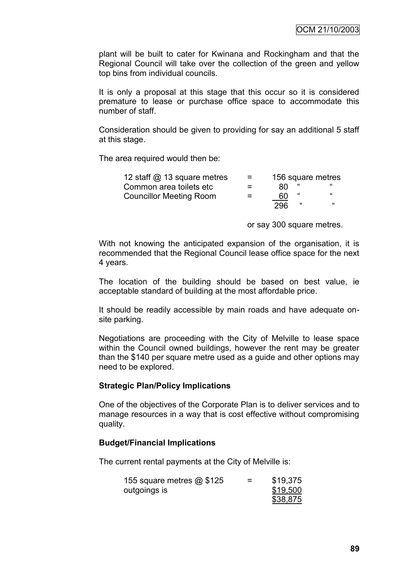plant will be built to cater for Kwinana and Rockingham and that the Regional Council will take over the collection of the green and yellow top bins from individual councils.

It is only a proposal at this stage that this occur so it is considered premature to lease or purchase office space to accommodate this number of staff.

Consideration should be given to providing for say an additional 5 staff at this stage.

The area required would then be:

| 12 staff @ 13 square metres    | $=$ |     |   | 156 square metres |
|--------------------------------|-----|-----|---|-------------------|
| Common area toilets etc        | $=$ | 80  |   |                   |
| <b>Councillor Meeting Room</b> | $=$ | 60  | " | "                 |
|                                |     | 296 | " | "                 |

or say 300 square metres.

With not knowing the anticipated expansion of the organisation, it is recommended that the Regional Council lease office space for the next 4 years.

The location of the building should be based on best value, ie acceptable standard of building at the most affordable price.

It should be readily accessible by main roads and have adequate onsite parking.

Negotiations are proceeding with the City of Melville to lease space within the Council owned buildings, however the rent may be greater than the \$140 per square metre used as a guide and other options may need to be explored.

#### **Strategic Plan/Policy Implications**

One of the objectives of the Corporate Plan is to deliver services and to manage resources in a way that is cost effective without compromising quality.

#### **Budget/Financial Implications**

The current rental payments at the City of Melville is:

| 155 square metres $@$ \$125 | = | \$19,375 |
|-----------------------------|---|----------|
| outgoings is                |   | \$19,500 |
|                             |   | \$38,875 |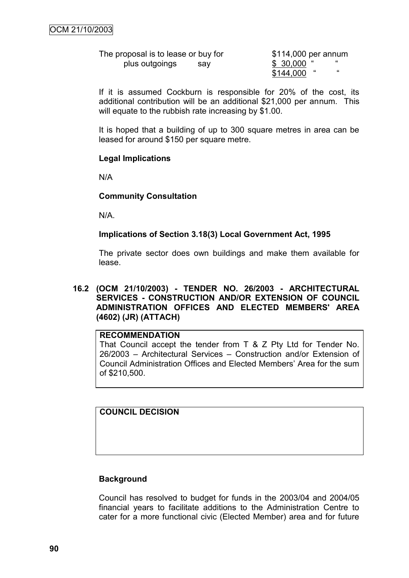The proposal is to lease or buy for \$114,000 per annum plus outgoings say  $\frac{$30,000}{$1,1,000}$  "

 $$144.000$ 

If it is assumed Cockburn is responsible for 20% of the cost, its additional contribution will be an additional \$21,000 per annum. This will equate to the rubbish rate increasing by \$1.00.

It is hoped that a building of up to 300 square metres in area can be leased for around \$150 per square metre.

#### **Legal Implications**

N/A

#### **Community Consultation**

N/A.

#### **Implications of Section 3.18(3) Local Government Act, 1995**

The private sector does own buildings and make them available for lease.

#### **16.2 (OCM 21/10/2003) - TENDER NO. 26/2003 - ARCHITECTURAL SERVICES - CONSTRUCTION AND/OR EXTENSION OF COUNCIL ADMINISTRATION OFFICES AND ELECTED MEMBERS' AREA (4602) (JR) (ATTACH)**

#### **RECOMMENDATION**

That Council accept the tender from T & Z Pty Ltd for Tender No. 26/2003 – Architectural Services – Construction and/or Extension of Council Administration Offices and Elected Members" Area for the sum of \$210,500.

### **COUNCIL DECISION**

#### **Background**

Council has resolved to budget for funds in the 2003/04 and 2004/05 financial years to facilitate additions to the Administration Centre to cater for a more functional civic (Elected Member) area and for future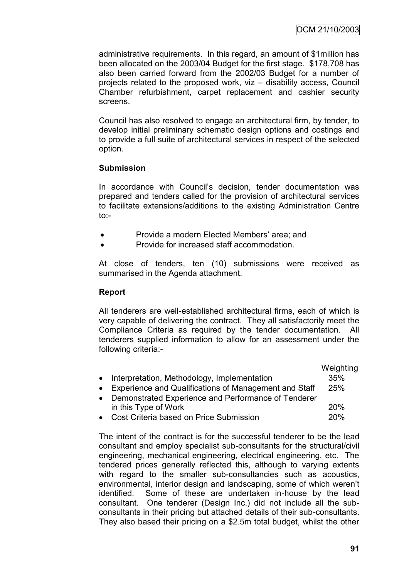administrative requirements. In this regard, an amount of \$1million has been allocated on the 2003/04 Budget for the first stage. \$178,708 has also been carried forward from the 2002/03 Budget for a number of projects related to the proposed work, viz – disability access, Council Chamber refurbishment, carpet replacement and cashier security screens.

Council has also resolved to engage an architectural firm, by tender, to develop initial preliminary schematic design options and costings and to provide a full suite of architectural services in respect of the selected option.

### **Submission**

In accordance with Council"s decision, tender documentation was prepared and tenders called for the provision of architectural services to facilitate extensions/additions to the existing Administration Centre  $\mathsf{to}$ :

- Provide a modern Elected Members' area; and
- Provide for increased staff accommodation.

At close of tenders, ten (10) submissions were received as summarised in the Agenda attachment.

### **Report**

All tenderers are well-established architectural firms, each of which is very capable of delivering the contract. They all satisfactorily meet the Compliance Criteria as required by the tender documentation. All tenderers supplied information to allow for an assessment under the following criteria:-

|           |                                                         | Weighting |
|-----------|---------------------------------------------------------|-----------|
| $\bullet$ | Interpretation, Methodology, Implementation             | 35%       |
|           | • Experience and Qualifications of Management and Staff | 25%       |
|           | • Demonstrated Experience and Performance of Tenderer   |           |
|           | in this Type of Work                                    | 20%       |
| $\bullet$ | Cost Criteria based on Price Submission                 | 20%       |

The intent of the contract is for the successful tenderer to be the lead consultant and employ specialist sub-consultants for the structural/civil engineering, mechanical engineering, electrical engineering, etc. The tendered prices generally reflected this, although to varying extents with regard to the smaller sub-consultancies such as acoustics, environmental, interior design and landscaping, some of which weren"t identified. Some of these are undertaken in-house by the lead consultant. One tenderer (Design Inc.) did not include all the subconsultants in their pricing but attached details of their sub-consultants. They also based their pricing on a \$2.5m total budget, whilst the other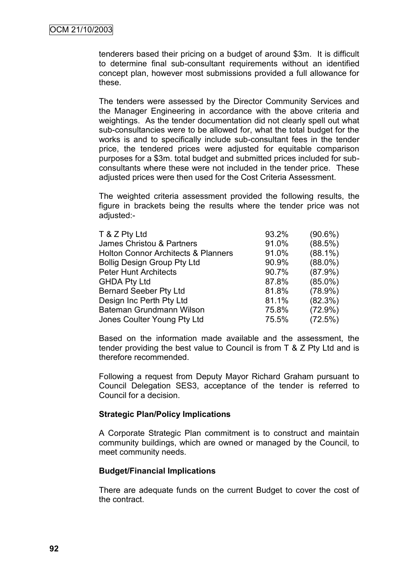tenderers based their pricing on a budget of around \$3m. It is difficult to determine final sub-consultant requirements without an identified concept plan, however most submissions provided a full allowance for these.

The tenders were assessed by the Director Community Services and the Manager Engineering in accordance with the above criteria and weightings. As the tender documentation did not clearly spell out what sub-consultancies were to be allowed for, what the total budget for the works is and to specifically include sub-consultant fees in the tender price, the tendered prices were adjusted for equitable comparison purposes for a \$3m. total budget and submitted prices included for subconsultants where these were not included in the tender price. These adjusted prices were then used for the Cost Criteria Assessment.

The weighted criteria assessment provided the following results, the figure in brackets being the results where the tender price was not adjusted:-

| T & Z Pty Ltd                                  | 93.2% | $(90.6\%)$ |
|------------------------------------------------|-------|------------|
| James Christou & Partners                      | 91.0% | $(88.5\%)$ |
| <b>Holton Connor Architects &amp; Planners</b> | 91.0% | $(88.1\%)$ |
| <b>Bollig Design Group Pty Ltd</b>             | 90.9% | $(88.0\%)$ |
| <b>Peter Hunt Architects</b>                   | 90.7% | $(87.9\%)$ |
| <b>GHDA Pty Ltd</b>                            | 87.8% | $(85.0\%)$ |
| <b>Bernard Seeber Pty Ltd</b>                  | 81.8% | $(78.9\%)$ |
| Design Inc Perth Pty Ltd                       | 81.1% | $(82.3\%)$ |
| Bateman Grundmann Wilson                       | 75.8% | $(72.9\%)$ |
| Jones Coulter Young Pty Ltd                    | 75.5% | (72.5%)    |

Based on the information made available and the assessment, the tender providing the best value to Council is from T & Z Pty Ltd and is therefore recommended.

Following a request from Deputy Mayor Richard Graham pursuant to Council Delegation SES3, acceptance of the tender is referred to Council for a decision.

#### **Strategic Plan/Policy Implications**

A Corporate Strategic Plan commitment is to construct and maintain community buildings, which are owned or managed by the Council, to meet community needs.

#### **Budget/Financial Implications**

There are adequate funds on the current Budget to cover the cost of the contract.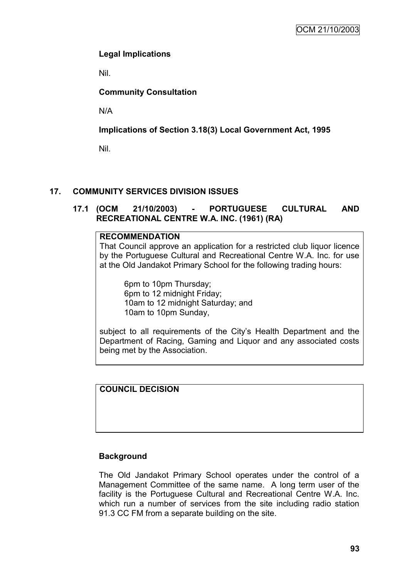### **Legal Implications**

Nil.

### **Community Consultation**

N/A

### **Implications of Section 3.18(3) Local Government Act, 1995**

Nil.

### **17. COMMUNITY SERVICES DIVISION ISSUES**

### **17.1 (OCM 21/10/2003) - PORTUGUESE CULTURAL AND RECREATIONAL CENTRE W.A. INC. (1961) (RA)**

### **RECOMMENDATION**

That Council approve an application for a restricted club liquor licence by the Portuguese Cultural and Recreational Centre W.A. Inc. for use at the Old Jandakot Primary School for the following trading hours:

6pm to 10pm Thursday; 6pm to 12 midnight Friday; 10am to 12 midnight Saturday; and 10am to 10pm Sunday,

subject to all requirements of the City's Health Department and the Department of Racing, Gaming and Liquor and any associated costs being met by the Association.

### **COUNCIL DECISION**

### **Background**

The Old Jandakot Primary School operates under the control of a Management Committee of the same name. A long term user of the facility is the Portuguese Cultural and Recreational Centre W.A. Inc. which run a number of services from the site including radio station 91.3 CC FM from a separate building on the site.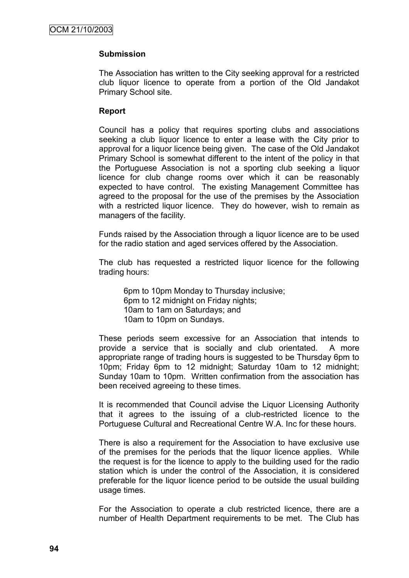#### **Submission**

The Association has written to the City seeking approval for a restricted club liquor licence to operate from a portion of the Old Jandakot Primary School site.

#### **Report**

Council has a policy that requires sporting clubs and associations seeking a club liquor licence to enter a lease with the City prior to approval for a liquor licence being given. The case of the Old Jandakot Primary School is somewhat different to the intent of the policy in that the Portuguese Association is not a sporting club seeking a liquor licence for club change rooms over which it can be reasonably expected to have control. The existing Management Committee has agreed to the proposal for the use of the premises by the Association with a restricted liquor licence. They do however, wish to remain as managers of the facility.

Funds raised by the Association through a liquor licence are to be used for the radio station and aged services offered by the Association.

The club has requested a restricted liquor licence for the following trading hours:

6pm to 10pm Monday to Thursday inclusive; 6pm to 12 midnight on Friday nights; 10am to 1am on Saturdays; and 10am to 10pm on Sundays.

These periods seem excessive for an Association that intends to provide a service that is socially and club orientated. A more appropriate range of trading hours is suggested to be Thursday 6pm to 10pm; Friday 6pm to 12 midnight; Saturday 10am to 12 midnight; Sunday 10am to 10pm. Written confirmation from the association has been received agreeing to these times.

It is recommended that Council advise the Liquor Licensing Authority that it agrees to the issuing of a club-restricted licence to the Portuguese Cultural and Recreational Centre W.A. Inc for these hours.

There is also a requirement for the Association to have exclusive use of the premises for the periods that the liquor licence applies. While the request is for the licence to apply to the building used for the radio station which is under the control of the Association, it is considered preferable for the liquor licence period to be outside the usual building usage times.

For the Association to operate a club restricted licence, there are a number of Health Department requirements to be met. The Club has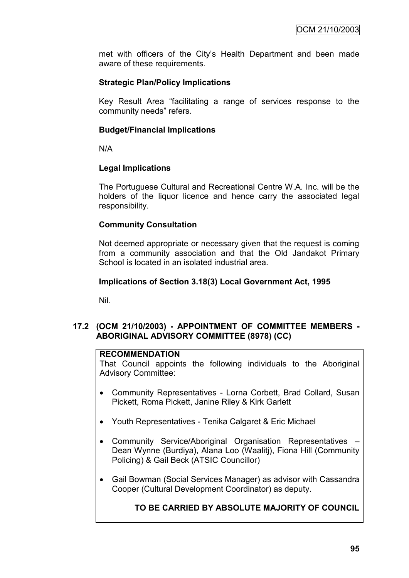met with officers of the City"s Health Department and been made aware of these requirements.

### **Strategic Plan/Policy Implications**

Key Result Area "facilitating a range of services response to the community needs" refers.

### **Budget/Financial Implications**

N/A

#### **Legal Implications**

The Portuguese Cultural and Recreational Centre W.A. Inc. will be the holders of the liquor licence and hence carry the associated legal responsibility.

### **Community Consultation**

Not deemed appropriate or necessary given that the request is coming from a community association and that the Old Jandakot Primary School is located in an isolated industrial area.

### **Implications of Section 3.18(3) Local Government Act, 1995**

Nil.

#### **17.2 (OCM 21/10/2003) - APPOINTMENT OF COMMITTEE MEMBERS - ABORIGINAL ADVISORY COMMITTEE (8978) (CC)**

#### **RECOMMENDATION**

That Council appoints the following individuals to the Aboriginal Advisory Committee:

- Community Representatives Lorna Corbett, Brad Collard, Susan Pickett, Roma Pickett, Janine Riley & Kirk Garlett
- Youth Representatives Tenika Calgaret & Eric Michael
- Community Service/Aboriginal Organisation Representatives Dean Wynne (Burdiya), Alana Loo (Waalitj), Fiona Hill (Community Policing) & Gail Beck (ATSIC Councillor)
- Gail Bowman (Social Services Manager) as advisor with Cassandra Cooper (Cultural Development Coordinator) as deputy.

### **TO BE CARRIED BY ABSOLUTE MAJORITY OF COUNCIL**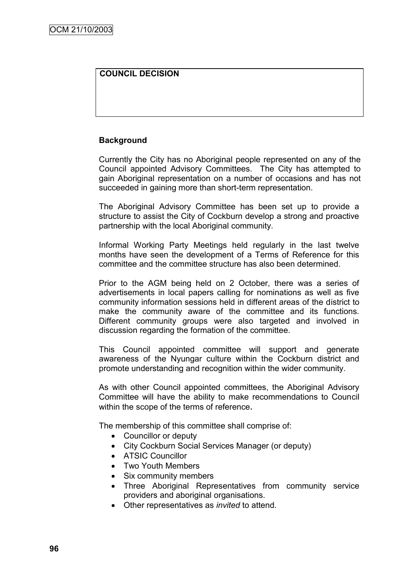### **COUNCIL DECISION**

#### **Background**

Currently the City has no Aboriginal people represented on any of the Council appointed Advisory Committees. The City has attempted to gain Aboriginal representation on a number of occasions and has not succeeded in gaining more than short-term representation.

The Aboriginal Advisory Committee has been set up to provide a structure to assist the City of Cockburn develop a strong and proactive partnership with the local Aboriginal community.

Informal Working Party Meetings held regularly in the last twelve months have seen the development of a Terms of Reference for this committee and the committee structure has also been determined.

Prior to the AGM being held on 2 October, there was a series of advertisements in local papers calling for nominations as well as five community information sessions held in different areas of the district to make the community aware of the committee and its functions. Different community groups were also targeted and involved in discussion regarding the formation of the committee.

This Council appointed committee will support and generate awareness of the Nyungar culture within the Cockburn district and promote understanding and recognition within the wider community.

As with other Council appointed committees, the Aboriginal Advisory Committee will have the ability to make recommendations to Council within the scope of the terms of reference.

The membership of this committee shall comprise of:

- Councillor or deputy
- City Cockburn Social Services Manager (or deputy)
- ATSIC Councillor
- Two Youth Members
- Six community members
- Three Aboriginal Representatives from community service providers and aboriginal organisations.
- Other representatives as *invited* to attend.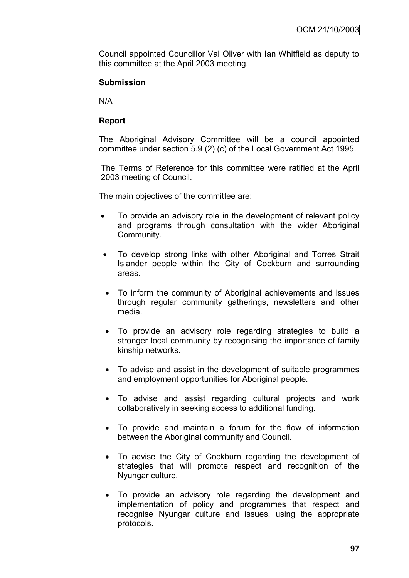Council appointed Councillor Val Oliver with Ian Whitfield as deputy to this committee at the April 2003 meeting.

### **Submission**

N/A

### **Report**

The Aboriginal Advisory Committee will be a council appointed committee under section 5.9 (2) (c) of the Local Government Act 1995.

The Terms of Reference for this committee were ratified at the April 2003 meeting of Council.

The main objectives of the committee are:

- To provide an advisory role in the development of relevant policy and programs through consultation with the wider Aboriginal Community.
- To develop strong links with other Aboriginal and Torres Strait Islander people within the City of Cockburn and surrounding areas.
- To inform the community of Aboriginal achievements and issues through regular community gatherings, newsletters and other media.
- To provide an advisory role regarding strategies to build a stronger local community by recognising the importance of family kinship networks.
- To advise and assist in the development of suitable programmes and employment opportunities for Aboriginal people.
- To advise and assist regarding cultural projects and work collaboratively in seeking access to additional funding.
- To provide and maintain a forum for the flow of information between the Aboriginal community and Council.
- To advise the City of Cockburn regarding the development of strategies that will promote respect and recognition of the Nyungar culture.
- To provide an advisory role regarding the development and implementation of policy and programmes that respect and recognise Nyungar culture and issues, using the appropriate protocols.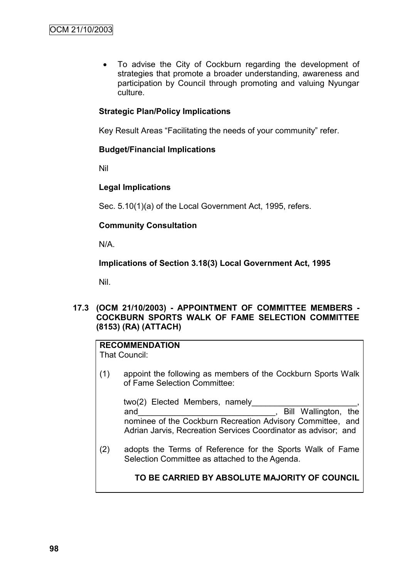To advise the City of Cockburn regarding the development of strategies that promote a broader understanding, awareness and participation by Council through promoting and valuing Nyungar culture.

### **Strategic Plan/Policy Implications**

Key Result Areas "Facilitating the needs of your community" refer.

#### **Budget/Financial Implications**

Nil

#### **Legal Implications**

Sec. 5.10(1)(a) of the Local Government Act, 1995, refers.

#### **Community Consultation**

N/A.

### **Implications of Section 3.18(3) Local Government Act, 1995**

Nil.

### **17.3 (OCM 21/10/2003) - APPOINTMENT OF COMMITTEE MEMBERS - COCKBURN SPORTS WALK OF FAME SELECTION COMMITTEE (8153) (RA) (ATTACH)**

## **RECOMMENDATION**

That Council:

(1) appoint the following as members of the Cockburn Sports Walk of Fame Selection Committee:

two(2) Elected Members, namely and and and the state of the state of the Bill Wallington, the state of the state of the state of the state of the state of the state of the state of the state of the state of the state of the state of the state of the sta nominee of the Cockburn Recreation Advisory Committee, and Adrian Jarvis, Recreation Services Coordinator as advisor; and

(2) adopts the Terms of Reference for the Sports Walk of Fame Selection Committee as attached to the Agenda.

**TO BE CARRIED BY ABSOLUTE MAJORITY OF COUNCIL**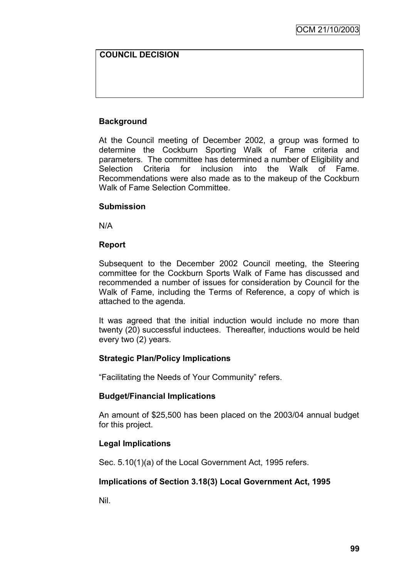### **COUNCIL DECISION**

### **Background**

At the Council meeting of December 2002, a group was formed to determine the Cockburn Sporting Walk of Fame criteria and parameters. The committee has determined a number of Eligibility and Selection Criteria for inclusion into the Walk of Fame. Recommendations were also made as to the makeup of the Cockburn Walk of Fame Selection Committee.

#### **Submission**

N/A

#### **Report**

Subsequent to the December 2002 Council meeting, the Steering committee for the Cockburn Sports Walk of Fame has discussed and recommended a number of issues for consideration by Council for the Walk of Fame, including the Terms of Reference, a copy of which is attached to the agenda.

It was agreed that the initial induction would include no more than twenty (20) successful inductees. Thereafter, inductions would be held every two (2) years.

### **Strategic Plan/Policy Implications**

"Facilitating the Needs of Your Community" refers.

#### **Budget/Financial Implications**

An amount of \$25,500 has been placed on the 2003/04 annual budget for this project.

### **Legal Implications**

Sec. 5.10(1)(a) of the Local Government Act, 1995 refers.

### **Implications of Section 3.18(3) Local Government Act, 1995**

Nil.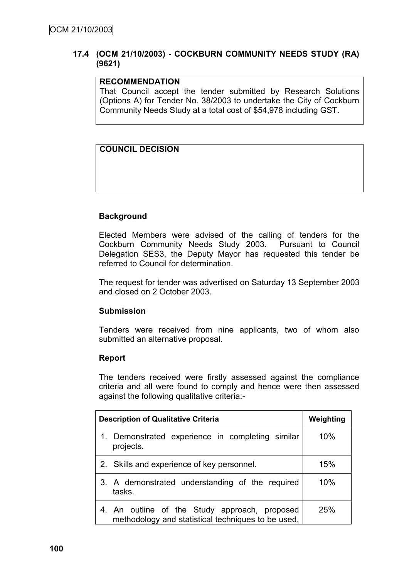#### **17.4 (OCM 21/10/2003) - COCKBURN COMMUNITY NEEDS STUDY (RA) (9621)**

#### **RECOMMENDATION**

That Council accept the tender submitted by Research Solutions (Options A) for Tender No. 38/2003 to undertake the City of Cockburn Community Needs Study at a total cost of \$54,978 including GST.

### **COUNCIL DECISION**

### **Background**

Elected Members were advised of the calling of tenders for the Cockburn Community Needs Study 2003. Pursuant to Council Delegation SES3, the Deputy Mayor has requested this tender be referred to Council for determination.

The request for tender was advertised on Saturday 13 September 2003 and closed on 2 October 2003.

#### **Submission**

Tenders were received from nine applicants, two of whom also submitted an alternative proposal.

#### **Report**

The tenders received were firstly assessed against the compliance criteria and all were found to comply and hence were then assessed against the following qualitative criteria:-

| <b>Description of Qualitative Criteria</b>                                                          | Weighting |
|-----------------------------------------------------------------------------------------------------|-----------|
| 1. Demonstrated experience in completing similar<br>projects.                                       | 10%       |
| 2. Skills and experience of key personnel.                                                          | 15%       |
| 3. A demonstrated understanding of the required<br>tasks.                                           | 10%       |
| 4. An outline of the Study approach, proposed<br>methodology and statistical techniques to be used, | 25%       |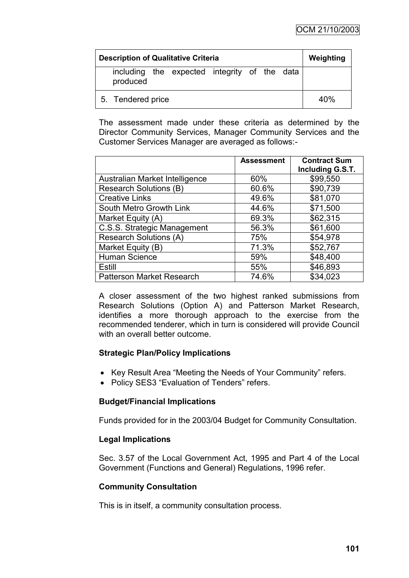| <b>Description of Qualitative Criteria</b>               | Weighting |
|----------------------------------------------------------|-----------|
| including the expected integrity of the data<br>produced |           |
| 5. Tendered price                                        | 40%       |

The assessment made under these criteria as determined by the Director Community Services, Manager Community Services and the Customer Services Manager are averaged as follows:-

|                                  | <b>Assessment</b> | <b>Contract Sum</b><br>Including G.S.T. |
|----------------------------------|-------------------|-----------------------------------------|
| Australian Market Intelligence   | 60%               | \$99,550                                |
| <b>Research Solutions (B)</b>    | 60.6%             | \$90,739                                |
| <b>Creative Links</b>            | 49.6%             | \$81,070                                |
| South Metro Growth Link          | 44.6%             | \$71,500                                |
| Market Equity (A)                | 69.3%             | \$62,315                                |
| C.S.S. Strategic Management      | 56.3%             | \$61,600                                |
| <b>Research Solutions (A)</b>    | 75%               | \$54,978                                |
| Market Equity (B)                | 71.3%             | \$52,767                                |
| Human Science                    | 59%               | \$48,400                                |
| Estill                           | 55%               | \$46,893                                |
| <b>Patterson Market Research</b> | 74.6%             | \$34,023                                |

A closer assessment of the two highest ranked submissions from Research Solutions (Option A) and Patterson Market Research, identifies a more thorough approach to the exercise from the recommended tenderer, which in turn is considered will provide Council with an overall better outcome.

#### **Strategic Plan/Policy Implications**

- Key Result Area "Meeting the Needs of Your Community" refers.
- Policy SES3 "Evaluation of Tenders" refers.

### **Budget/Financial Implications**

Funds provided for in the 2003/04 Budget for Community Consultation.

### **Legal Implications**

Sec. 3.57 of the Local Government Act, 1995 and Part 4 of the Local Government (Functions and General) Regulations, 1996 refer.

### **Community Consultation**

This is in itself, a community consultation process.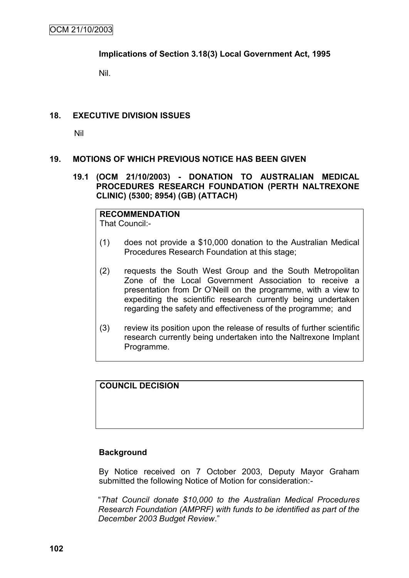### **Implications of Section 3.18(3) Local Government Act, 1995**

Nil.

### **18. EXECUTIVE DIVISION ISSUES**

Nil

### **19. MOTIONS OF WHICH PREVIOUS NOTICE HAS BEEN GIVEN**

**19.1 (OCM 21/10/2003) - DONATION TO AUSTRALIAN MEDICAL PROCEDURES RESEARCH FOUNDATION (PERTH NALTREXONE CLINIC) (5300; 8954) (GB) (ATTACH)**

# **RECOMMENDATION**

That Council:-

- (1) does not provide a \$10,000 donation to the Australian Medical Procedures Research Foundation at this stage;
- (2) requests the South West Group and the South Metropolitan Zone of the Local Government Association to receive a presentation from Dr O"Neill on the programme, with a view to expediting the scientific research currently being undertaken regarding the safety and effectiveness of the programme; and
- (3) review its position upon the release of results of further scientific research currently being undertaken into the Naltrexone Implant Programme.

**COUNCIL DECISION**

#### **Background**

By Notice received on 7 October 2003, Deputy Mayor Graham submitted the following Notice of Motion for consideration:-

"*That Council donate \$10,000 to the Australian Medical Procedures Research Foundation (AMPRF) with funds to be identified as part of the December 2003 Budget Review*."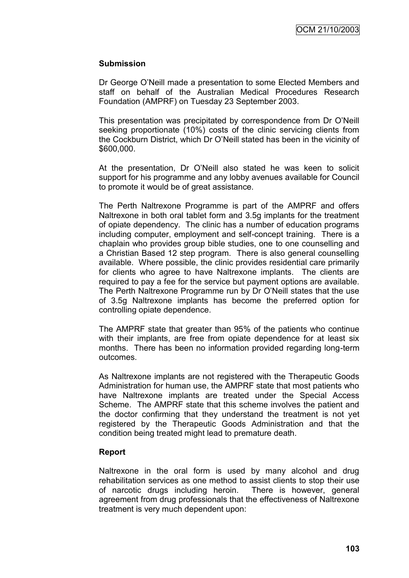## **Submission**

Dr George O"Neill made a presentation to some Elected Members and staff on behalf of the Australian Medical Procedures Research Foundation (AMPRF) on Tuesday 23 September 2003.

This presentation was precipitated by correspondence from Dr O"Neill seeking proportionate (10%) costs of the clinic servicing clients from the Cockburn District, which Dr O"Neill stated has been in the vicinity of \$600,000.

At the presentation, Dr O"Neill also stated he was keen to solicit support for his programme and any lobby avenues available for Council to promote it would be of great assistance.

The Perth Naltrexone Programme is part of the AMPRF and offers Naltrexone in both oral tablet form and 3.5g implants for the treatment of opiate dependency. The clinic has a number of education programs including computer, employment and self-concept training. There is a chaplain who provides group bible studies, one to one counselling and a Christian Based 12 step program. There is also general counselling available. Where possible, the clinic provides residential care primarily for clients who agree to have Naltrexone implants. The clients are required to pay a fee for the service but payment options are available. The Perth Naltrexone Programme run by Dr O"Neill states that the use of 3.5g Naltrexone implants has become the preferred option for controlling opiate dependence.

The AMPRF state that greater than 95% of the patients who continue with their implants, are free from opiate dependence for at least six months. There has been no information provided regarding long-term outcomes.

As Naltrexone implants are not registered with the Therapeutic Goods Administration for human use, the AMPRF state that most patients who have Naltrexone implants are treated under the Special Access Scheme. The AMPRF state that this scheme involves the patient and the doctor confirming that they understand the treatment is not yet registered by the Therapeutic Goods Administration and that the condition being treated might lead to premature death.

#### **Report**

Naltrexone in the oral form is used by many alcohol and drug rehabilitation services as one method to assist clients to stop their use of narcotic drugs including heroin. There is however, general agreement from drug professionals that the effectiveness of Naltrexone treatment is very much dependent upon: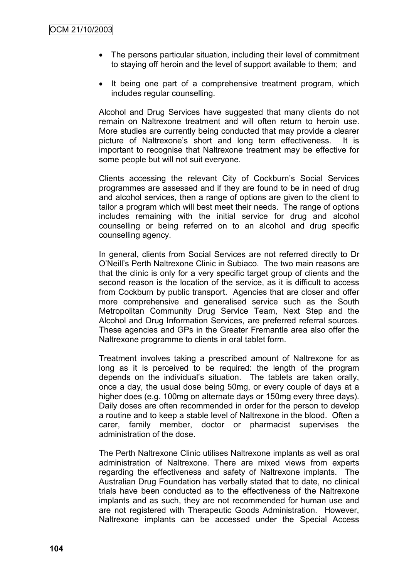- The persons particular situation, including their level of commitment to staying off heroin and the level of support available to them; and
- It being one part of a comprehensive treatment program, which includes regular counselling.

Alcohol and Drug Services have suggested that many clients do not remain on Naltrexone treatment and will often return to heroin use. More studies are currently being conducted that may provide a clearer picture of Naltrexone"s short and long term effectiveness. It is important to recognise that Naltrexone treatment may be effective for some people but will not suit everyone.

Clients accessing the relevant City of Cockburn"s Social Services programmes are assessed and if they are found to be in need of drug and alcohol services, then a range of options are given to the client to tailor a program which will best meet their needs. The range of options includes remaining with the initial service for drug and alcohol counselling or being referred on to an alcohol and drug specific counselling agency.

In general, clients from Social Services are not referred directly to Dr O"Neill"s Perth Naltrexone Clinic in Subiaco. The two main reasons are that the clinic is only for a very specific target group of clients and the second reason is the location of the service, as it is difficult to access from Cockburn by public transport. Agencies that are closer and offer more comprehensive and generalised service such as the South Metropolitan Community Drug Service Team, Next Step and the Alcohol and Drug Information Services, are preferred referral sources. These agencies and GPs in the Greater Fremantle area also offer the Naltrexone programme to clients in oral tablet form.

Treatment involves taking a prescribed amount of Naltrexone for as long as it is perceived to be required: the length of the program depends on the individual"s situation. The tablets are taken orally, once a day, the usual dose being 50mg, or every couple of days at a higher does (e.g. 100mg on alternate days or 150mg every three days). Daily doses are often recommended in order for the person to develop a routine and to keep a stable level of Naltrexone in the blood. Often a carer, family member, doctor or pharmacist supervises the administration of the dose.

The Perth Naltrexone Clinic utilises Naltrexone implants as well as oral administration of Naltrexone. There are mixed views from experts regarding the effectiveness and safety of Naltrexone implants. The Australian Drug Foundation has verbally stated that to date, no clinical trials have been conducted as to the effectiveness of the Naltrexone implants and as such, they are not recommended for human use and are not registered with Therapeutic Goods Administration. However, Naltrexone implants can be accessed under the Special Access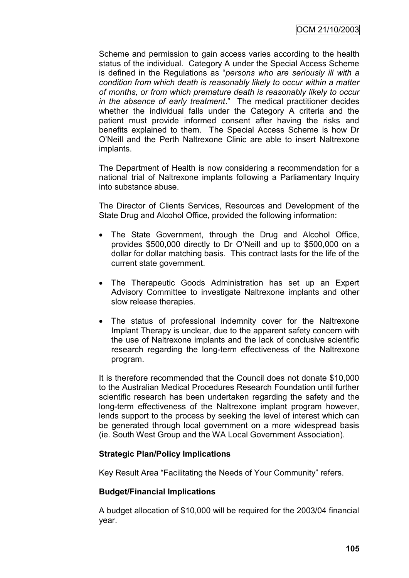Scheme and permission to gain access varies according to the health status of the individual. Category A under the Special Access Scheme is defined in the Regulations as "*persons who are seriously ill with a condition from which death is reasonably likely to occur within a matter of months, or from which premature death is reasonably likely to occur in the absence of early treatment*." The medical practitioner decides whether the individual falls under the Category A criteria and the patient must provide informed consent after having the risks and benefits explained to them. The Special Access Scheme is how Dr O"Neill and the Perth Naltrexone Clinic are able to insert Naltrexone implants.

The Department of Health is now considering a recommendation for a national trial of Naltrexone implants following a Parliamentary Inquiry into substance abuse.

The Director of Clients Services, Resources and Development of the State Drug and Alcohol Office, provided the following information:

- The State Government, through the Drug and Alcohol Office, provides \$500,000 directly to Dr O"Neill and up to \$500,000 on a dollar for dollar matching basis. This contract lasts for the life of the current state government.
- The Therapeutic Goods Administration has set up an Expert Advisory Committee to investigate Naltrexone implants and other slow release therapies.
- The status of professional indemnity cover for the Naltrexone Implant Therapy is unclear, due to the apparent safety concern with the use of Naltrexone implants and the lack of conclusive scientific research regarding the long-term effectiveness of the Naltrexone program.

It is therefore recommended that the Council does not donate \$10,000 to the Australian Medical Procedures Research Foundation until further scientific research has been undertaken regarding the safety and the long-term effectiveness of the Naltrexone implant program however, lends support to the process by seeking the level of interest which can be generated through local government on a more widespread basis (ie. South West Group and the WA Local Government Association).

# **Strategic Plan/Policy Implications**

Key Result Area "Facilitating the Needs of Your Community" refers.

# **Budget/Financial Implications**

A budget allocation of \$10,000 will be required for the 2003/04 financial year.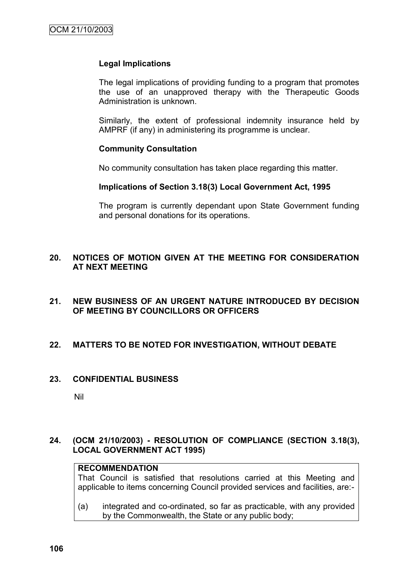## **Legal Implications**

The legal implications of providing funding to a program that promotes the use of an unapproved therapy with the Therapeutic Goods Administration is unknown.

Similarly, the extent of professional indemnity insurance held by AMPRF (if any) in administering its programme is unclear.

## **Community Consultation**

No community consultation has taken place regarding this matter.

#### **Implications of Section 3.18(3) Local Government Act, 1995**

The program is currently dependant upon State Government funding and personal donations for its operations.

## **20. NOTICES OF MOTION GIVEN AT THE MEETING FOR CONSIDERATION AT NEXT MEETING**

## **21. NEW BUSINESS OF AN URGENT NATURE INTRODUCED BY DECISION OF MEETING BY COUNCILLORS OR OFFICERS**

## **22. MATTERS TO BE NOTED FOR INVESTIGATION, WITHOUT DEBATE**

#### **23. CONFIDENTIAL BUSINESS**

Nil

## **24. (OCM 21/10/2003) - RESOLUTION OF COMPLIANCE (SECTION 3.18(3), LOCAL GOVERNMENT ACT 1995)**

### **RECOMMENDATION**

That Council is satisfied that resolutions carried at this Meeting and applicable to items concerning Council provided services and facilities, are:-

(a) integrated and co-ordinated, so far as practicable, with any provided by the Commonwealth, the State or any public body;